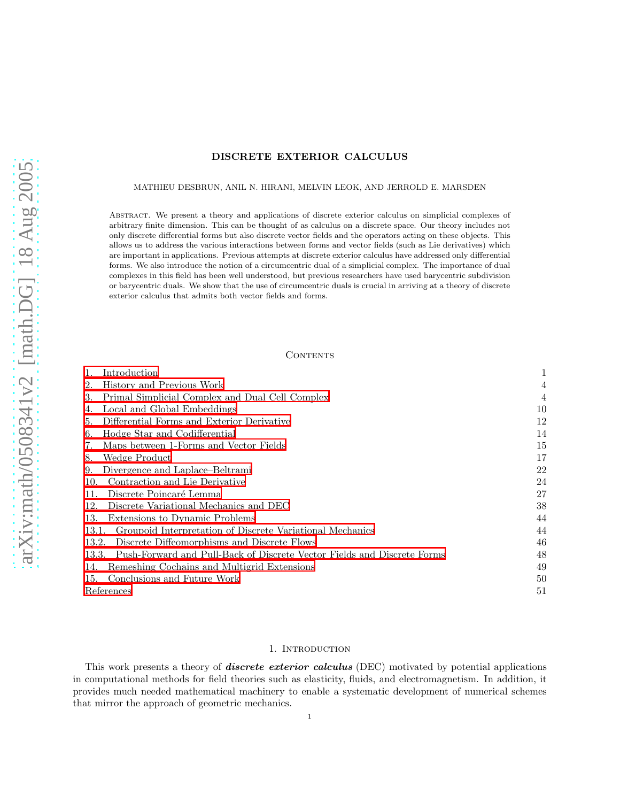# DISCRETE EXTERIOR CALCULUS

#### MATHIEU DESBRUN, ANIL N. HIRANI, MELVIN LEOK, AND JERROLD E. MARSDEN

Abstract. We present a theory and applications of discrete exterior calculus on simplicial complexes of arbitrary finite dimension. This can be thought of as calculus on a discrete space. Our theory includes not only discrete differential forms but also discrete vector fields and the operators acting on these objects. This allows us to address the various interactions between forms and vector fields (such as Lie derivatives) which are important in applications. Previous attempts at discrete exterior calculus have addressed only differential forms. We also introduce the notion of a circumcentric dual of a simplicial complex. The importance of dual complexes in this field has been well understood, but previous researchers have used barycentric subdivision or barycentric duals. We show that the use of circumcentric duals is crucial in arriving at a theory of discrete exterior calculus that admits both vector fields and forms.

#### CONTENTS

| Introduction                                                                     | 1  |
|----------------------------------------------------------------------------------|----|
| History and Previous Work<br>2.                                                  | 4  |
| Primal Simplicial Complex and Dual Cell Complex<br>3.                            | 4  |
| Local and Global Embeddings<br>4.                                                | 10 |
| Differential Forms and Exterior Derivative<br>5.                                 | 12 |
| Hodge Star and Codifferential<br>6.                                              | 14 |
| Maps between 1-Forms and Vector Fields<br>7.                                     | 15 |
| Wedge Product<br>8.                                                              | 17 |
| Divergence and Laplace–Beltrami<br>9.                                            | 22 |
| Contraction and Lie Derivative<br>10.                                            | 24 |
| Discrete Poincaré Lemma<br>11.                                                   | 27 |
| Discrete Variational Mechanics and DEC<br>12.                                    | 38 |
| Extensions to Dynamic Problems<br>13.                                            | 44 |
| Groupoid Interpretation of Discrete Variational Mechanics<br>13.1.               | 44 |
| Discrete Diffeomorphisms and Discrete Flows<br>13.2.                             | 46 |
| Push-Forward and Pull-Back of Discrete Vector Fields and Discrete Forms<br>13.3. | 48 |
| Remeshing Cochains and Multigrid Extensions<br>14.                               | 49 |
| Conclusions and Future Work<br>15.                                               | 50 |
| References                                                                       | 51 |

#### 1. Introduction

<span id="page-0-0"></span>This work presents a theory of **discrete exterior calculus** (DEC) motivated by potential applications in computational methods for field theories such as elasticity, fluids, and electromagnetism. In addition, it provides much needed mathematical machinery to enable a systematic development of numerical schemes that mirror the approach of geometric mechanics.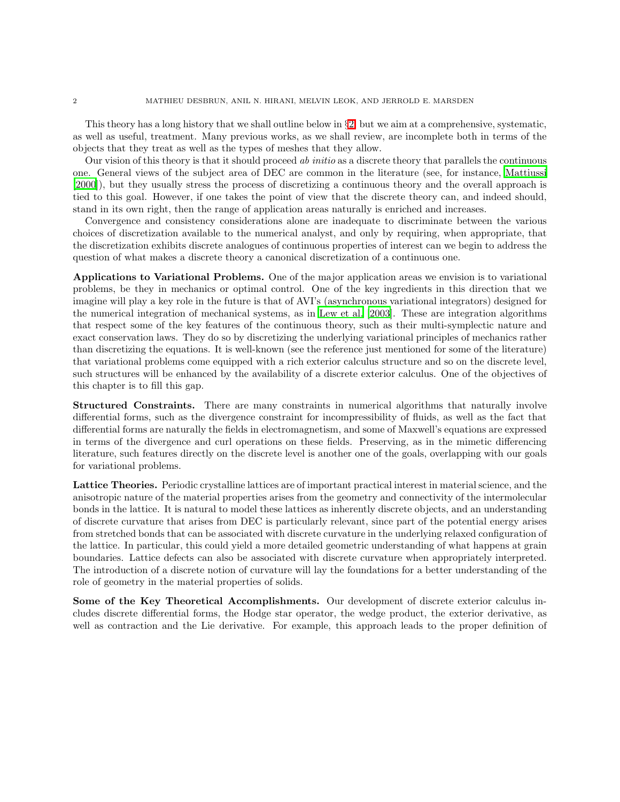This theory has a long history that we shall outline below in  $\S 2$ , but we aim at a comprehensive, systematic, as well as useful, treatment. Many previous works, as we shall review, are incomplete both in terms of the objects that they treat as well as the types of meshes that they allow.

Our vision of this theory is that it should proceed ab initio as a discrete theory that parallels the continuous one. General views of the subject area of DEC are common in the literature (see, for instance, [Mattiussi](#page-51-0) [\[2000\]](#page-51-0)), but they usually stress the process of discretizing a continuous theory and the overall approach is tied to this goal. However, if one takes the point of view that the discrete theory can, and indeed should, stand in its own right, then the range of application areas naturally is enriched and increases.

Convergence and consistency considerations alone are inadequate to discriminate between the various choices of discretization available to the numerical analyst, and only by requiring, when appropriate, that the discretization exhibits discrete analogues of continuous properties of interest can we begin to address the question of what makes a discrete theory a canonical discretization of a continuous one.

Applications to Variational Problems. One of the major application areas we envision is to variational problems, be they in mechanics or optimal control. One of the key ingredients in this direction that we imagine will play a key role in the future is that of AVI's (asynchronous variational integrators) designed for the numerical integration of mechanical systems, as in [Lew et al. \[2003](#page-51-1)]. These are integration algorithms that respect some of the key features of the continuous theory, such as their multi-symplectic nature and exact conservation laws. They do so by discretizing the underlying variational principles of mechanics rather than discretizing the equations. It is well-known (see the reference just mentioned for some of the literature) that variational problems come equipped with a rich exterior calculus structure and so on the discrete level, such structures will be enhanced by the availability of a discrete exterior calculus. One of the objectives of this chapter is to fill this gap.

Structured Constraints. There are many constraints in numerical algorithms that naturally involve differential forms, such as the divergence constraint for incompressibility of fluids, as well as the fact that differential forms are naturally the fields in electromagnetism, and some of Maxwell's equations are expressed in terms of the divergence and curl operations on these fields. Preserving, as in the mimetic differencing literature, such features directly on the discrete level is another one of the goals, overlapping with our goals for variational problems.

Lattice Theories. Periodic crystalline lattices are of important practical interest in material science, and the anisotropic nature of the material properties arises from the geometry and connectivity of the intermolecular bonds in the lattice. It is natural to model these lattices as inherently discrete objects, and an understanding of discrete curvature that arises from DEC is particularly relevant, since part of the potential energy arises from stretched bonds that can be associated with discrete curvature in the underlying relaxed configuration of the lattice. In particular, this could yield a more detailed geometric understanding of what happens at grain boundaries. Lattice defects can also be associated with discrete curvature when appropriately interpreted. The introduction of a discrete notion of curvature will lay the foundations for a better understanding of the role of geometry in the material properties of solids.

Some of the Key Theoretical Accomplishments. Our development of discrete exterior calculus includes discrete differential forms, the Hodge star operator, the wedge product, the exterior derivative, as well as contraction and the Lie derivative. For example, this approach leads to the proper definition of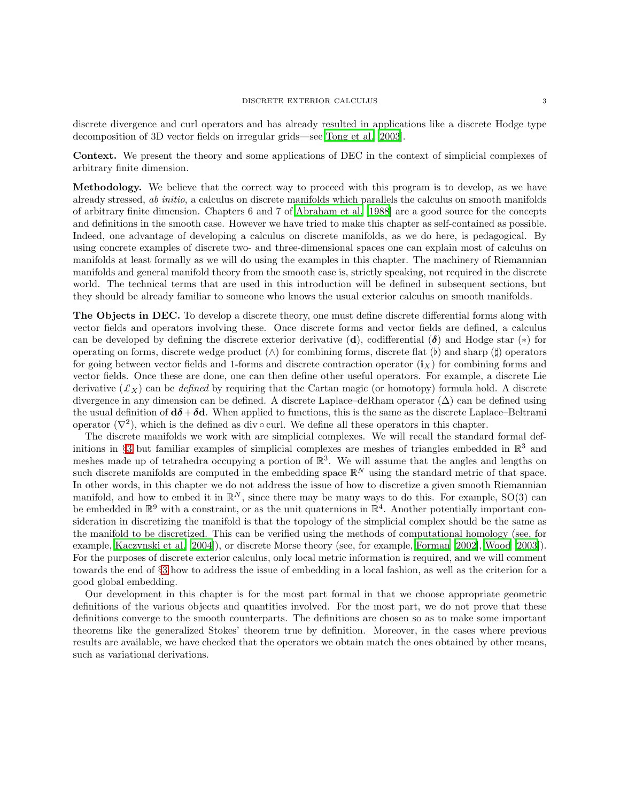discrete divergence and curl operators and has already resulted in applications like a discrete Hodge type decomposition of 3D vector fields on irregular grids—see [Tong et al. \[2003](#page-52-0)].

Context. We present the theory and some applications of DEC in the context of simplicial complexes of arbitrary finite dimension.

Methodology. We believe that the correct way to proceed with this program is to develop, as we have already stressed, ab initio, a calculus on discrete manifolds which parallels the calculus on smooth manifolds of arbitrary finite dimension. Chapters 6 and 7 of [Abraham et al. \[1988\]](#page-50-1) are a good source for the concepts and definitions in the smooth case. However we have tried to make this chapter as self-contained as possible. Indeed, one advantage of developing a calculus on discrete manifolds, as we do here, is pedagogical. By using concrete examples of discrete two- and three-dimensional spaces one can explain most of calculus on manifolds at least formally as we will do using the examples in this chapter. The machinery of Riemannian manifolds and general manifold theory from the smooth case is, strictly speaking, not required in the discrete world. The technical terms that are used in this introduction will be defined in subsequent sections, but they should be already familiar to someone who knows the usual exterior calculus on smooth manifolds.

The Objects in DEC. To develop a discrete theory, one must define discrete differential forms along with vector fields and operators involving these. Once discrete forms and vector fields are defined, a calculus can be developed by defining the discrete exterior derivative (d), codifferential  $(\delta)$  and Hodge star (\*) for operating on forms, discrete wedge product (∧) for combining forms, discrete flat (♭) and sharp (♯) operators for going between vector fields and 1-forms and discrete contraction operator  $(i<sub>X</sub>)$  for combining forms and vector fields. Once these are done, one can then define other useful operators. For example, a discrete Lie derivative  $(\mathcal{L}_X)$  can be defined by requiring that the Cartan magic (or homotopy) formula hold. A discrete divergence in any dimension can be defined. A discrete Laplace–deRham operator  $(\Delta)$  can be defined using the usual definition of  $d\delta + \delta d$ . When applied to functions, this is the same as the discrete Laplace–Beltrami operator  $(\nabla^2)$ , which is the defined as div  $\circ$  curl. We define all these operators in this chapter.

The discrete manifolds we work with are simplicial complexes. We will recall the standard formal def-initions in §[3](#page-3-1) but familiar examples of simplicial complexes are meshes of triangles embedded in  $\mathbb{R}^3$  and meshes made up of tetrahedra occupying a portion of  $\mathbb{R}^3$ . We will assume that the angles and lengths on such discrete manifolds are computed in the embedding space  $\mathbb{R}^N$  using the standard metric of that space. In other words, in this chapter we do not address the issue of how to discretize a given smooth Riemannian manifold, and how to embed it in  $\mathbb{R}^N$ , since there may be many ways to do this. For example, SO(3) can be embedded in  $\mathbb{R}^9$  with a constraint, or as the unit quaternions in  $\mathbb{R}^4$ . Another potentially important consideration in discretizing the manifold is that the topology of the simplicial complex should be the same as the manifold to be discretized. This can be verified using the methods of computational homology (see, for example, [Kaczynski et al. \[2004\]](#page-51-2)), or discrete Morse theory (see, for example, [Forman \[2002\]](#page-51-3), [Wood \[2003\]](#page-52-1)). For the purposes of discrete exterior calculus, only local metric information is required, and we will comment towards the end of §[3](#page-3-1) how to address the issue of embedding in a local fashion, as well as the criterion for a good global embedding.

Our development in this chapter is for the most part formal in that we choose appropriate geometric definitions of the various objects and quantities involved. For the most part, we do not prove that these definitions converge to the smooth counterparts. The definitions are chosen so as to make some important theorems like the generalized Stokes' theorem true by definition. Moreover, in the cases where previous results are available, we have checked that the operators we obtain match the ones obtained by other means, such as variational derivations.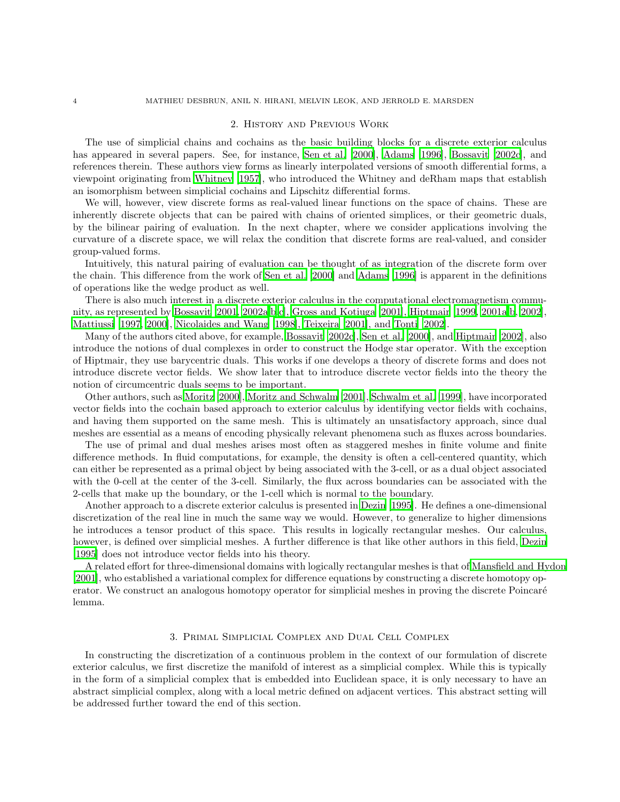#### 2. History and Previous Work

<span id="page-3-0"></span>The use of simplicial chains and cochains as the basic building blocks for a discrete exterior calculus has appeared in several papers. See, for instance, [Sen et al.](#page-51-4) [\[2000\]](#page-51-4), [Adams \[1996\]](#page-50-2), [Bossavit \[2002c\]](#page-50-3), and references therein. These authors view forms as linearly interpolated versions of smooth differential forms, a viewpoint originating from [Whitney \[1957](#page-52-2)], who introduced the Whitney and deRham maps that establish an isomorphism between simplicial cochains and Lipschitz differential forms.

We will, however, view discrete forms as real-valued linear functions on the space of chains. These are inherently discrete objects that can be paired with chains of oriented simplices, or their geometric duals, by the bilinear pairing of evaluation. In the next chapter, where we consider applications involving the curvature of a discrete space, we will relax the condition that discrete forms are real-valued, and consider group-valued forms.

Intuitively, this natural pairing of evaluation can be thought of as integration of the discrete form over the chain. This difference from the work of [Sen et al. \[2000\]](#page-51-4) and [Adams \[1996\]](#page-50-2) is apparent in the definitions of operations like the wedge product as well.

There is also much interest in a discrete exterior calculus in the computational electromagnetism community, as represented by [Bossavit \[2001](#page-50-4), [2002a](#page-50-5)[,b](#page-50-6)[,c](#page-50-3)], [Gross and Kotiuga \[2001](#page-51-5)], [Hiptmair \[1999](#page-51-6), [2001a](#page-51-7)[,b,](#page-51-8) [2002\]](#page-51-9), [Mattiussi \[1997,](#page-51-10) [2000\]](#page-51-0), [Nicolaides and Wang \[1998\]](#page-51-11), [Teixeira \[2001](#page-52-3)], and [Tonti \[2002\]](#page-52-4).

Many of the authors cited above, for example, [Bossavit \[2002c](#page-50-3)], [Sen et al. \[2000\]](#page-51-4), and [Hiptmair \[2002](#page-51-9)], also introduce the notions of dual complexes in order to construct the Hodge star operator. With the exception of Hiptmair, they use barycentric duals. This works if one develops a theory of discrete forms and does not introduce discrete vector fields. We show later that to introduce discrete vector fields into the theory the notion of circumcentric duals seems to be important.

Other authors, such as [Moritz \[2000\]](#page-51-12), [Moritz and Schwalm \[2001\]](#page-51-13), [Schwalm et al. \[1999\]](#page-51-14), have incorporated vector fields into the cochain based approach to exterior calculus by identifying vector fields with cochains, and having them supported on the same mesh. This is ultimately an unsatisfactory approach, since dual meshes are essential as a means of encoding physically relevant phenomena such as fluxes across boundaries.

The use of primal and dual meshes arises most often as staggered meshes in finite volume and finite difference methods. In fluid computations, for example, the density is often a cell-centered quantity, which can either be represented as a primal object by being associated with the 3-cell, or as a dual object associated with the 0-cell at the center of the 3-cell. Similarly, the flux across boundaries can be associated with the 2-cells that make up the boundary, or the 1-cell which is normal to the boundary.

Another approach to a discrete exterior calculus is presented in [Dezin \[1995\]](#page-50-7). He defines a one-dimensional discretization of the real line in much the same way we would. However, to generalize to higher dimensions he introduces a tensor product of this space. This results in logically rectangular meshes. Our calculus, however, is defined over simplicial meshes. A further difference is that like other authors in this field, [Dezin](#page-50-7) [\[1995\]](#page-50-7) does not introduce vector fields into his theory.

A related effort for three-dimensional domains with logically rectangular meshes is that of [Mansfield and Hydon](#page-51-15) [\[2001\]](#page-51-15), who established a variational complex for difference equations by constructing a discrete homotopy operator. We construct an analogous homotopy operator for simplicial meshes in proving the discrete Poincaré lemma.

### 3. Primal Simplicial Complex and Dual Cell Complex

<span id="page-3-1"></span>In constructing the discretization of a continuous problem in the context of our formulation of discrete exterior calculus, we first discretize the manifold of interest as a simplicial complex. While this is typically in the form of a simplicial complex that is embedded into Euclidean space, it is only necessary to have an abstract simplicial complex, along with a local metric defined on adjacent vertices. This abstract setting will be addressed further toward the end of this section.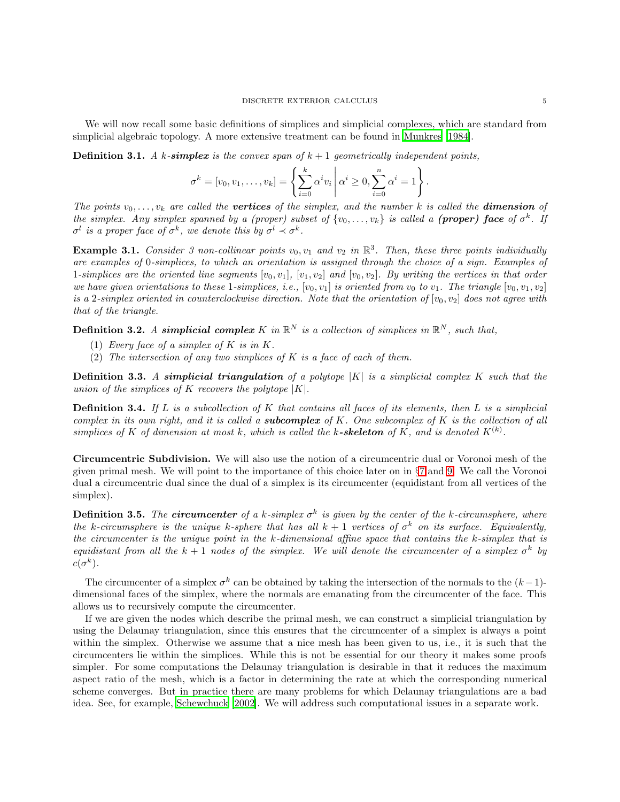We will now recall some basic definitions of simplices and simplicial complexes, which are standard from simplicial algebraic topology. A more extensive treatment can be found in [Munkres \[1984\]](#page-51-16).

**Definition 3.1.** A k-simplex is the convex span of  $k + 1$  geometrically independent points,

$$
\sigma^{k} = [v_0, v_1, \dots, v_k] = \left\{ \sum_{i=0}^{k} \alpha^{i} v_i \, \middle| \, \alpha^{i} \ge 0, \sum_{i=0}^{n} \alpha^{i} = 1 \right\}.
$$

The points  $v_0, \ldots, v_k$  are called the **vertices** of the simplex, and the number k is called the **dimension** of the simplex. Any simplex spanned by a (proper) subset of  $\{v_0, \ldots, v_k\}$  is called a (proper) face of  $\sigma^k$ . If  $\sigma^l$  is a proper face of  $\sigma^k$ , we denote this by  $\sigma^l \prec \sigma^k$ .

**Example 3.1.** Consider 3 non-collinear points  $v_0, v_1$  and  $v_2$  in  $\mathbb{R}^3$ . Then, these three points individually are examples of 0-simplices, to which an orientation is assigned through the choice of a sign. Examples of 1-simplices are the oriented line segments  $[v_0, v_1], [v_1, v_2]$  and  $[v_0, v_2]$ . By writing the vertices in that order we have given orientations to these 1-simplices, i.e.,  $[v_0, v_1]$  is oriented from  $v_0$  to  $v_1$ . The triangle  $[v_0, v_1, v_2]$ is a 2-simplex oriented in counterclockwise direction. Note that the orientation of  $[v_0, v_2]$  does not agree with that of the triangle.

**Definition 3.2.** A simplicial complex K in  $\mathbb{R}^N$  is a collection of simplices in  $\mathbb{R}^N$ , such that,

- (1) Every face of a simplex of  $K$  is in  $K$ .
- (2) The intersection of any two simplices of  $K$  is a face of each of them.

**Definition 3.3.** A simplicial triangulation of a polytope  $|K|$  is a simplicial complex K such that the union of the simplices of K recovers the polytope  $|K|$ .

**Definition 3.4.** If L is a subcollection of K that contains all faces of its elements, then L is a simplicial complex in its own right, and it is called a **subcomplex** of K. One subcomplex of K is the collection of all simplices of K of dimension at most k, which is called the k-skeleton of K, and is denoted  $K^{(k)}$ .

Circumcentric Subdivision. We will also use the notion of a circumcentric dual or Voronoi mesh of the given primal mesh. We will point to the importance of this choice later on in §[7](#page-14-0) and [9.](#page-21-0) We call the Voronoi dual a circumcentric dual since the dual of a simplex is its circumcenter (equidistant from all vertices of the simplex).

**Definition 3.5.** The **circumcenter** of a k-simplex  $\sigma^k$  is given by the center of the k-circumsphere, where the k-circumsphere is the unique k-sphere that has all  $k + 1$  vertices of  $\sigma^k$  on its surface. Equivalently, the circumcenter is the unique point in the k-dimensional affine space that contains the k-simplex that is equidistant from all the  $k + 1$  nodes of the simplex. We will denote the circumcenter of a simplex  $\sigma^k$  by  $c(\sigma^{k}).$ 

The circumcenter of a simplex  $\sigma^k$  can be obtained by taking the intersection of the normals to the  $(k-1)$ dimensional faces of the simplex, where the normals are emanating from the circumcenter of the face. This allows us to recursively compute the circumcenter.

If we are given the nodes which describe the primal mesh, we can construct a simplicial triangulation by using the Delaunay triangulation, since this ensures that the circumcenter of a simplex is always a point within the simplex. Otherwise we assume that a nice mesh has been given to us, i.e., it is such that the circumcenters lie within the simplices. While this is not be essential for our theory it makes some proofs simpler. For some computations the Delaunay triangulation is desirable in that it reduces the maximum aspect ratio of the mesh, which is a factor in determining the rate at which the corresponding numerical scheme converges. But in practice there are many problems for which Delaunay triangulations are a bad idea. See, for example, [Schewchuck \[2002\]](#page-51-17). We will address such computational issues in a separate work.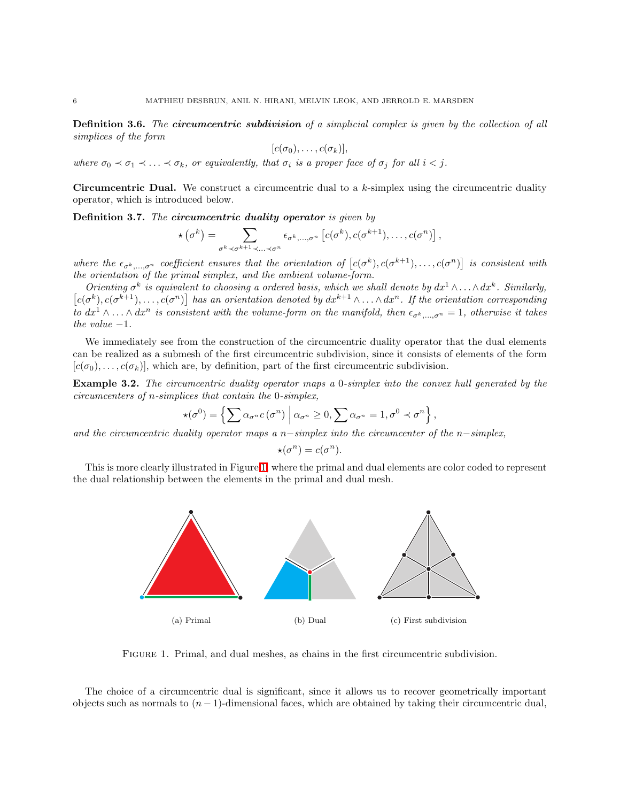**Definition 3.6.** The **circumcentric subdivision** of a simplicial complex is given by the collection of all simplices of the form

$$
[c(\sigma_0),\ldots,c(\sigma_k)],
$$

where  $\sigma_0 \prec \sigma_1 \prec \ldots \prec \sigma_k$ , or equivalently, that  $\sigma_i$  is a proper face of  $\sigma_j$  for all  $i < j$ .

**Circumcentric Dual.** We construct a circumcentric dual to a  $k$ -simplex using the circumcentric duality operator, which is introduced below.

Definition 3.7. The circumcentric duality operator is given by

$$
\star(\sigma^k)=\sum_{\sigma^k\prec\sigma^{k+1}\prec\ldots\prec\sigma^n}\epsilon_{\sigma^k,\ldots,\sigma^n}\left[c(\sigma^k),c(\sigma^{k+1}),\ldots,c(\sigma^n)\right],
$$

where the  $\epsilon_{\sigma^k,\dots,\sigma^n}$  coefficient ensures that the orientation of  $[c(\sigma^k), c(\sigma^{k+1}), \dots, c(\sigma^n)]$  is consistent with the orientation of the primal simplex, and the ambient volume-form.

Orienting  $\sigma^k$  is equivalent to choosing a ordered basis, which we shall denote by  $dx^1 \wedge \ldots \wedge dx^k$ . Similarly,  $[c(\sigma^k), c(\sigma^{k+1}), \ldots, c(\sigma^n)]$  has an orientation denoted by  $dx^{k+1} \wedge \ldots \wedge dx^n$ . If the orientation corresponding to  $dx^1 \wedge \ldots \wedge dx^n$  is consistent with the volume-form on the manifold, then  $\epsilon_{\sigma^k,\ldots,\sigma^n} = 1$ , otherwise it takes the value  $-1$ .

We immediately see from the construction of the circumcentric duality operator that the dual elements can be realized as a submesh of the first circumcentric subdivision, since it consists of elements of the form  $[c(\sigma_0), \ldots, c(\sigma_k)]$ , which are, by definition, part of the first circumcentric subdivision.

Example 3.2. The circumcentric duality operator maps a 0-simplex into the convex hull generated by the circumcenters of n-simplices that contain the 0-simplex,

$$
\star(\sigma^0)=\left\{\sum \alpha_{\sigma^n}c(\sigma^n)\,\,\bigg|\,\alpha_{\sigma^n}\geq 0,\sum \alpha_{\sigma^n}=1,\sigma^0\prec\sigma^n\right\},\,
$$

and the circumcentric duality operator maps a n-simplex into the circumcenter of the n-simplex,

$$
\star(\sigma^n) = c(\sigma^n).
$$

This is more clearly illustrated in Figure [1,](#page-5-0) where the primal and dual elements are color coded to represent the dual relationship between the elements in the primal and dual mesh.



<span id="page-5-0"></span>Figure 1. Primal, and dual meshes, as chains in the first circumcentric subdivision.

The choice of a circumcentric dual is significant, since it allows us to recover geometrically important objects such as normals to  $(n - 1)$ -dimensional faces, which are obtained by taking their circumcentric dual,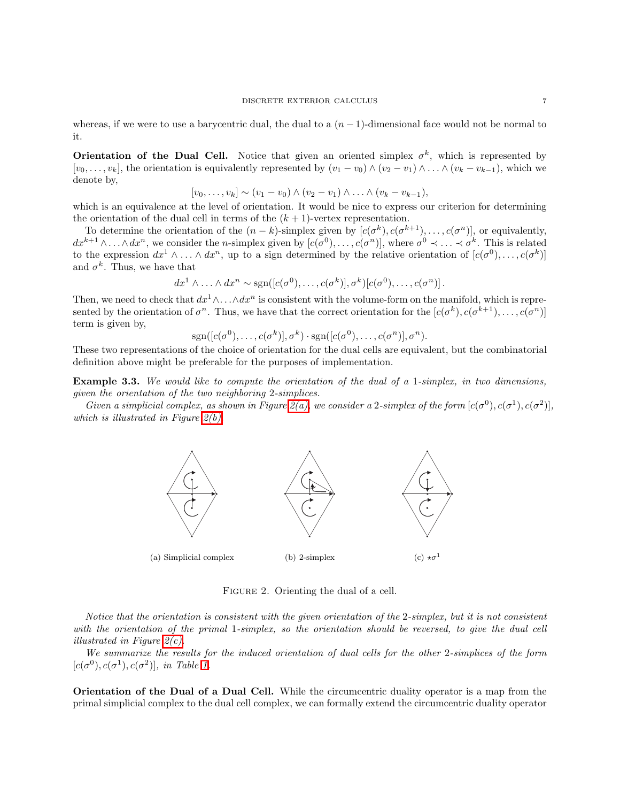whereas, if we were to use a barycentric dual, the dual to a  $(n-1)$ -dimensional face would not be normal to it.

**Orientation of the Dual Cell.** Notice that given an oriented simplex  $\sigma^k$ , which is represented by  $[v_0, \ldots, v_k]$ , the orientation is equivalently represented by  $(v_1 - v_0) \wedge (v_2 - v_1) \wedge \ldots \wedge (v_k - v_{k-1})$ , which we denote by,

$$
[v_0, ..., v_k] \sim (v_1 - v_0) \wedge (v_2 - v_1) \wedge ... \wedge (v_k - v_{k-1}),
$$

which is an equivalence at the level of orientation. It would be nice to express our criterion for determining the orientation of the dual cell in terms of the  $(k + 1)$ -vertex representation.

To determine the orientation of the  $(n-k)$ -simplex given by  $[c(\sigma^k), c(\sigma^{k+1}), \ldots, c(\sigma^n)]$ , or equivalently,  $dx^{k+1}\wedge\ldots\wedge dx^n$ , we consider the *n*-simplex given by  $[c(\sigma^0),\ldots,c(\sigma^n)]$ , where  $\sigma^0\prec\ldots\prec\sigma^k$ . This is related to the expression  $dx^1 \wedge \ldots \wedge dx^n$ , up to a sign determined by the relative orientation of  $[c(\sigma^0), \ldots, c(\sigma^k)]$ and  $\sigma^k$ . Thus, we have that

$$
dx^1 \wedge \ldots \wedge dx^n \sim \text{sgn}([c(\sigma^0), \ldots, c(\sigma^k)], \sigma^k)[c(\sigma^0), \ldots, c(\sigma^n)].
$$

Then, we need to check that  $dx^1 \wedge \ldots \wedge dx^n$  is consistent with the volume-form on the manifold, which is represented by the orientation of  $\sigma^n$ . Thus, we have that the correct orientation for the  $[c(\sigma^k), c(\sigma^{k+1}), \ldots, c(\sigma^n)]$ term is given by,

$$
\mathrm{sgn}([c(\sigma^{0}),\ldots,c(\sigma^{k})],\sigma^{k})\cdot \mathrm{sgn}([c(\sigma^{0}),\ldots,c(\sigma^{n})],\sigma^{n}).
$$

These two representations of the choice of orientation for the dual cells are equivalent, but the combinatorial definition above might be preferable for the purposes of implementation.

Example 3.3. We would like to compute the orientation of the dual of a 1-simplex, in two dimensions, given the orientation of the two neighboring 2-simplices.

<span id="page-6-0"></span>Given a simplicial complex, as shown in Figure [2\(a\),](#page-6-0) we consider a 2-simplex of the form  $[c(\sigma^0), c(\sigma^1), c(\sigma^2)]$ , which is illustrated in Figure  $2(b)$ .



<span id="page-6-2"></span><span id="page-6-1"></span>FIGURE 2. Orienting the dual of a cell.

Notice that the orientation is consistent with the given orientation of the 2-simplex, but it is not consistent with the orientation of the primal 1-simplex, so the orientation should be reversed, to give the dual cell illustrated in Figure  $2(c)$ .

We summarize the results for the induced orientation of dual cells for the other 2-simplices of the form  $[c(\sigma^{0}), c(\sigma^{1}), c(\sigma^{2})],$  in Table [1.](#page-7-0)

Orientation of the Dual of a Dual Cell. While the circumcentric duality operator is a map from the primal simplicial complex to the dual cell complex, we can formally extend the circumcentric duality operator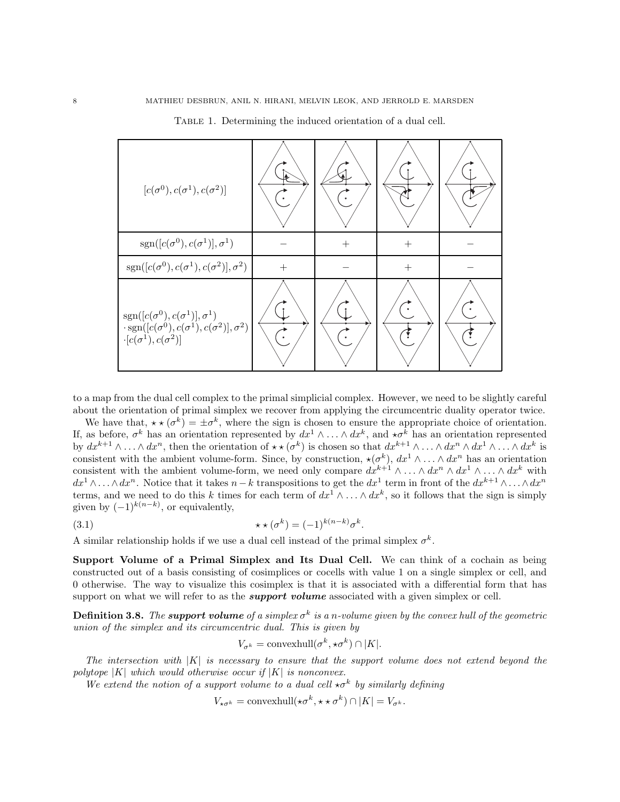| $[c(\sigma^0), c(\sigma^1), c(\sigma^2)]$                                                                                                                                                 |        |     |           |  |
|-------------------------------------------------------------------------------------------------------------------------------------------------------------------------------------------|--------|-----|-----------|--|
| $sgn([c(\sigma^{0}), c(\sigma^{1})], \sigma^{1})$                                                                                                                                         |        | $+$ | $^{+}$    |  |
| $sgn([c(\sigma^{0}), c(\sigma^{1}), c(\sigma^{2})], \sigma^{2})$                                                                                                                          | $^{+}$ |     | $^{+}$    |  |
| $\begin{array}{l} \mathrm{sgn}([c(\sigma^0),c(\sigma^1)],\sigma^1) \\ \cdot \mathrm{sgn}([c(\sigma^0),c(\sigma^1),c(\sigma^2)],\sigma^2) \end{array}$<br>$\cdot[c(\sigma^1),c(\sigma^2)]$ |        |     | $\bullet$ |  |

<span id="page-7-0"></span>TABLE 1. Determining the induced orientation of a dual cell.

to a map from the dual cell complex to the primal simplicial complex. However, we need to be slightly careful about the orientation of primal simplex we recover from applying the circumcentric duality operator twice.

We have that,  $\star \star (\sigma^k) = \pm \sigma^k$ , where the sign is chosen to ensure the appropriate choice of orientation. If, as before,  $\sigma^k$  has an orientation represented by  $dx^1 \wedge \ldots \wedge dx^k$ , and  $\star \sigma^k$  has an orientation represented by  $dx^{k+1}\wedge\ldots\wedge dx^n$ , then the orientation of  $\star\star(\sigma^k)$  is chosen so that  $dx^{k+1}\wedge\ldots\wedge dx^n\wedge dx^1\wedge\ldots\wedge dx^k$  is consistent with the ambient volume-form. Since, by construction,  $\star(\sigma^k)$ ,  $dx^1 \wedge \ldots \wedge dx^n$  has an orientation consistent with the ambient volume-form, we need only compare  $dx^{k+1} \wedge \ldots \wedge dx^n \wedge dx^1 \wedge \ldots \wedge dx^k$  with  $dx^1 \wedge \ldots \wedge dx^n$ . Notice that it takes  $n-k$  transpositions to get the  $dx^1$  term in front of the  $dx^{k+1} \wedge \ldots \wedge dx^n$ terms, and we need to do this k times for each term of  $dx^1 \wedge \ldots \wedge dx^k$ , so it follows that the sign is simply given by  $(-1)^{k(n-k)}$ , or equivalently,

<span id="page-7-1"></span>
$$
\star \star (\sigma^k) = (-1)^{k(n-k)} \sigma^k.
$$

A similar relationship holds if we use a dual cell instead of the primal simplex  $\sigma^k$ .

Support Volume of a Primal Simplex and Its Dual Cell. We can think of a cochain as being constructed out of a basis consisting of cosimplices or cocells with value 1 on a single simplex or cell, and 0 otherwise. The way to visualize this cosimplex is that it is associated with a differential form that has support on what we will refer to as the *support volume* associated with a given simplex or cell.

**Definition 3.8.** The **support volume** of a simplex  $\sigma^k$  is a n-volume given by the convex hull of the geometric union of the simplex and its circumcentric dual. This is given by

$$
V_{\sigma^k} = \text{convexhull}(\sigma^k, \star \sigma^k) \cap |K|.
$$

The intersection with  $|K|$  is necessary to ensure that the support volume does not extend beyond the polytope  $|K|$  which would otherwise occur if  $|K|$  is nonconvex.

We extend the notion of a support volume to a dual cell  $\star \sigma^k$  by similarly defining

 $V_{\star\sigma^k} = \text{convexhull}(\star\sigma^k, \star\star\sigma^k) \cap |K| = V_{\sigma^k}.$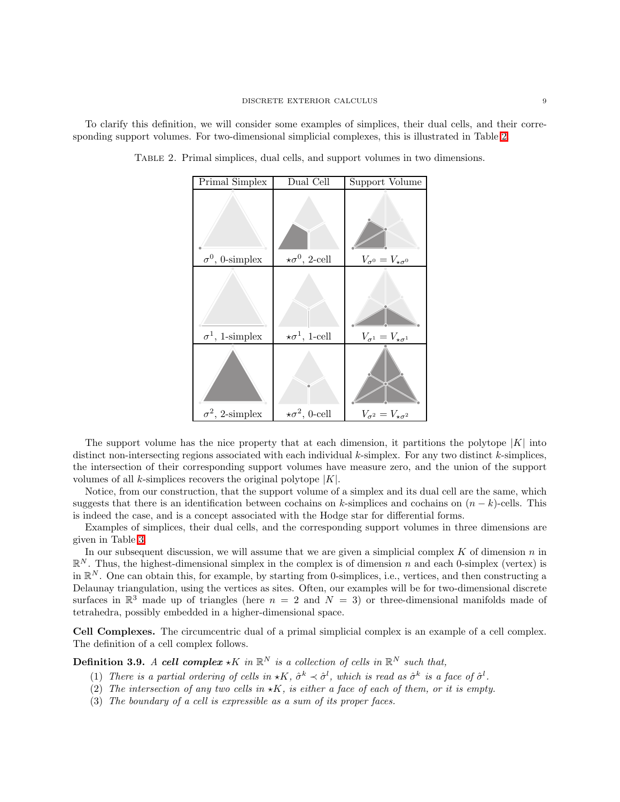To clarify this definition, we will consider some examples of simplices, their dual cells, and their corresponding support volumes. For two-dimensional simplicial complexes, this is illustrated in Table [2.](#page-8-0)

| Dual Cell | Support Volume                                                                    |
|-----------|-----------------------------------------------------------------------------------|
|           | $V_{\sigma^0}=V_{\star\sigma^0}$                                                  |
|           |                                                                                   |
|           |                                                                                   |
|           | $V_{\sigma^1} = V_{\star \sigma^1}$                                               |
|           | $V_{\sigma^2} = V_{\star \sigma^2}$                                               |
|           | $\star\sigma^0,$ 2-cell<br>$\star \sigma^1$ , 1-cell<br>$\star \sigma^2$ , 0-cell |

<span id="page-8-0"></span>Table 2. Primal simplices, dual cells, and support volumes in two dimensions.

The support volume has the nice property that at each dimension, it partitions the polytope  $|K|$  into distinct non-intersecting regions associated with each individual  $k$ -simplex. For any two distinct  $k$ -simplices, the intersection of their corresponding support volumes have measure zero, and the union of the support volumes of all k-simplices recovers the original polytope  $|K|$ .

Notice, from our construction, that the support volume of a simplex and its dual cell are the same, which suggests that there is an identification between cochains on k-simplices and cochains on  $(n - k)$ -cells. This is indeed the case, and is a concept associated with the Hodge star for differential forms.

Examples of simplices, their dual cells, and the corresponding support volumes in three dimensions are given in Table [3.](#page-9-1)

In our subsequent discussion, we will assume that we are given a simplicial complex  $K$  of dimension  $n$  in  $\mathbb{R}^N$ . Thus, the highest-dimensional simplex in the complex is of dimension n and each 0-simplex (vertex) is in  $\mathbb{R}^N$ . One can obtain this, for example, by starting from 0-simplices, i.e., vertices, and then constructing a Delaunay triangulation, using the vertices as sites. Often, our examples will be for two-dimensional discrete surfaces in  $\mathbb{R}^3$  made up of triangles (here  $n = 2$  and  $N = 3$ ) or three-dimensional manifolds made of tetrahedra, possibly embedded in a higher-dimensional space.

Cell Complexes. The circumcentric dual of a primal simplicial complex is an example of a cell complex. The definition of a cell complex follows.

**Definition 3.9.** A cell complex  $\star K$  in  $\mathbb{R}^N$  is a collection of cells in  $\mathbb{R}^N$  such that,

- (1) There is a partial ordering of cells in  $\star K$ ,  $\hat{\sigma}^k \prec \hat{\sigma}^l$ , which is read as  $\hat{\sigma}^k$  is a face of  $\hat{\sigma}^l$ .
- (2) The intersection of any two cells in  $\star K$ , is either a face of each of them, or it is empty.
- (3) The boundary of a cell is expressible as a sum of its proper faces.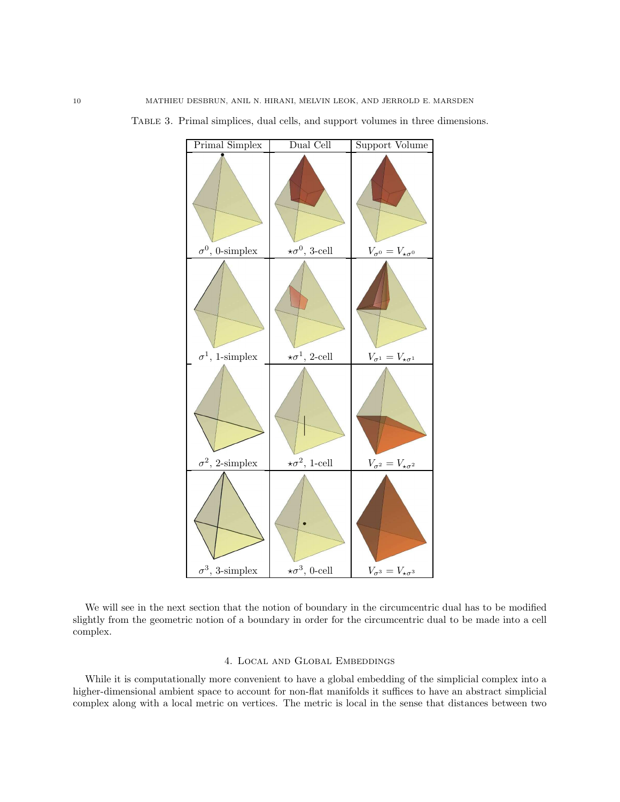

<span id="page-9-1"></span>Table 3. Primal simplices, dual cells, and support volumes in three dimensions.

We will see in the next section that the notion of boundary in the circumcentric dual has to be modified slightly from the geometric notion of a boundary in order for the circumcentric dual to be made into a cell complex.

# 4. Local and Global Embeddings

<span id="page-9-0"></span>While it is computationally more convenient to have a global embedding of the simplicial complex into a higher-dimensional ambient space to account for non-flat manifolds it suffices to have an abstract simplicial complex along with a local metric on vertices. The metric is local in the sense that distances between two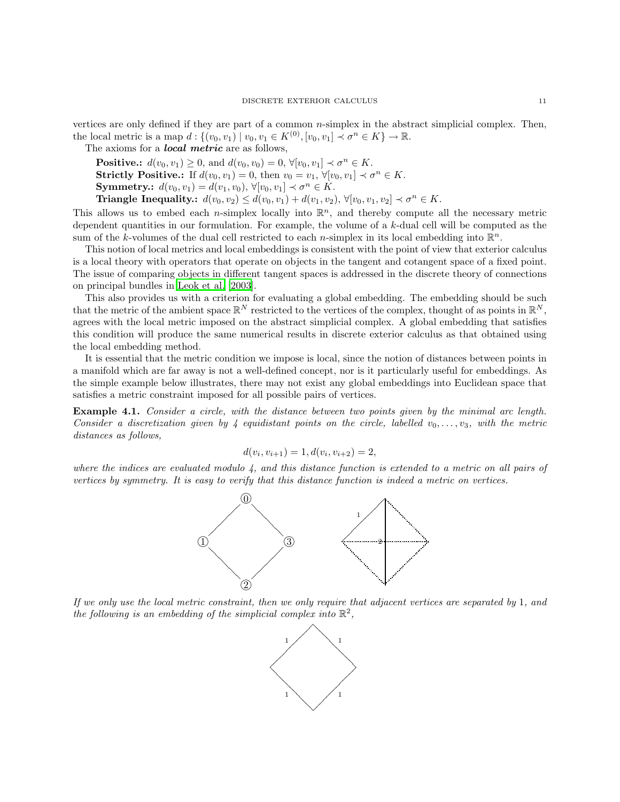vertices are only defined if they are part of a common  $n$ -simplex in the abstract simplicial complex. Then, the local metric is a map  $d: \{(v_0, v_1) \mid v_0, v_1 \in K^{(0)}, [v_0, v_1] \prec \sigma^n \in K\} \to \mathbb{R}$ .

The axioms for a *local metric* are as follows,

**Positive.:**  $d(v_0, v_1) \ge 0$ , and  $d(v_0, v_0) = 0$ ,  $\forall [v_0, v_1] \prec \sigma^n \in K$ . **Strictly Positive.:** If  $d(v_0, v_1) = 0$ , then  $v_0 = v_1$ ,  $\forall [v_0, v_1] \prec \sigma^n \in K$ . **Symmetry.:**  $d(v_0, v_1) = d(v_1, v_0), \forall [v_0, v_1] \prec \sigma^n \in K$ . Triangle Inequality:  $d(v_0, v_2) \le d(v_0, v_1) + d(v_1, v_2), \forall [v_0, v_1, v_2] \prec \sigma^n \in K$ .

This allows us to embed each *n*-simplex locally into  $\mathbb{R}^n$ , and thereby compute all the necessary metric dependent quantities in our formulation. For example, the volume of a  $k$ -dual cell will be computed as the sum of the k-volumes of the dual cell restricted to each *n*-simplex in its local embedding into  $\mathbb{R}^n$ .

This notion of local metrics and local embeddings is consistent with the point of view that exterior calculus is a local theory with operators that operate on objects in the tangent and cotangent space of a fixed point. The issue of comparing objects in different tangent spaces is addressed in the discrete theory of connections on principal bundles in [Leok et al. \[2003\]](#page-51-18).

This also provides us with a criterion for evaluating a global embedding. The embedding should be such that the metric of the ambient space  $\mathbb{R}^N$  restricted to the vertices of the complex, thought of as points in  $\mathbb{R}^N$ , agrees with the local metric imposed on the abstract simplicial complex. A global embedding that satisfies this condition will produce the same numerical results in discrete exterior calculus as that obtained using the local embedding method.

It is essential that the metric condition we impose is local, since the notion of distances between points in a manifold which are far away is not a well-defined concept, nor is it particularly useful for embeddings. As the simple example below illustrates, there may not exist any global embeddings into Euclidean space that satisfies a metric constraint imposed for all possible pairs of vertices.

Example 4.1. Consider a circle, with the distance between two points given by the minimal arc length. Consider a discretization given by 4 equidistant points on the circle, labelled  $v_0, \ldots, v_3$ , with the metric distances as follows,

$$
d(v_i, v_{i+1}) = 1, d(v_i, v_{i+2}) = 2,
$$

where the indices are evaluated modulo  $\lambda$ , and this distance function is extended to a metric on all pairs of vertices by symmetry. It is easy to verify that this distance function is indeed a metric on vertices.



If we only use the local metric constraint, then we only require that adjacent vertices are separated by 1, and the following is an embedding of the simplicial complex into  $\mathbb{R}^2$ ,

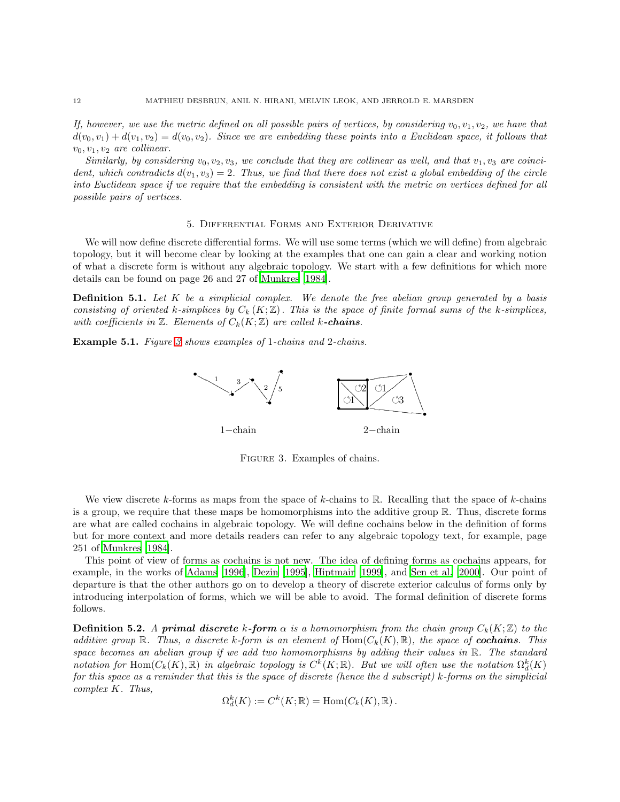If, however, we use the metric defined on all possible pairs of vertices, by considering  $v_0, v_1, v_2$ , we have that  $d(v_0, v_1) + d(v_1, v_2) = d(v_0, v_2)$ . Since we are embedding these points into a Euclidean space, it follows that  $v_0, v_1, v_2$  are collinear.

Similarly, by considering  $v_0, v_2, v_3$ , we conclude that they are collinear as well, and that  $v_1, v_3$  are coincident, which contradicts  $d(v_1, v_3) = 2$ . Thus, we find that there does not exist a global embedding of the circle into Euclidean space if we require that the embedding is consistent with the metric on vertices defined for all possible pairs of vertices.

#### 5. Differential Forms and Exterior Derivative

<span id="page-11-0"></span>We will now define discrete differential forms. We will use some terms (which we will define) from algebraic topology, but it will become clear by looking at the examples that one can gain a clear and working notion of what a discrete form is without any algebraic topology. We start with a few definitions for which more details can be found on page 26 and 27 of [Munkres \[1984\]](#page-51-16).

**Definition 5.1.** Let  $K$  be a simplicial complex. We denote the free abelian group generated by a basis consisting of oriented k-simplices by  $C_k(K;\mathbb{Z})$ . This is the space of finite formal sums of the k-simplices, with coefficients in  $\mathbb Z$ . Elements of  $C_k(K;\mathbb Z)$  are called k-chains.

Example 5.1. Figure [3](#page-11-1) shows examples of 1-chains and 2-chains.



<span id="page-11-1"></span>Figure 3. Examples of chains.

We view discrete k-forms as maps from the space of k-chains to R. Recalling that the space of k-chains is a group, we require that these maps be homomorphisms into the additive group R. Thus, discrete forms are what are called cochains in algebraic topology. We will define cochains below in the definition of forms but for more context and more details readers can refer to any algebraic topology text, for example, page 251 of [Munkres \[1984\]](#page-51-16).

This point of view of forms as cochains is not new. The idea of defining forms as cochains appears, for example, in the works of [Adams \[1996\]](#page-50-2), [Dezin \[1995\]](#page-50-7), [Hiptmair \[1999\]](#page-51-6), and [Sen et al. \[2000\]](#page-51-4). Our point of departure is that the other authors go on to develop a theory of discrete exterior calculus of forms only by introducing interpolation of forms, which we will be able to avoid. The formal definition of discrete forms follows.

**Definition 5.2.** A primal discrete k-form  $\alpha$  is a homomorphism from the chain group  $C_k(K;\mathbb{Z})$  to the additive group R. Thus, a discrete k-form is an element of  $\text{Hom}(C_k(K), \mathbb{R})$ , the space of **cochains**. This space becomes an abelian group if we add two homomorphisms by adding their values in  $\mathbb{R}$ . The standard notation for Hom $(C_k(K), \mathbb{R})$  in algebraic topology is  $C^k(K; \mathbb{R})$ . But we will often use the notation  $\Omega_d^k(K)$ for this space as a reminder that this is the space of discrete (hence the d subscript) k-forms on the simplicial complex K. Thus,

$$
\Omega_d^k(K) := C^k(K; \mathbb{R}) = \text{Hom}(C_k(K), \mathbb{R}).
$$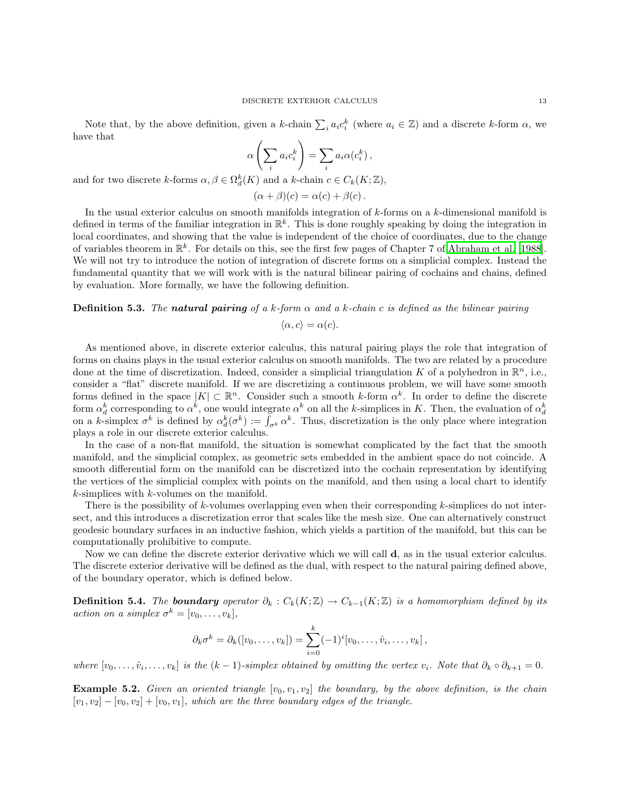Note that, by the above definition, given a k-chain  $\sum_i a_i c_i^k$  (where  $a_i \in \mathbb{Z}$ ) and a discrete k-form  $\alpha$ , we have that

$$
\alpha \left( \sum_i a_i c_i^k \right) = \sum_i a_i \alpha (c_i^k) ,
$$

and for two discrete k-forms  $\alpha, \beta \in \Omega_d^k(K)$  and a k-chain  $c \in C_k(K; \mathbb{Z}),$ 

$$
(\alpha + \beta)(c) = \alpha(c) + \beta(c).
$$

In the usual exterior calculus on smooth manifolds integration of  $k$ -forms on a  $k$ -dimensional manifold is defined in terms of the familiar integration in  $\mathbb{R}^k$ . This is done roughly speaking by doing the integration in local coordinates, and showing that the value is independent of the choice of coordinates, due to the change of variables theorem in  $\mathbb{R}^k$ . For details on this, see the first few pages of Chapter 7 of [Abraham et al. \[1988\]](#page-50-1). We will not try to introduce the notion of integration of discrete forms on a simplicial complex. Instead the fundamental quantity that we will work with is the natural bilinear pairing of cochains and chains, defined by evaluation. More formally, we have the following definition.

# **Definition 5.3.** The natural pairing of a k-form  $\alpha$  and a k-chain c is defined as the bilinear pairing

$$
\langle \alpha, c \rangle = \alpha(c).
$$

As mentioned above, in discrete exterior calculus, this natural pairing plays the role that integration of forms on chains plays in the usual exterior calculus on smooth manifolds. The two are related by a procedure done at the time of discretization. Indeed, consider a simplicial triangulation K of a polyhedron in  $\mathbb{R}^n$ , i.e., consider a "flat" discrete manifold. If we are discretizing a continuous problem, we will have some smooth forms defined in the space  $|K| \subset \mathbb{R}^n$ . Consider such a smooth k-form  $\alpha^k$ . In order to define the discrete form  $\alpha_d^k$  corresponding to  $\alpha^k$ , one would integrate  $\alpha^k$  on all the *k*-simplices in *K*. Then, the evaluation of  $\alpha_d^k$ <br>on a *k*-simplex  $\sigma^k$  is defined by  $\alpha_d^k(\sigma^k) := \int_{\sigma^k} \alpha^k$ . Thus, discretization is th plays a role in our discrete exterior calculus.

In the case of a non-flat manifold, the situation is somewhat complicated by the fact that the smooth manifold, and the simplicial complex, as geometric sets embedded in the ambient space do not coincide. A smooth differential form on the manifold can be discretized into the cochain representation by identifying the vertices of the simplicial complex with points on the manifold, and then using a local chart to identify  $k$ -simplices with  $k$ -volumes on the manifold.

There is the possibility of  $k$ -volumes overlapping even when their corresponding  $k$ -simplices do not intersect, and this introduces a discretization error that scales like the mesh size. One can alternatively construct geodesic boundary surfaces in an inductive fashion, which yields a partition of the manifold, but this can be computationally prohibitive to compute.

Now we can define the discrete exterior derivative which we will call d, as in the usual exterior calculus. The discrete exterior derivative will be defined as the dual, with respect to the natural pairing defined above, of the boundary operator, which is defined below.

**Definition 5.4.** The **boundary** operator  $\partial_k : C_k(K; \mathbb{Z}) \to C_{k-1}(K; \mathbb{Z})$  is a homomorphism defined by its action on a simplex  $\sigma^k = [v_0, \ldots, v_k],$ 

$$
\partial_k \sigma^k = \partial_k([v_0,\ldots,v_k]) = \sum_{i=0}^k (-1)^i [v_0,\ldots,\hat{v}_i,\ldots,v_k],
$$

where  $[v_0, \ldots, \hat{v}_i, \ldots, v_k]$  is the  $(k-1)$ -simplex obtained by omitting the vertex  $v_i$ . Note that  $\partial_k \circ \partial_{k+1} = 0$ .

**Example 5.2.** Given an oriented triangle  $[v_0, v_1, v_2]$  the boundary, by the above definition, is the chain  $[v_1, v_2] - [v_0, v_2] + [v_0, v_1]$ , which are the three boundary edges of the triangle.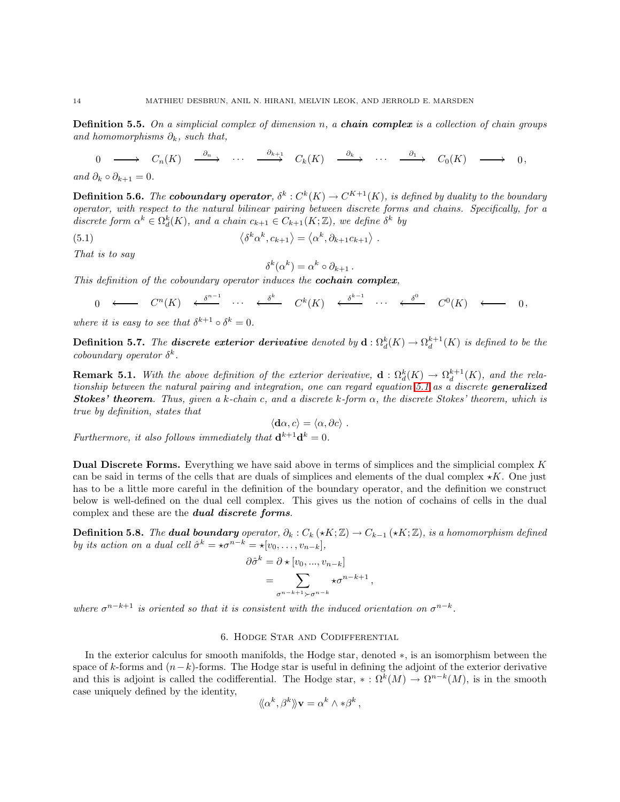**Definition 5.5.** On a simplicial complex of dimension n, a **chain complex** is a collection of chain groups and homomorphisms  $\partial_k$ , such that,

 $\begin{CD} 0 @>>> & C_n(K) @>\partial_n>> & \cdots @>\partial_{k+1}>> C_k(K) @>\partial_k>> & \cdots @>\partial_1>> C_0(K) @>>> & 0, \end{CD}$ 

and  $\partial_k \circ \partial_{k+1} = 0$ .

**Definition 5.6.** The **coboundary operator**,  $\delta^k : C^k(K) \to C^{K+1}(K)$ , is defined by duality to the boundary operator, with respect to the natural bilinear pairing between discrete forms and chains. Specifically, for a discrete form  $\alpha^k \in \Omega_d^k(K)$ , and a chain  $c_{k+1} \in C_{k+1}(K;\mathbb{Z})$ , we define  $\delta^k$  by

(5.1) 
$$
\langle \delta^k \alpha^k, c_{k+1} \rangle = \langle \alpha^k, \partial_{k+1} c_{k+1} \rangle.
$$

That is to say

<span id="page-13-1"></span>
$$
\delta^k(\alpha^k) = \alpha^k \circ \partial_{k+1} \, .
$$

This definition of the coboundary operator induces the **cochain complex**,

$$
0 \longleftarrow C^{n}(K) \leftarrow \delta^{n-1} \cdots \leftarrow \delta^{k} \quad C^{k}(K) \leftarrow \delta^{k-1} \cdots \leftarrow \delta^{0} \quad C^{0}(K) \leftarrow 0,
$$

where it is easy to see that  $\delta^{k+1} \circ \delta^k = 0$ .

**Definition 5.7.** The **discrete exterior derivative** denoted by  $\mathbf{d} : \Omega_d^k(K) \to \Omega_d^{k+1}(K)$  is defined to be the coboundary operator  $\delta^k$ .

**Remark 5.1.** With the above definition of the exterior derivative,  $\mathbf{d}: \Omega_d^k(K) \to \Omega_d^{k+1}(K)$ , and the rela-tionship between the natural pairing and integration, one can regard equation [5.1](#page-13-1) as a discrete generalized **Stokes' theorem.** Thus, given a k-chain c, and a discrete k-form  $\alpha$ , the discrete Stokes' theorem, which is true by definition, states that

$$
\langle \mathbf{d}\alpha, c \rangle = \langle \alpha, \partial c \rangle.
$$

Furthermore, it also follows immediately that  $\mathbf{d}^{k+1}\mathbf{d}^k = 0$ .

Dual Discrete Forms. Everything we have said above in terms of simplices and the simplicial complex K can be said in terms of the cells that are duals of simplices and elements of the dual complex  $\star K$ . One just has to be a little more careful in the definition of the boundary operator, and the definition we construct below is well-defined on the dual cell complex. This gives us the notion of cochains of cells in the dual complex and these are the dual discrete forms.

<span id="page-13-2"></span>**Definition 5.8.** The **dual boundary** operator,  $\partial_k : C_k (\star K; \mathbb{Z}) \to C_{k-1} (\star K; \mathbb{Z})$ , is a homomorphism defined by its action on a dual cell  $\hat{\sigma}^k = \star \sigma^{n-k} = \star [v_0, \ldots, v_{n-k}],$ 

$$
\partial \hat{\sigma}^k = \partial \star [v_0, ..., v_{n-k}]
$$
  
= 
$$
\sum_{\sigma^{n-k+1} \succ \sigma^{n-k}} \star \sigma^{n-k+1},
$$

<span id="page-13-0"></span>where  $\sigma^{n-k+1}$  is oriented so that it is consistent with the induced orientation on  $\sigma^{n-k}$ .

### 6. Hodge Star and Codifferential

In the exterior calculus for smooth manifolds, the Hodge star, denoted ∗, is an isomorphism between the space of k-forms and  $(n-k)$ -forms. The Hodge star is useful in defining the adjoint of the exterior derivative and this is adjoint is called the codifferential. The Hodge star,  $* : \Omega^k(M) \to \Omega^{n-k}(M)$ , is in the smooth case uniquely defined by the identity,

$$
\langle \! \langle \alpha^k, \beta^k \rangle \! \rangle \mathbf{v} = \alpha^k \wedge \ast \beta^k,
$$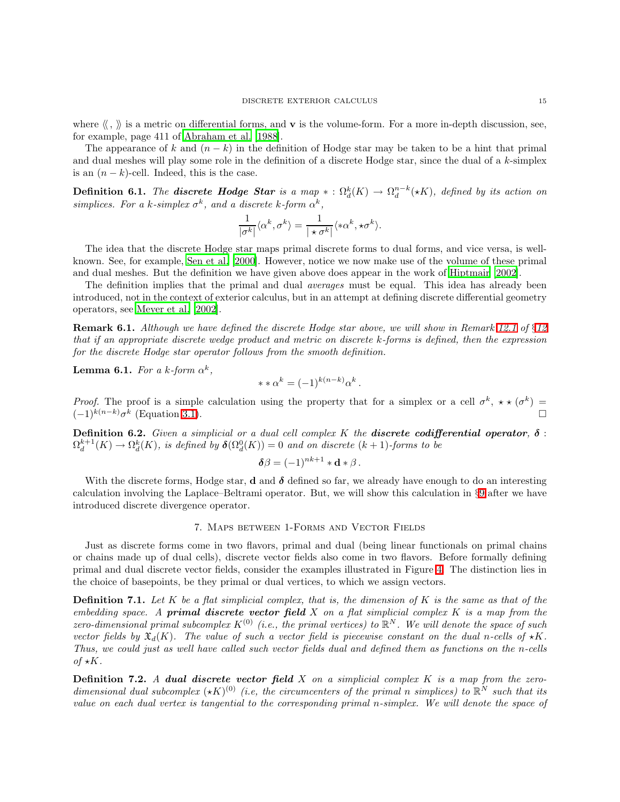where  $\langle \langle , \rangle \rangle$  is a metric on differential forms, and **v** is the volume-form. For a more in-depth discussion, see, for example, page 411 of [Abraham et al. \[1988](#page-50-1)].

The appearance of k and  $(n - k)$  in the definition of Hodge star may be taken to be a hint that primal and dual meshes will play some role in the definition of a discrete Hodge star, since the dual of a k-simplex is an  $(n - k)$ -cell. Indeed, this is the case.

<span id="page-14-1"></span>**Definition 6.1.** The **discrete Hodge Star** is a map  $* : \Omega_d^k(K) \to \Omega_d^{n-k}(*K)$ , defined by its action on simplices. For a k-simplex  $\sigma^k$ , and a discrete k-form  $\alpha^k$ ,

$$
\frac{1}{|\sigma^k|} \langle \alpha^k, \sigma^k \rangle = \frac{1}{|\star \sigma^k|} \langle * \alpha^k, * \sigma^k \rangle.
$$

The idea that the discrete Hodge star maps primal discrete forms to dual forms, and vice versa, is wellknown. See, for example, [Sen et al. \[2000\]](#page-51-4). However, notice we now make use of the volume of these primal and dual meshes. But the definition we have given above does appear in the work of [Hiptmair \[2002\]](#page-51-9).

The definition implies that the primal and dual *averages* must be equal. This idea has already been introduced, not in the context of exterior calculus, but in an attempt at defining discrete differential geometry operators, see [Meyer et al. \[2002\]](#page-51-19).

**Remark 6.1.** Although we have defined the discrete Hodge star above, we will show in Remark [12.1](#page-38-0) of  $\S12$  $\S12$ that if an appropriate discrete wedge product and metric on discrete k-forms is defined, then the expression for the discrete Hodge star operator follows from the smooth definition.

**Lemma 6.1.** For a k-form  $\alpha^k$ ,

$$
**\alpha^k = (-1)^{k(n-k)} \alpha^k.
$$

*Proof.* The proof is a simple calculation using the property that for a simplex or a cell  $\sigma^k$ ,  $\star \star (\sigma^k)$  $(-1)^{k(n-k)}\sigma^k$  (Equation [3.1\)](#page-7-1).

**Definition 6.2.** Given a simplicial or a dual cell complex K the **discrete codifferential operator**,  $\delta$ :  $\Omega_d^{k+1}(K) \to \Omega_d^k(K)$ , is defined by  $\delta(\Omega_d^0(K)) = 0$  and on discrete  $(k+1)$ -forms to be

$$
\delta\beta = (-1)^{nk+1} * \mathbf{d} * \beta.
$$

With the discrete forms, Hodge star, **d** and  $\delta$  defined so far, we already have enough to do an interesting calculation involving the Laplace–Beltrami operator. But, we will show this calculation in §[9](#page-21-0) after we have introduced discrete divergence operator.

### 7. Maps between 1-Forms and Vector Fields

<span id="page-14-0"></span>Just as discrete forms come in two flavors, primal and dual (being linear functionals on primal chains or chains made up of dual cells), discrete vector fields also come in two flavors. Before formally defining primal and dual discrete vector fields, consider the examples illustrated in Figure [4.](#page-15-0) The distinction lies in the choice of basepoints, be they primal or dual vertices, to which we assign vectors.

**Definition 7.1.** Let K be a flat simplicial complex, that is, the dimension of K is the same as that of the embedding space. A **primal discrete vector field**  $X$  on a flat simplicial complex  $K$  is a map from the zero-dimensional primal subcomplex  $K^{(0)}$  (i.e., the primal vertices) to  $\mathbb{R}^N$ . We will denote the space of such vector fields by  $\mathfrak{X}_d(K)$ . The value of such a vector field is piecewise constant on the dual n-cells of  $\star K$ . Thus, we could just as well have called such vector fields dual and defined them as functions on the n-cells of  $\star K$ .

**Definition 7.2.** A dual discrete vector field  $X$  on a simplicial complex  $K$  is a map from the zerodimensional dual subcomplex  $(\star K)^{(0)}$  (i.e, the circumcenters of the primal n simplices) to  $\mathbb{R}^N$  such that its value on each dual vertex is tangential to the corresponding primal n-simplex. We will denote the space of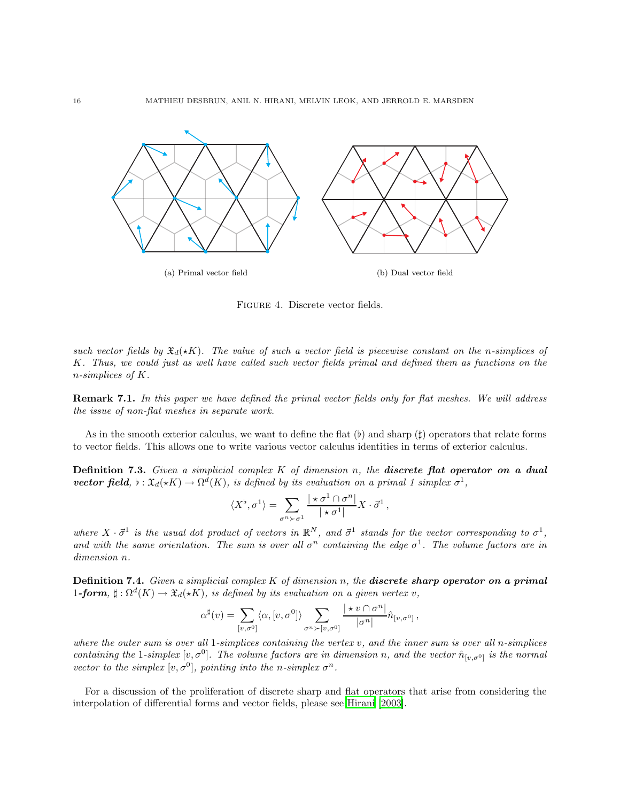

<span id="page-15-0"></span>Figure 4. Discrete vector fields.

such vector fields by  $\mathfrak{X}_d(\star K)$ . The value of such a vector field is piecewise constant on the n-simplices of K. Thus, we could just as well have called such vector fields primal and defined them as functions on the n-simplices of K.

Remark 7.1. In this paper we have defined the primal vector fields only for flat meshes. We will address the issue of non-flat meshes in separate work.

As in the smooth exterior calculus, we want to define the flat  $(b)$  and sharp  $(f)$  operators that relate forms to vector fields. This allows one to write various vector calculus identities in terms of exterior calculus.

**Definition 7.3.** Given a simplicial complex  $K$  of dimension n, the **discrete flat operator on a dual vector field**,  $\flat : \mathfrak{X}_d(\star K) \to \Omega^d(K)$ , is defined by its evaluation on a primal 1 simplex  $\sigma^1$ ,

$$
\langle X^{\flat}, \sigma^1 \rangle = \sum_{\sigma^n \succ \sigma^1} \frac{|\star \sigma^1 \cap \sigma^n|}{|\star \sigma^1|} X \cdot \vec{\sigma}^1,
$$

where  $X \cdot \vec{\sigma}^1$  is the usual dot product of vectors in  $\mathbb{R}^N$ , and  $\vec{\sigma}^1$  stands for the vector corresponding to  $\sigma^1$ , and with the same orientation. The sum is over all  $\sigma^n$  containing the edge  $\sigma^1$ . The volume factors are in dimension n.

Definition 7.4. Given a simplicial complex  $K$  of dimension n, the discrete sharp operator on a primal 1-form,  $\sharp : \Omega^d(K) \to \mathfrak{X}_d(\star K)$ , is defined by its evaluation on a given vertex v,

$$
\alpha^{\sharp}(v) = \sum_{[v,\sigma^0]} \langle \alpha, [v, \sigma^0] \rangle \sum_{\sigma^n \succ [v, \sigma^0]} \frac{|\star v \cap \sigma^n|}{|\sigma^n|} \hat{n}_{[v, \sigma^0]},
$$

where the outer sum is over all 1-simplices containing the vertex  $v$ , and the inner sum is over all n-simplices containing the 1-simplex  $[v, \sigma^0]$ . The volume factors are in dimension n, and the vector  $\hat{n}_{[v,\sigma^0]}$  is the normal vector to the simplex  $[v, \sigma^0]$ , pointing into the n-simplex  $\sigma^n$ .

For a discussion of the proliferation of discrete sharp and flat operators that arise from considering the interpolation of differential forms and vector fields, please see [Hirani \[2003\]](#page-51-20).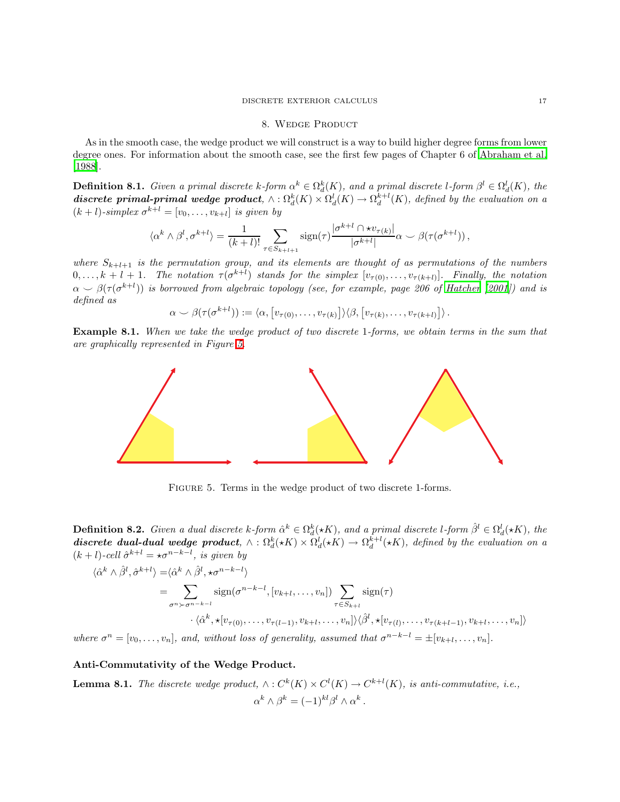#### 8. WEDGE PRODUCT

<span id="page-16-0"></span>As in the smooth case, the wedge product we will construct is a way to build higher degree forms from lower degree ones. For information about the smooth case, see the first few pages of Chapter 6 of [Abraham et al.](#page-50-1) [\[1988\]](#page-50-1).

<span id="page-16-2"></span>**Definition 8.1.** Given a primal discrete k-form  $\alpha^k \in \Omega_d^k(K)$ , and a primal discrete l-form  $\beta^l \in \Omega_d^l(K)$ , the discrete primal-primal wedge product,  $\wedge : \Omega_d^k(K) \times \Omega_d^l(K) \to \Omega_d^{k+l}(K)$ , defined by the evaluation on a  $(k+l)$ -simplex  $\sigma^{k+l} = [v_0, \ldots, v_{k+l}]$  is given by

$$
\langle \alpha^k \wedge \beta^l, \sigma^{k+l} \rangle = \frac{1}{(k+l)!} \sum_{\tau \in S_{k+l+1}} \operatorname{sign}(\tau) \frac{|\sigma^{k+l} \cap \star v_{\tau(k)}|}{|\sigma^{k+l}|} \alpha \smile \beta(\tau(\sigma^{k+l}))
$$

where  $S_{k+l+1}$  is the permutation group, and its elements are thought of as permutations of the numbers  $0,\ldots,k+l+1$ . The notation  $\tau(\sigma^{k+l})$  stands for the simplex  $[v_{\tau(0)},\ldots,v_{\tau(k+l)}]$ . Finally, the notation  $\alpha \sim \beta(\tau(\sigma^{k+l}))$  is borrowed from algebraic topology (see, for example, page 206 of [Hatcher \[2001\]](#page-51-21)) and is defined as

$$
\alpha \smile \beta(\tau(\sigma^{k+l})) := \langle \alpha, \big[v_{\tau(0)}, \ldots, v_{\tau(k)}\big] \rangle \langle \beta, \big[v_{\tau(k)}, \ldots, v_{\tau(k+l)}\big] \rangle.
$$

Example 8.1. When we take the wedge product of two discrete 1-forms, we obtain terms in the sum that are graphically represented in Figure [5.](#page-16-1)



<span id="page-16-1"></span>FIGURE 5. Terms in the wedge product of two discrete 1-forms.

**Definition 8.2.** Given a dual discrete k-form  $\hat{\alpha}^k \in \Omega_d^k(\star K)$ , and a primal discrete l-form  $\hat{\beta}^l \in \Omega_d^l(\star K)$ , the discrete dual-dual wedge product,  $\wedge : \Omega_d^k(*K) \times \Omega_d^l(*K) \to \Omega_d^{k+l}(*K)$ , defined by the evaluation on a  $(k+l)$ -cell  $\hat{\sigma}^{k+l} = \star \sigma^{n-k-l}$ , is given by

$$
\langle \hat{\alpha}^k \wedge \hat{\beta}^l, \hat{\sigma}^{k+l} \rangle = \langle \hat{\alpha}^k \wedge \hat{\beta}^l, \star \sigma^{n-k-l} \rangle
$$
  
\n
$$
= \sum_{\sigma^n \succ \sigma^{n-k-l}} \text{sign}(\sigma^{n-k-l}, [v_{k+l}, \dots, v_n]) \sum_{\tau \in S_{k+l}} \text{sign}(\tau)
$$
  
\n
$$
\cdot \langle \hat{\alpha}^k, \star [v_{\tau(0)}, \dots, v_{\tau(l-1)}, v_{k+l}, \dots, v_n] \rangle \langle \hat{\beta}^l, \star [v_{\tau(l)}, \dots, v_{\tau(k+l-1)}, v_{k+l}, \dots, v_n] \rangle
$$
  
\nwhere  $\sigma^n = [v_0, \dots, v_n]$ , and, without loss of generality, assumed that  $\sigma^{n-k-l} = \pm [v_{k+l}, \dots, v_n]$ .

Anti-Commutativity of the Wedge Product.

**Lemma 8.1.** The discrete wedge product,  $\wedge : C^k(K) \times C^l(K) \to C^{k+l}(K)$ , is anti-commutative, i.e.,  $\alpha^k \wedge \beta^k = (-1)^{kl} \beta^l \wedge \alpha^k.$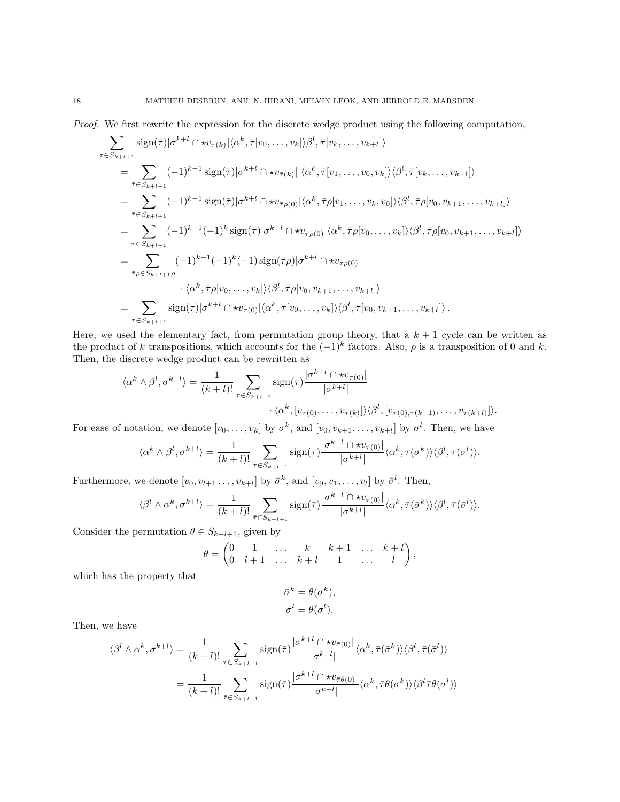Proof. We first rewrite the expression for the discrete wedge product using the following computation,

$$
\sum_{\bar{\tau}\in S_{k+l+1}} \operatorname{sign}(\bar{\tau})|\sigma^{k+l}\cap \star v_{\bar{\tau}(k)}|\langle \alpha^k, \bar{\tau}[v_0, \dots, v_k]\rangle \beta^l, \bar{\tau}[v_k, \dots, v_{k+l}]\rangle
$$
\n
$$
= \sum_{\bar{\tau}\in S_{k+l+1}} (-1)^{k-1} \operatorname{sign}(\bar{\tau})|\sigma^{k+l}\cap \star v_{\bar{\tau}(k)}|\langle \alpha^k, \bar{\tau}[v_1, \dots, v_0, v_k]\rangle \langle \beta^l, \bar{\tau}[v_k, \dots, v_{k+l}]\rangle
$$
\n
$$
= \sum_{\bar{\tau}\in S_{k+l+1}} (-1)^{k-1} \operatorname{sign}(\bar{\tau})|\sigma^{k+l}\cap \star v_{\bar{\tau}\rho(0)}|\langle \alpha^k, \bar{\tau}\rho[v_1, \dots, v_k, v_0]\rangle \langle \beta^l, \bar{\tau}\rho[v_0, v_{k+1}, \dots, v_{k+l}]\rangle
$$
\n
$$
= \sum_{\bar{\tau}\in S_{k+l+1}} (-1)^{k-1}(-1)^k \operatorname{sign}(\bar{\tau})|\sigma^{k+l}\cap \star v_{\bar{\tau}\rho(0)}|\langle \alpha^k, \bar{\tau}\rho[v_0, \dots, v_k]\rangle \langle \beta^l, \bar{\tau}\rho[v_0, v_{k+1}, \dots, v_{k+l}]\rangle
$$
\n
$$
= \sum_{\bar{\tau}\rho\in S_{k+l+1}\rho} (-1)^{k-1}(-1)^k(-1) \operatorname{sign}(\bar{\tau}\rho)|\sigma^{k+l}\cap \star v_{\bar{\tau}\rho(0)}|\sqrt{\sigma^{k+l}\cap \star v_{\bar{\tau}\rho(0)}}|\sqrt{\sigma^{k+l}\cap \star v_{\bar{\tau}\rho(0)}}|\sqrt{\sigma^{k+l}\cap \star v_{\bar{\tau}(0)}}|\sqrt{\sigma^{k+l}\cap \star v_{\bar{\tau}(0)}}|\sqrt{\sigma^{k+l}\cap \star v_{\bar{\tau}(0)}}|\sqrt{\sigma^{k+l}\cap \star v_{\bar{\tau}(0)}}|\sqrt{\sigma^{k+l}\cap \star v_{\bar{\tau}(0)}}|\sqrt{\sigma^{k+l}\cap \star v_{\bar{\tau}(0)}}|\sqrt{\sigma^{k+l}\cap \star v_{\bar{\tau}(0)}}|\sqrt{\sigma^{k+l}\cap \star v_{\bar{\tau}(0)}}|\sqrt{\sigma^{k+l}\cap \star v_{\bar{\
$$

Here, we used the elementary fact, from permutation group theory, that a  $k + 1$  cycle can be written as the product of k transpositions, which accounts for the  $(-1)^k$  factors. Also,  $\rho$  is a transposition of 0 and k. Then, the discrete wedge product can be rewritten as

$$
\langle \alpha^k \wedge \beta^l, \sigma^{k+l} \rangle = \frac{1}{(k+l)!} \sum_{\tau \in S_{k+l+1}} \operatorname{sign}(\tau) \frac{|\sigma^{k+l} \cap \star v_{\tau(0)}|}{|\sigma^{k+l}|} \cdot \langle \alpha^k, [v_{\tau(0)}, \dots, v_{\tau(k)}] \rangle \langle \beta^l, [v_{\tau(0), \tau(k+1)}, \dots, v_{\tau(k+l)}] \rangle.
$$

For ease of notation, we denote  $[v_0, \ldots, v_k]$  by  $\sigma^k$ , and  $[v_0, v_{k+1}, \ldots, v_{k+l}]$  by  $\sigma^l$ . Then, we have

$$
\langle \alpha^k \wedge \beta^l, \sigma^{k+l} \rangle = \frac{1}{(k+l)!} \sum_{\tau \in S_{k+l+1}} \operatorname{sign}(\tau) \frac{|\sigma^{k+l} \cap \star v_{\tau(0)}|}{|\sigma^{k+l}|} \langle \alpha^k, \tau(\sigma^k) \rangle \langle \beta^l, \tau(\sigma^l) \rangle.
$$

Furthermore, we denote  $[v_0, v_{l+1}, \ldots, v_{k+l}]$  by  $\bar{\sigma}^k$ , and  $[v_0, v_1, \ldots, v_l]$  by  $\bar{\sigma}^l$ . Then,

$$
\langle \beta^l \wedge \alpha^k, \sigma^{k+l} \rangle = \frac{1}{(k+l)!} \sum_{\bar{\tau} \in S_{k+l+1}} \operatorname{sign}(\bar{\tau}) \frac{|\sigma^{k+l} \cap \star v_{\bar{\tau}(0)}|}{|\sigma^{k+l}|} \langle \alpha^k, \bar{\tau}(\bar{\sigma}^k) \rangle \langle \beta^l, \bar{\tau}(\bar{\sigma}^l) \rangle.
$$

Consider the permutation  $\theta \in S_{k+l+1}$ , given by

$$
\theta=\begin{pmatrix}0&1&\dots&k&k+1&\dots&k+l\\0&l+1&\dots&k+l&1&\dots&l\end{pmatrix},
$$

which has the property that

$$
\bar{\sigma}^k = \theta(\sigma^k),
$$
  

$$
\bar{\sigma}^l = \theta(\sigma^l).
$$

Then, we have

$$
\langle \beta^l \wedge \alpha^k, \sigma^{k+l} \rangle = \frac{1}{(k+l)!} \sum_{\bar{\tau} \in S_{k+l+1}} \text{sign}(\bar{\tau}) \frac{|\sigma^{k+l} \cap \star v_{\bar{\tau}(0)}|}{|\sigma^{k+l}|} \langle \alpha^k, \bar{\tau}(\bar{\sigma}^k) \rangle \langle \beta^l, \bar{\tau}(\bar{\sigma}^l) \rangle
$$

$$
= \frac{1}{(k+l)!} \sum_{\bar{\tau} \in S_{k+l+1}} \text{sign}(\bar{\tau}) \frac{|\sigma^{k+l} \cap \star v_{\bar{\tau}\theta(0)}|}{|\sigma^{k+l}|} \langle \alpha^k, \bar{\tau}\theta(\sigma^k) \rangle \langle \beta^l \bar{\tau}\theta(\sigma^l) \rangle
$$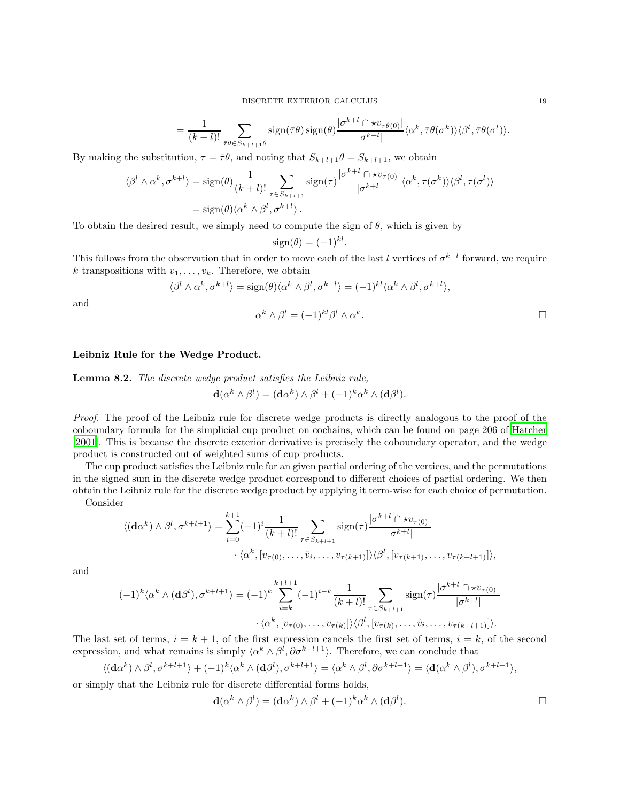DISCRETE EXTERIOR CALCULUS 19

$$
= \frac{1}{(k+l)!} \sum_{\bar{\tau} \theta \in S_{k+l+1} \theta} sign(\bar{\tau} \theta) sign(\theta) \frac{|\sigma^{k+l} \cap \star v_{\bar{\tau}\theta(0)}|}{|\sigma^{k+l}|} \langle \alpha^k, \bar{\tau} \theta(\sigma^k) \rangle \langle \beta^l, \bar{\tau} \theta(\sigma^l) \rangle.
$$

.

By making the substitution,  $\tau = \bar{\tau}\theta$ , and noting that  $S_{k+l+1}\theta = S_{k+l+1}$ , we obtain

$$
\langle \beta^l \wedge \alpha^k, \sigma^{k+l} \rangle = \text{sign}(\theta) \frac{1}{(k+l)!} \sum_{\tau \in S_{k+l+1}} \text{sign}(\tau) \frac{|\sigma^{k+l} \cap \star v_{\tau(0)}|}{|\sigma^{k+l}|} \langle \alpha^k, \tau(\sigma^k) \rangle \langle \beta^l, \tau(\sigma^l) \rangle
$$
  
= sign(\theta) \langle \alpha^k \wedge \beta^l, \sigma^{k+l} \rangle.

To obtain the desired result, we simply need to compute the sign of  $\theta$ , which is given by

$$
sign(\theta) = (-1)^{kl}
$$

This follows from the observation that in order to move each of the last l vertices of  $\sigma^{k+l}$  forward, we require k transpositions with  $v_1, \ldots, v_k$ . Therefore, we obtain

$$
\langle \beta^l \wedge \alpha^k, \sigma^{k+l} \rangle = \text{sign}(\theta) \langle \alpha^k \wedge \beta^l, \sigma^{k+l} \rangle = (-1)^{kl} \langle \alpha^k \wedge \beta^l, \sigma^{k+l} \rangle,
$$

and

$$
\alpha^k \wedge \beta^l = (-1)^{kl} \beta^l \wedge \alpha^k.
$$

# Leibniz Rule for the Wedge Product.

Lemma 8.2. The discrete wedge product satisfies the Leibniz rule,

$$
\mathbf{d}(\alpha^k \wedge \beta^l) = (\mathbf{d}\alpha^k) \wedge \beta^l + (-1)^k \alpha^k \wedge (\mathbf{d}\beta^l).
$$

Proof. The proof of the Leibniz rule for discrete wedge products is directly analogous to the proof of the coboundary formula for the simplicial cup product on cochains, which can be found on page 206 of [Hatcher](#page-51-21) [\[2001\]](#page-51-21). This is because the discrete exterior derivative is precisely the coboundary operator, and the wedge product is constructed out of weighted sums of cup products.

The cup product satisfies the Leibniz rule for an given partial ordering of the vertices, and the permutations in the signed sum in the discrete wedge product correspond to different choices of partial ordering. We then obtain the Leibniz rule for the discrete wedge product by applying it term-wise for each choice of permutation.

Consider

$$
\langle (\mathbf{d}\alpha^k) \wedge \beta^l, \sigma^{k+l+1} \rangle = \sum_{i=0}^{k+1} (-1)^i \frac{1}{(k+l)!} \sum_{\tau \in S_{k+l+1}} \operatorname{sign}(\tau) \frac{|\sigma^{k+l} \cap \star v_{\tau(0)}|}{|\sigma^{k+l}|} \cdot \langle \alpha^k, [v_{\tau(0)}, \dots, \hat{v}_i, \dots, v_{\tau(k+1)}] \rangle \langle \beta^l, [v_{\tau(k+1)}, \dots, v_{\tau(k+l+1)}] \rangle,
$$

and

$$
(-1)^k \langle \alpha^k \wedge (\mathbf{d} \beta^l), \sigma^{k+l+1} \rangle = (-1)^k \sum_{i=k}^{k+l+1} (-1)^{i-k} \frac{1}{(k+l)!} \sum_{\tau \in S_{k+l+1}} \text{sign}(\tau) \frac{|\sigma^{k+l} \cap \star v_{\tau(0)}|}{|\sigma^{k+l}|} \cdot \langle \alpha^k, [v_{\tau(0)}, \dots, v_{\tau(k)}] \rangle \langle \beta^l, [v_{\tau(k)}, \dots, \hat{v}_i, \dots, v_{\tau(k+l+1)}] \rangle.
$$

The last set of terms,  $i = k + 1$ , of the first expression cancels the first set of terms,  $i = k$ , of the second expression, and what remains is simply  $\langle \alpha^k \wedge \beta^l, \partial \sigma^{k+l+1} \rangle$ . Therefore, we can conclude that

$$
\langle (\mathbf{d}\alpha^k) \wedge \beta^l, \sigma^{k+l+1} \rangle + (-1)^k \langle \alpha^k \wedge (\mathbf{d}\beta^l), \sigma^{k+l+1} \rangle = \langle \alpha^k \wedge \beta^l, \partial \sigma^{k+l+1} \rangle = \langle \mathbf{d}(\alpha^k \wedge \beta^l), \sigma^{k+l+1} \rangle,
$$

or simply that the Leibniz rule for discrete differential forms holds,

$$
\mathbf{d}(\alpha^k \wedge \beta^l) = (\mathbf{d}\alpha^k) \wedge \beta^l + (-1)^k \alpha^k \wedge (\mathbf{d}\beta^l).
$$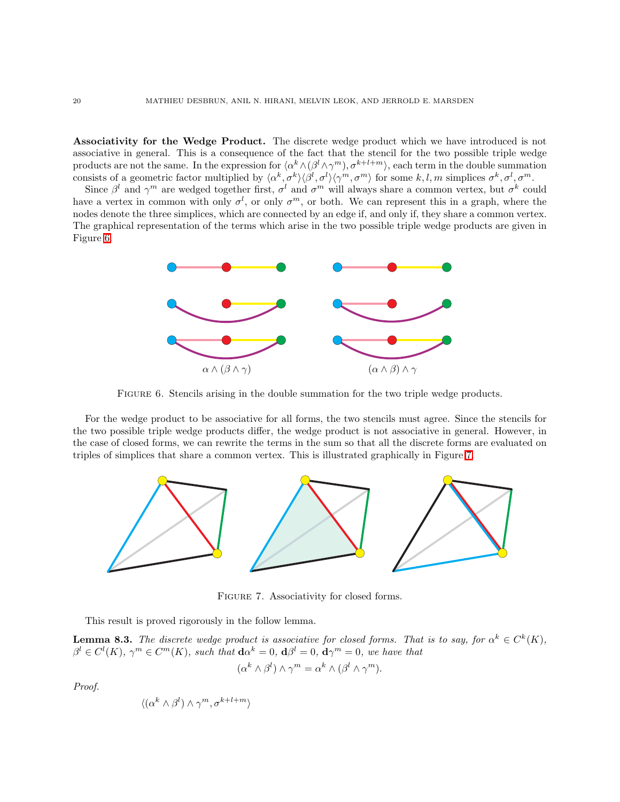Associativity for the Wedge Product. The discrete wedge product which we have introduced is not associative in general. This is a consequence of the fact that the stencil for the two possible triple wedge products are not the same. In the expression for  $\langle \alpha^k \wedge (\beta^l \wedge \gamma^m), \sigma^{k+l+m} \rangle$ , each term in the double summation consists of a geometric factor multiplied by  $\langle \alpha^k, \sigma^k \rangle \langle \beta^l, \sigma^l \rangle \langle \gamma^m, \sigma^m \rangle$  for some  $k, l, m$  simplices  $\sigma^k, \sigma^l, \sigma^m$ .

Since  $\beta^l$  and  $\gamma^m$  are wedged together first,  $\sigma^l$  and  $\sigma^m$  will always share a common vertex, but  $\sigma^k$  could have a vertex in common with only  $\sigma^l$ , or only  $\sigma^m$ , or both. We can represent this in a graph, where the nodes denote the three simplices, which are connected by an edge if, and only if, they share a common vertex. The graphical representation of the terms which arise in the two possible triple wedge products are given in Figure [6.](#page-19-0)



<span id="page-19-0"></span>Figure 6. Stencils arising in the double summation for the two triple wedge products.

For the wedge product to be associative for all forms, the two stencils must agree. Since the stencils for the two possible triple wedge products differ, the wedge product is not associative in general. However, in the case of closed forms, we can rewrite the terms in the sum so that all the discrete forms are evaluated on triples of simplices that share a common vertex. This is illustrated graphically in Figure [7.](#page-19-1)



<span id="page-19-1"></span>FIGURE 7. Associativity for closed forms.

This result is proved rigorously in the follow lemma.

**Lemma 8.3.** The discrete wedge product is associative for closed forms. That is to say, for  $\alpha^k \in C^k(K)$ ,  $\beta^{l} \in C^{l}(K)$ ,  $\gamma^{m} \in C^{m}(K)$ , such that  $d\alpha^{k} = 0$ ,  $d\beta^{l} = 0$ ,  $d\gamma^{m} = 0$ , we have that

$$
(\alpha^k \wedge \beta^l) \wedge \gamma^m = \alpha^k \wedge (\beta^l \wedge \gamma^m).
$$

Proof.

$$
\langle (\alpha^k \wedge \beta^l) \wedge \gamma^m, \sigma^{k+l+m} \rangle
$$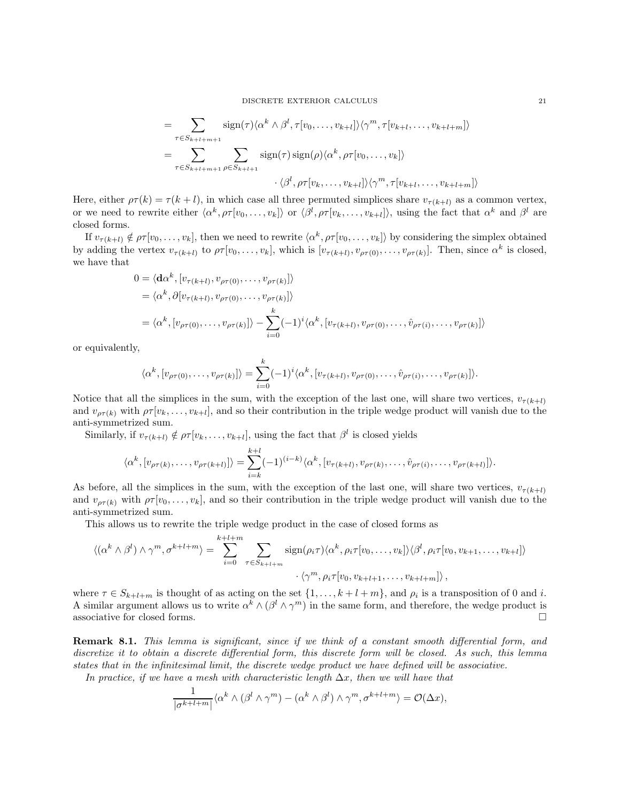$$
= \sum_{\tau \in S_{k+l+m+1}} \operatorname{sign}(\tau) \langle \alpha^k \wedge \beta^l, \tau[v_0, \dots, v_{k+l}] \rangle \langle \gamma^m, \tau[v_{k+l}, \dots, v_{k+l+m}] \rangle
$$
  

$$
= \sum_{\tau \in S_{k+l+m+1}} \sum_{\rho \in S_{k+l+1}} \operatorname{sign}(\tau) \operatorname{sign}(\rho) \langle \alpha^k, \rho \tau[v_0, \dots, v_k] \rangle
$$
  

$$
\cdot \langle \beta^l, \rho \tau[v_k, \dots, v_{k+l}] \rangle \langle \gamma^m, \tau[v_{k+l}, \dots, v_{k+l+m}] \rangle
$$

Here, either  $\rho \tau(k) = \tau(k+l)$ , in which case all three permuted simplices share  $v_{\tau(k+l)}$  as a common vertex, or we need to rewrite either  $\langle \alpha^k, \rho \tau[v_0, \ldots, v_k] \rangle$  or  $\langle \beta^l, \rho \tau[v_k, \ldots, v_{k+l}] \rangle$ , using the fact that  $\alpha^k$  and  $\beta^l$  are closed forms.

If  $v_{\tau(k+l)} \notin \rho \tau[v_0, \ldots, v_k]$ , then we need to rewrite  $\langle \alpha^k, \rho \tau[v_0, \ldots, v_k] \rangle$  by considering the simplex obtained by adding the vertex  $v_{\tau(k+l)}$  to  $\rho \tau[v_0, \ldots, v_k]$ , which is  $[v_{\tau(k+l)}, v_{\rho \tau(0)}, \ldots, v_{\rho \tau(k)}]$ . Then, since  $\alpha^k$  is closed, we have that

$$
0 = \langle \mathbf{d}\alpha^k, [v_{\tau(k+l)}, v_{\rho\tau(0)}, \dots, v_{\rho\tau(k)}] \rangle
$$
  
\n
$$
= \langle \alpha^k, \partial [v_{\tau(k+l)}, v_{\rho\tau(0)}, \dots, v_{\rho\tau(k)}] \rangle
$$
  
\n
$$
= \langle \alpha^k, [v_{\rho\tau(0)}, \dots, v_{\rho\tau(k)}] \rangle - \sum_{i=0}^k (-1)^i \langle \alpha^k, [v_{\tau(k+l)}, v_{\rho\tau(0)}, \dots, \hat{v}_{\rho\tau(i)}, \dots, v_{\rho\tau(k)}] \rangle
$$

or equivalently,

$$
\langle \alpha^k, [v_{\rho\tau(0)}, \ldots, v_{\rho\tau(k)}] \rangle = \sum_{i=0}^k (-1)^i \langle \alpha^k, [v_{\tau(k+l)}, v_{\rho\tau(0)}, \ldots, \hat{v}_{\rho\tau(i)}, \ldots, v_{\rho\tau(k)}] \rangle.
$$

Notice that all the simplices in the sum, with the exception of the last one, will share two vertices,  $v_{\tau(k+l)}$ and  $v_{\rho\tau(k)}$  with  $\rho\tau[v_k,\ldots,v_{k+l}]$ , and so their contribution in the triple wedge product will vanish due to the anti-symmetrized sum.

Similarly, if  $v_{\tau(k+l)} \notin \rho_{\tau}[v_k, \ldots, v_{k+l}],$  using the fact that  $\beta^l$  is closed yields

$$
\langle \alpha^k, [v_{\rho\tau(k)}, \dots, v_{\rho\tau(k+l)}] \rangle = \sum_{i=k}^{k+l} (-1)^{(i-k)} \langle \alpha^k, [v_{\tau(k+l)}, v_{\rho\tau(k)}, \dots, \hat{v}_{\rho\tau(i)}, \dots, v_{\rho\tau(k+l)}] \rangle.
$$

As before, all the simplices in the sum, with the exception of the last one, will share two vertices,  $v_{\tau(k+l)}$ and  $v_{\rho\tau(k)}$  with  $\rho\tau[v_0,\ldots,v_k]$ , and so their contribution in the triple wedge product will vanish due to the anti-symmetrized sum.

This allows us to rewrite the triple wedge product in the case of closed forms as

$$
\langle (\alpha^k \wedge \beta^l) \wedge \gamma^m, \sigma^{k+l+m} \rangle = \sum_{i=0}^{k+l+m} \sum_{\tau \in S_{k+l+m}} \operatorname{sign}(\rho_i \tau) \langle \alpha^k, \rho_i \tau [v_0, \dots, v_k] \rangle \langle \beta^l, \rho_i \tau [v_0, v_{k+1}, \dots, v_{k+l}] \rangle
$$

$$
\langle \gamma^m, \rho_i \tau [v_0, v_{k+l+1}, \dots, v_{k+l+m}] \rangle,
$$

where  $\tau \in S_{k+l+m}$  is thought of as acting on the set  $\{1,\ldots,k+l+m\}$ , and  $\rho_i$  is a transposition of 0 and *i*. A similar argument allows us to write  $\alpha^k \wedge (\beta^l \wedge \gamma^m)$  in the same form, and therefore, the wedge product is associative for closed forms.  $\Box$ 

Remark 8.1. This lemma is significant, since if we think of a constant smooth differential form, and discretize it to obtain a discrete differential form, this discrete form will be closed. As such, this lemma states that in the infinitesimal limit, the discrete wedge product we have defined will be associative.

In practice, if we have a mesh with characteristic length  $\Delta x$ , then we will have that

$$
\frac{1}{|\sigma^{k+l+m}|} \langle \alpha^k \wedge (\beta^l \wedge \gamma^m) - (\alpha^k \wedge \beta^l) \wedge \gamma^m, \sigma^{k+l+m} \rangle = \mathcal{O}(\Delta x),
$$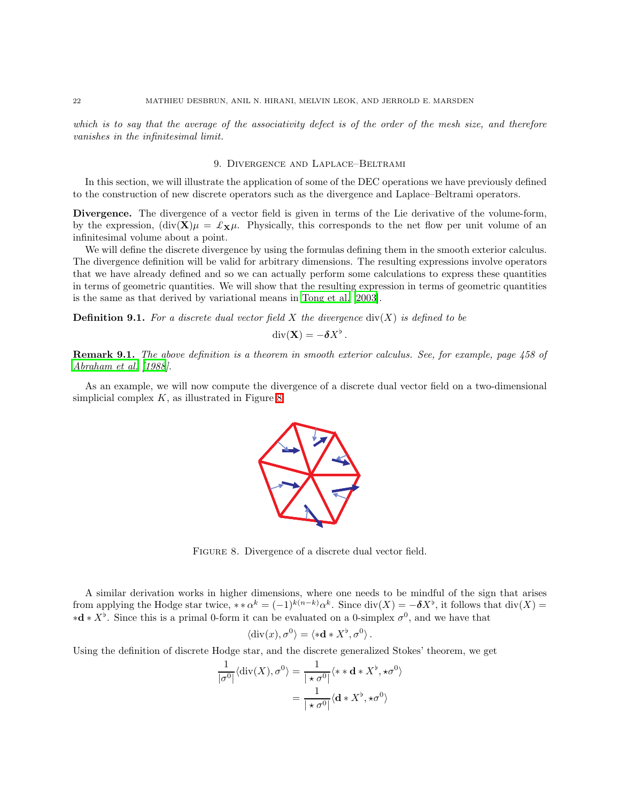<span id="page-21-0"></span>which is to say that the average of the associativity defect is of the order of the mesh size, and therefore vanishes in the infinitesimal limit.

### 9. Divergence and Laplace–Beltrami

In this section, we will illustrate the application of some of the DEC operations we have previously defined to the construction of new discrete operators such as the divergence and Laplace–Beltrami operators.

Divergence. The divergence of a vector field is given in terms of the Lie derivative of the volume-form, by the expression,  $(\text{div}(\mathbf{X})\mu = \pounds_{\mathbf{X}}\mu$ . Physically, this corresponds to the net flow per unit volume of an infinitesimal volume about a point.

We will define the discrete divergence by using the formulas defining them in the smooth exterior calculus. The divergence definition will be valid for arbitrary dimensions. The resulting expressions involve operators that we have already defined and so we can actually perform some calculations to express these quantities in terms of geometric quantities. We will show that the resulting expression in terms of geometric quantities is the same as that derived by variational means in [Tong et al.](#page-52-0) [\[2003\]](#page-52-0).

**Definition 9.1.** For a discrete dual vector field X the divergence  $\text{div}(X)$  is defined to be

$$
\operatorname{div}(\mathbf{X}) = -\boldsymbol{\delta} X^{\flat}.
$$

Remark 9.1. The above definition is a theorem in smooth exterior calculus. See, for example, page 458 of [Abraham et al. \[1988](#page-50-1)].

As an example, we will now compute the divergence of a discrete dual vector field on a two-dimensional simplicial complex  $K$ , as illustrated in Figure [8.](#page-21-1)



<span id="page-21-1"></span>FIGURE 8. Divergence of a discrete dual vector field.

A similar derivation works in higher dimensions, where one needs to be mindful of the sign that arises from applying the Hodge star twice, \*\* $\alpha^k = (-1)^{k(n-k)} \alpha^k$ . Since  $\text{div}(X) = -\delta X^{\flat}$ , it follows that  $\text{div}(X) =$  $\star \mathbf{d} * X^{\flat}$ . Since this is a primal 0-form it can be evaluated on a 0-simplex  $\sigma^0$ , and we have that

$$
\langle \text{div}(x), \sigma^0 \rangle = \langle * \mathbf{d} * X^{\flat}, \sigma^0 \rangle.
$$

Using the definition of discrete Hodge star, and the discrete generalized Stokes' theorem, we get

$$
\frac{1}{|\sigma^0|} \langle \operatorname{div}(X), \sigma^0 \rangle = \frac{1}{|\star \sigma^0|} \langle * \star \mathbf{d} * X^{\flat}, \star \sigma^0 \rangle
$$

$$
= \frac{1}{|\star \sigma^0|} \langle \mathbf{d} * X^{\flat}, \star \sigma^0 \rangle
$$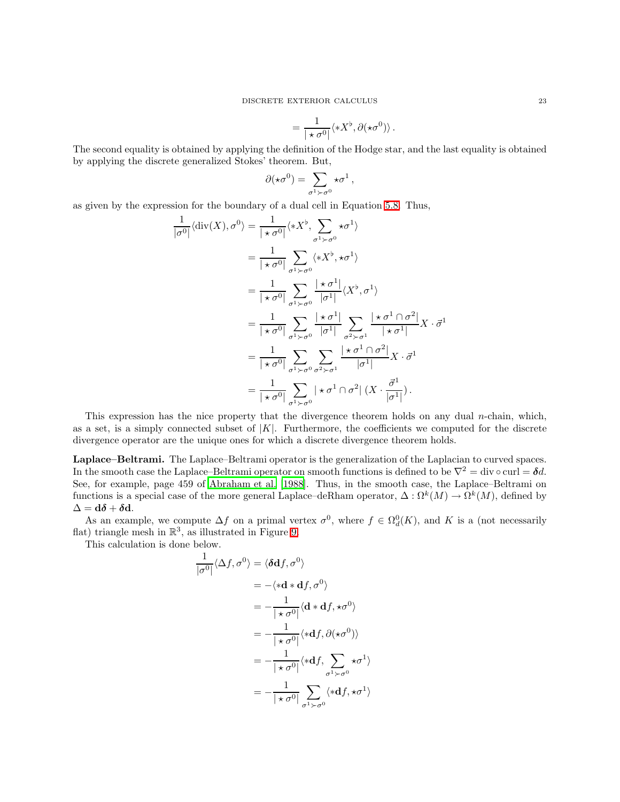$$
= \frac{1}{|\star \sigma^0|} \langle * X^\flat, \partial (\star \sigma^0) \rangle \, .
$$

The second equality is obtained by applying the definition of the Hodge star, and the last equality is obtained by applying the discrete generalized Stokes' theorem. But,

$$
\partial(\star\sigma^0)=\sum_{\sigma^1\succ\sigma^0}\star\sigma^1\,,
$$

as given by the expression for the boundary of a dual cell in Equation [5.8.](#page-13-2) Thus,

$$
\frac{1}{|\sigma^0|} \langle \operatorname{div}(X), \sigma^0 \rangle = \frac{1}{|\star \sigma^0|} \langle *X^{\flat}, \sum_{\sigma^1 \succ \sigma^0} \star \sigma^1 \rangle
$$
  
\n
$$
= \frac{1}{|\star \sigma^0|} \sum_{\sigma^1 \succ \sigma^0} \langle *X^{\flat}, \star \sigma^1 \rangle
$$
  
\n
$$
= \frac{1}{|\star \sigma^0|} \sum_{\sigma^1 \succ \sigma^0} \frac{|\star \sigma^1|}{|\sigma^1|} \langle X^{\flat}, \sigma^1 \rangle
$$
  
\n
$$
= \frac{1}{|\star \sigma^0|} \sum_{\sigma^1 \succ \sigma^0} \frac{|\star \sigma^1|}{|\sigma^1|} \sum_{\sigma^2 \succ \sigma^1} \frac{|\star \sigma^1 \cap \sigma^2|}{|\star \sigma^1|} X \cdot \vec{\sigma}^1
$$
  
\n
$$
= \frac{1}{|\star \sigma^0|} \sum_{\sigma^1 \succ \sigma^0} \sum_{\sigma^2 \succ \sigma^1} \frac{|\star \sigma^1 \cap \sigma^2|}{|\sigma^1|} X \cdot \vec{\sigma}^1
$$
  
\n
$$
= \frac{1}{|\star \sigma^0|} \sum_{\sigma^1 \succ \sigma^0} \sum_{\sigma^2 \succ \sigma^1} \frac{|\star \sigma^1 \cap \sigma^2|}{|\sigma^1|} X \cdot \vec{\sigma}^1
$$
  
\n
$$
= \frac{1}{|\star \sigma^0|} \sum_{\sigma^1 \succ \sigma^0} |\star \sigma^1 \cap \sigma^2| (X \cdot \frac{\vec{\sigma}^1}{|\sigma^1|}).
$$

This expression has the nice property that the divergence theorem holds on any dual *n*-chain, which, as a set, is a simply connected subset of  $|K|$ . Furthermore, the coefficients we computed for the discrete divergence operator are the unique ones for which a discrete divergence theorem holds.

Laplace–Beltrami. The Laplace–Beltrami operator is the generalization of the Laplacian to curved spaces. In the smooth case the Laplace–Beltrami operator on smooth functions is defined to be  $\nabla^2 = \text{div} \circ \text{curl} = \delta d$ . See, for example, page 459 of [Abraham et al. \[1988\]](#page-50-1). Thus, in the smooth case, the Laplace–Beltrami on functions is a special case of the more general Laplace–deRham operator,  $\Delta:\Omega^k(M)\to\Omega^k(M)$ , defined by  $\Delta = d\delta + \delta d.$ 

As an example, we compute  $\Delta f$  on a primal vertex  $\sigma^0$ , where  $f \in \Omega_d^0(K)$ , and K is a (not necessarily flat) triangle mesh in  $\mathbb{R}^3$ , as illustrated in Figure [9.](#page-23-1)

This calculation is done below.

$$
\frac{1}{|\sigma^0|} \langle \Delta f, \sigma^0 \rangle = \langle \delta \mathbf{d} f, \sigma^0 \rangle
$$
  
\n
$$
= - \langle * \mathbf{d} * \mathbf{d} f, \sigma^0 \rangle
$$
  
\n
$$
= - \frac{1}{|\star \sigma^0|} \langle \mathbf{d} * \mathbf{d} f, * \sigma^0 \rangle
$$
  
\n
$$
= - \frac{1}{|\star \sigma^0|} \langle * \mathbf{d} f, \partial (* \sigma^0) \rangle
$$
  
\n
$$
= - \frac{1}{|\star \sigma^0|} \langle * \mathbf{d} f, \sum_{\sigma^1 \succ \sigma^0} * \sigma^1 \rangle
$$
  
\n
$$
= - \frac{1}{|\star \sigma^0|} \sum_{\sigma^1 \succ \sigma^0} \langle * \mathbf{d} f, * \sigma^1 \rangle
$$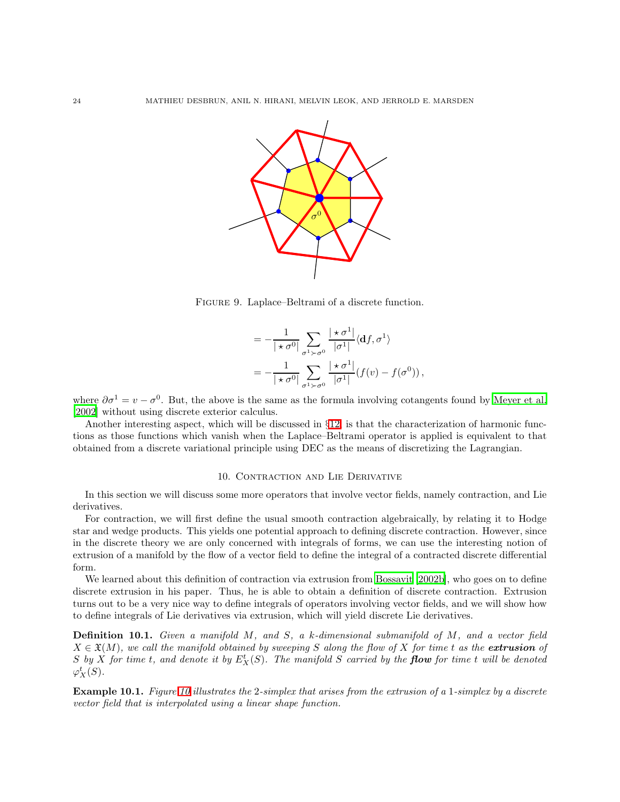

<span id="page-23-1"></span>Figure 9. Laplace–Beltrami of a discrete function.

$$
= -\frac{1}{|\star \sigma^0|} \sum_{\sigma^1 \succ \sigma^0} \frac{|\star \sigma^1|}{|\sigma^1|} \langle df, \sigma^1 \rangle
$$
  
= 
$$
-\frac{1}{|\star \sigma^0|} \sum_{\sigma^1 \succ \sigma^0} \frac{|\star \sigma^1|}{|\sigma^1|} (f(v) - f(\sigma^0)),
$$

where  $\partial \sigma^1 = v - \sigma^0$ . But, the above is the same as the formula involving cotangents found by [Meyer et al.](#page-51-19) [\[2002\]](#page-51-19) without using discrete exterior calculus.

Another interesting aspect, which will be discussed in §[12,](#page-37-0) is that the characterization of harmonic functions as those functions which vanish when the Laplace–Beltrami operator is applied is equivalent to that obtained from a discrete variational principle using DEC as the means of discretizing the Lagrangian.

### 10. Contraction and Lie Derivative

<span id="page-23-0"></span>In this section we will discuss some more operators that involve vector fields, namely contraction, and Lie derivatives.

For contraction, we will first define the usual smooth contraction algebraically, by relating it to Hodge star and wedge products. This yields one potential approach to defining discrete contraction. However, since in the discrete theory we are only concerned with integrals of forms, we can use the interesting notion of extrusion of a manifold by the flow of a vector field to define the integral of a contracted discrete differential form.

We learned about this definition of contraction via extrusion from [Bossavit \[2002b\]](#page-50-6), who goes on to define discrete extrusion in his paper. Thus, he is able to obtain a definition of discrete contraction. Extrusion turns out to be a very nice way to define integrals of operators involving vector fields, and we will show how to define integrals of Lie derivatives via extrusion, which will yield discrete Lie derivatives.

Definition 10.1. Given a manifold M, and S, a k-dimensional submanifold of M, and a vector field  $X \in \mathfrak{X}(M)$ , we call the manifold obtained by sweeping S along the flow of X for time t as the **extrusion** of S by X for time t, and denote it by  $E_X^t(S)$ . The manifold S carried by the **flow** for time t will be denoted  $\varphi_X^t(S)$ .

Example 10.1. Figure [10](#page-24-0) illustrates the 2-simplex that arises from the extrusion of a 1-simplex by a discrete vector field that is interpolated using a linear shape function.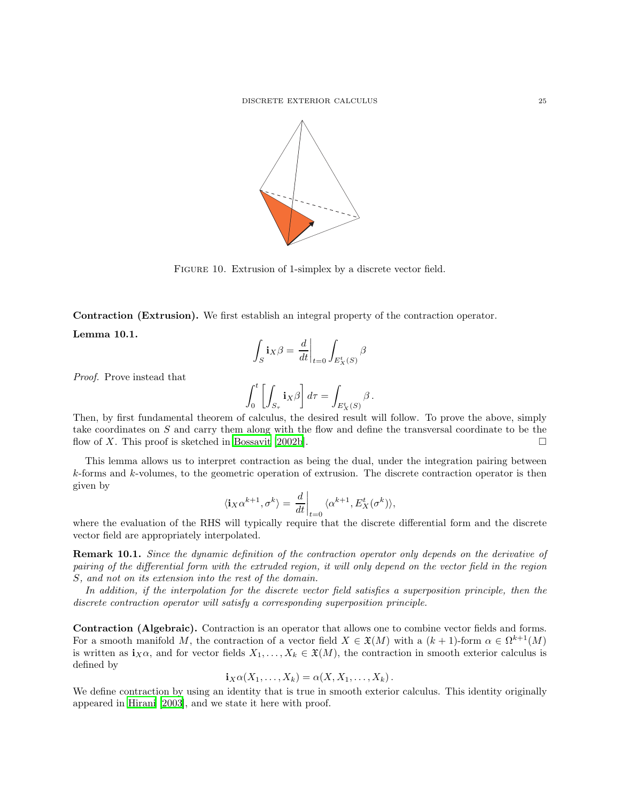

<span id="page-24-0"></span>FIGURE 10. Extrusion of 1-simplex by a discrete vector field.

Contraction (Extrusion). We first establish an integral property of the contraction operator.

Lemma 10.1.

$$
\int_S \mathbf{i} _X \beta = \left. \frac{d}{dt} \right|_{t=0} \int_{E_X^t(S)} \beta
$$

Proof. Prove instead that

$$
\int_0^t \left[ \int_{S_{\tau}} \mathbf{i}_X \beta \right] d\tau = \int_{E^t_X(S)} \beta \, .
$$

Then, by first fundamental theorem of calculus, the desired result will follow. To prove the above, simply take coordinates on S and carry them along with the flow and define the transversal coordinate to be the flow of X. This proof is sketched in [Bossavit \[2002b](#page-50-6)].

This lemma allows us to interpret contraction as being the dual, under the integration pairing between k-forms and k-volumes, to the geometric operation of extrusion. The discrete contraction operator is then given by

$$
\langle \mathbf{i}_{X}\alpha^{k+1}, \sigma^{k}\rangle = \left. \frac{d}{dt} \right|_{t=0} \langle \alpha^{k+1}, E_{X}^{t}(\sigma^{k})\rangle,
$$

where the evaluation of the RHS will typically require that the discrete differential form and the discrete vector field are appropriately interpolated.

Remark 10.1. Since the dynamic definition of the contraction operator only depends on the derivative of pairing of the differential form with the extruded region, it will only depend on the vector field in the region S, and not on its extension into the rest of the domain.

In addition, if the interpolation for the discrete vector field satisfies a superposition principle, then the discrete contraction operator will satisfy a corresponding superposition principle.

Contraction (Algebraic). Contraction is an operator that allows one to combine vector fields and forms. For a smooth manifold M, the contraction of a vector field  $X \in \mathfrak{X}(M)$  with a  $(k+1)$ -form  $\alpha \in \Omega^{k+1}(M)$ is written as  $\mathbf{i}_X\alpha$ , and for vector fields  $X_1, \ldots, X_k \in \mathfrak{X}(M)$ , the contraction in smooth exterior calculus is defined by

$$
\mathbf{i}_X\alpha(X_1,\ldots,X_k)=\alpha(X,X_1,\ldots,X_k).
$$

<span id="page-24-1"></span>We define contraction by using an identity that is true in smooth exterior calculus. This identity originally appeared in [Hirani \[2003](#page-51-20)], and we state it here with proof.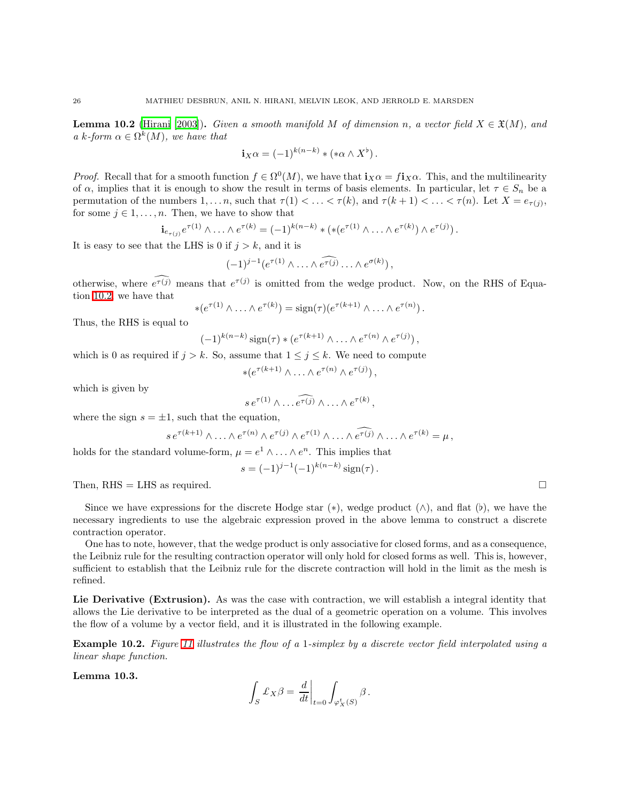**Lemma 10.2** [\(Hirani \[2003\]](#page-51-20)). Given a smooth manifold M of dimension n, a vector field  $X \in \mathfrak{X}(M)$ , and a k-form  $\alpha \in \Omega^k(M)$ , we have that

$$
\mathbf{i}_X\alpha = (-1)^{k(n-k)} * (*\alpha \wedge X^{\flat}).
$$

*Proof.* Recall that for a smooth function  $f \in \Omega^0(M)$ , we have that  $\mathbf{i}_X \alpha = f \mathbf{i}_X \alpha$ . This, and the multilinearity of  $\alpha$ , implies that it is enough to show the result in terms of basis elements. In particular, let  $\tau \in S_n$  be a permutation of the numbers  $1, \ldots n$ , such that  $\tau(1) < \ldots < \tau(k)$ , and  $\tau(k+1) < \ldots < \tau(n)$ . Let  $X = e_{\tau(j)}$ , for some  $j \in 1, \ldots, n$ . Then, we have to show that

$$
\mathbf{i}_{e_{\tau(j)}}e^{\tau(1)}\wedge\ldots\wedge e^{\tau(k)} = (-1)^{k(n-k)} * (*(e^{\tau(1)}\wedge\ldots\wedge e^{\tau(k)})\wedge e^{\tau(j)})\,.
$$

It is easy to see that the LHS is 0 if  $j > k$ , and it is

$$
(-1)^{j-1}(e^{\tau(1)}\wedge\ldots\wedge\widehat{e^{\tau(j)}}\ldots\wedge e^{\sigma(k)}),
$$

otherwise, where  $e^{\tau(j)}$  means that  $e^{\tau(j)}$  is omitted from the wedge product. Now, on the RHS of Equation [10.2,](#page-24-1) we have that

$$
*(e^{\tau(1)}\wedge \ldots \wedge e^{\tau(k)}) = \text{sign}(\tau)(e^{\tau(k+1)}\wedge \ldots \wedge e^{\tau(n)})\,.
$$

Thus, the RHS is equal to

$$
(-1)^{k(n-k)}\operatorname{sign}(\tau) * (e^{\tau(k+1)} \wedge \ldots \wedge e^{\tau(n)} \wedge e^{\tau(j)}),
$$

which is 0 as required if  $j > k$ . So, assume that  $1 \leq j \leq k$ . We need to compute

$$
*(e^{\tau(k+1)} \wedge \ldots \wedge e^{\tau(n)} \wedge e^{\tau(j)}),
$$

which is given by

$$
s\,e^{\tau(1)}\wedge\ldots\widehat{e^{\tau(j)}}\wedge\ldots\wedge e^{\tau(k)},
$$

where the sign  $s = \pm 1$ , such that the equation,

$$
s e^{\tau(k+1)} \wedge \ldots \wedge e^{\tau(n)} \wedge e^{\tau(j)} \wedge e^{\tau(1)} \wedge \ldots \wedge e^{\tau(j)} \wedge \ldots \wedge e^{\tau(k)} = \mu,
$$

holds for the standard volume-form,  $\mu = e^1 \wedge \ldots \wedge e^n$ . This implies that

$$
s = (-1)^{j-1} (-1)^{k(n-k)} \operatorname{sign}(\tau).
$$

Then, RHS = LHS as required.  $\square$ 

| Since we have expressions for the discrete Hodge star (*), wedge product ( $\wedge$ ), and flat (b), we have the |  |  |  |  |  |  |  |
|------------------------------------------------------------------------------------------------------------------|--|--|--|--|--|--|--|
| necessary ingredients to use the algebraic expression proved in the above lemma to construct a discrete          |  |  |  |  |  |  |  |
| contraction operator.                                                                                            |  |  |  |  |  |  |  |

One has to note, however, that the wedge product is only associative for closed forms, and as a consequence, the Leibniz rule for the resulting contraction operator will only hold for closed forms as well. This is, however, sufficient to establish that the Leibniz rule for the discrete contraction will hold in the limit as the mesh is refined.

Lie Derivative (Extrusion). As was the case with contraction, we will establish a integral identity that allows the Lie derivative to be interpreted as the dual of a geometric operation on a volume. This involves the flow of a volume by a vector field, and it is illustrated in the following example.

Example 10.2. Figure [11](#page-26-1) illustrates the flow of a 1-simplex by a discrete vector field interpolated using a linear shape function.

Lemma 10.3.

$$
\int_S \pounds_X \beta = \left.\frac{d}{dt}\right|_{t=0} \int_{\varphi^t_X(S)} \beta\,.
$$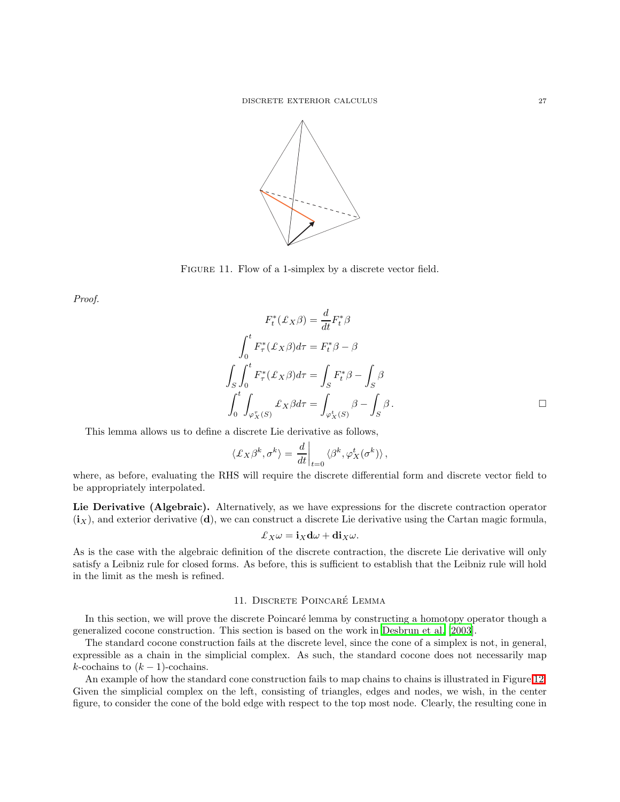

<span id="page-26-1"></span>FIGURE 11. Flow of a 1-simplex by a discrete vector field.

Proof.

$$
F_t^*(\mathcal{L}_X \beta) = \frac{d}{dt} F_t^* \beta
$$

$$
\int_0^t F_\tau^*(\mathcal{L}_X \beta) d\tau = F_t^* \beta - \beta
$$

$$
\int_S \int_0^t F_\tau^*(\mathcal{L}_X \beta) d\tau = \int_S F_t^* \beta - \int_S \beta
$$

$$
\int_0^t \int_{\varphi_X^*(S)} \mathcal{L}_X \beta d\tau = \int_{\varphi_X^*(S)} \beta - \int_S \beta.
$$

This lemma allows us to define a discrete Lie derivative as follows,

$$
\langle \pounds_X \beta^k, \sigma^k \rangle = \frac{d}{dt} \Big|_{t=0} \langle \beta^k, \varphi^t_X(\sigma^k) \rangle,
$$

where, as before, evaluating the RHS will require the discrete differential form and discrete vector field to be appropriately interpolated.

Lie Derivative (Algebraic). Alternatively, as we have expressions for the discrete contraction operator  $(i<sub>X</sub>)$ , and exterior derivative (d), we can construct a discrete Lie derivative using the Cartan magic formula,

$$
\pounds_X \omega = \mathbf{i}_X \mathbf{d} \omega + \mathbf{d} \mathbf{i}_X \omega.
$$

As is the case with the algebraic definition of the discrete contraction, the discrete Lie derivative will only satisfy a Leibniz rule for closed forms. As before, this is sufficient to establish that the Leibniz rule will hold in the limit as the mesh is refined.

# 11. DISCRETE POINCARÉ LEMMA

<span id="page-26-0"></span>In this section, we will prove the discrete Poincaré lemma by constructing a homotopy operator though a generalized cocone construction. This section is based on the work in [Desbrun et al. \[2003\]](#page-50-8).

The standard cocone construction fails at the discrete level, since the cone of a simplex is not, in general, expressible as a chain in the simplicial complex. As such, the standard cocone does not necessarily map k-cochains to  $(k-1)$ -cochains.

An example of how the standard cone construction fails to map chains to chains is illustrated in Figure [12.](#page-27-0) Given the simplicial complex on the left, consisting of triangles, edges and nodes, we wish, in the center figure, to consider the cone of the bold edge with respect to the top most node. Clearly, the resulting cone in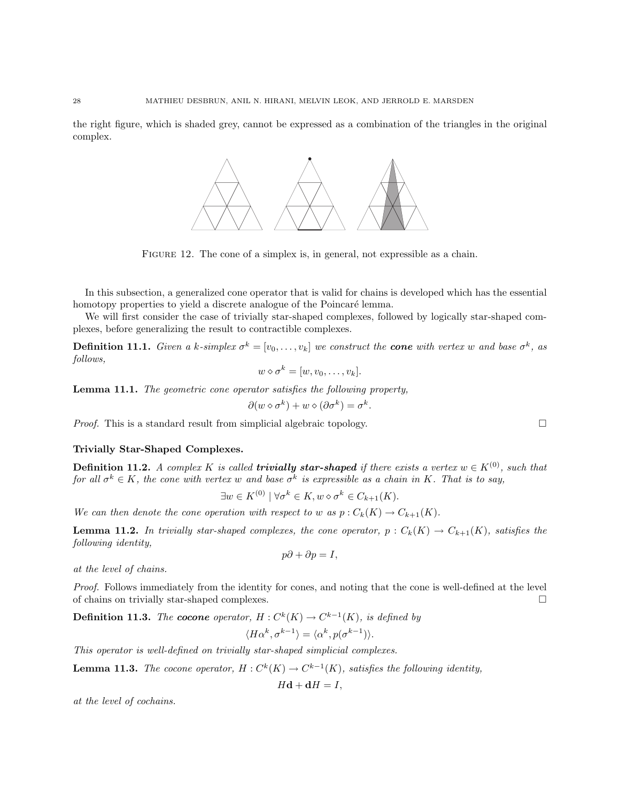the right figure, which is shaded grey, cannot be expressed as a combination of the triangles in the original complex.



<span id="page-27-0"></span>FIGURE 12. The cone of a simplex is, in general, not expressible as a chain.

In this subsection, a generalized cone operator that is valid for chains is developed which has the essential homotopy properties to yield a discrete analogue of the Poincaré lemma.

We will first consider the case of trivially star-shaped complexes, followed by logically star-shaped complexes, before generalizing the result to contractible complexes.

**Definition 11.1.** Given a k-simplex  $\sigma^k = [v_0, \ldots, v_k]$  we construct the **cone** with vertex w and base  $\sigma^k$ , as follows,

$$
w \diamond \sigma^k = [w, v_0, \dots, v_k].
$$

Lemma 11.1. The geometric cone operator satisfies the following property,

$$
\partial(w \diamond \sigma^k) + w \diamond (\partial \sigma^k) = \sigma^k.
$$

*Proof.* This is a standard result from simplicial algebraic topology.  $\square$ 

### Trivially Star-Shaped Complexes.

**Definition 11.2.** A complex K is called **trivially star-shaped** if there exists a vertex  $w \in K^{(0)}$ , such that for all  $\sigma^k \in K$ , the cone with vertex w and base  $\sigma^k$  is expressible as a chain in K. That is to say,

$$
\exists w \in K^{(0)} \mid \forall \sigma^k \in K, w \diamond \sigma^k \in C_{k+1}(K).
$$

We can then denote the cone operation with respect to w as  $p: C_k(K) \to C_{k+1}(K)$ .

**Lemma 11.2.** In trivially star-shaped complexes, the cone operator,  $p : C_k(K) \to C_{k+1}(K)$ , satisfies the following identity,

$$
p\partial + \partial p = I,
$$

at the level of chains.

Proof. Follows immediately from the identity for cones, and noting that the cone is well-defined at the level of chains on trivially star-shaped complexes.

**Definition 11.3.** The **cocone** operator,  $H: C^{k}(K) \to C^{k-1}(K)$ , is defined by  $\langle H\alpha^k, \sigma^{k-1} \rangle = \langle \alpha^k, p(\sigma^{k-1}) \rangle.$ 

This operator is well-defined on trivially star-shaped simplicial complexes.

**Lemma 11.3.** The cocone operator,  $H: C^{k}(K) \to C^{k-1}(K)$ , satisfies the following identity,

 $H\mathbf{d} + \mathbf{d}H = I$ .

at the level of cochains.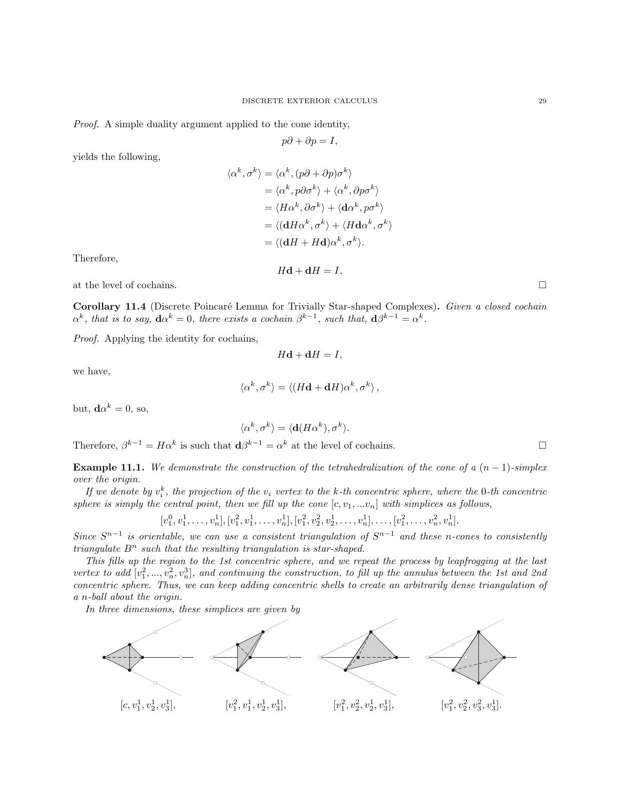Proof. A simple duality argument applied to the cone identity,

$$
p\partial + \partial p = I,
$$

yields the following,

$$
\langle \alpha^k, \sigma^k \rangle = \langle \alpha^k, (p\partial + \partial p)\sigma^k \rangle
$$
  
=  $\langle \alpha^k, p\partial \sigma^k \rangle + \langle \alpha^k, \partial p\sigma^k \rangle$   
=  $\langle H\alpha^k, \partial \sigma^k \rangle + \langle \mathbf{d}\alpha^k, p\sigma^k \rangle$   
=  $\langle (\mathbf{d}H\alpha^k, \sigma^k) + \langle H\mathbf{d}\alpha^k, \sigma^k \rangle$   
=  $\langle (\mathbf{d}H + H\mathbf{d})\alpha^k, \sigma^k \rangle$ .

Therefore,

at the level of cochains.  $\Box$ 

Corollary 11.4 (Discrete Poincaré Lemma for Trivially Star-shaped Complexes). Given a closed cochain  $\alpha^k$ , that is to say,  $d\alpha^k = 0$ , there exists a cochain  $\beta^{k-1}$ , such that,  $d\beta^{k-1} = \alpha^k$ .

 $H\mathbf{d} + \mathbf{d}H = I$ ,

Proof. Applying the identity for cochains,

 $H\mathbf{d} + \mathbf{d}H = I$ ,

we have,

$$
\langle \alpha^k, \sigma^k \rangle = \langle (H\mathbf{d} + \mathbf{d}H)\alpha^k, \sigma^k \rangle \,,
$$

but,  $\mathbf{d}\alpha^k = 0$ , so,

$$
\langle \alpha^k, \sigma^k \rangle = \langle \mathbf{d} (H \alpha^k), \sigma^k \rangle.
$$

Therefore,  $\beta^{k-1} = H\alpha^k$  is such that  $\mathbf{d}\beta^{k-1} = \alpha^k$  at the level of cochains.

**Example 11.1.** We demonstrate the construction of the tetrahedralization of the cone of a  $(n-1)$ -simplex over the origin.

If we denote by  $v_i^k$ , the projection of the  $v_i$  vertex to the k-th concentric sphere, where the 0-th concentric sphere is simply the central point, then we fill up the cone  $[c, v_1, ...v_n]$  with simplices as follows,

 $[v_1^0, v_1^1, \ldots, v_n^1], [v_1^2, v_1^1, \ldots, v_n^1], [v_1^2, v_2^2, v_2^1, \ldots, v_n^1], \ldots, [v_1^2, \ldots, v_n^2, v_n^1].$ 

Since  $S^{n-1}$  is orientable, we can use a consistent triangulation of  $S^{n-1}$  and these n-cones to consistently triangulate  $B<sup>n</sup>$  such that the resulting triangulation is star-shaped.

This fills up the region to the 1st concentric sphere, and we repeat the process by leapfrogging at the last vertex to add  $[v_1^2, ..., v_n^2, v_n^3]$ , and continuing the construction, to fill up the annulus between the 1st and 2nd concentric sphere. Thus, we can keep adding concentric shells to create an arbitrarily dense triangulation of a n-ball about the origin.

In three dimensions, these simplices are given by

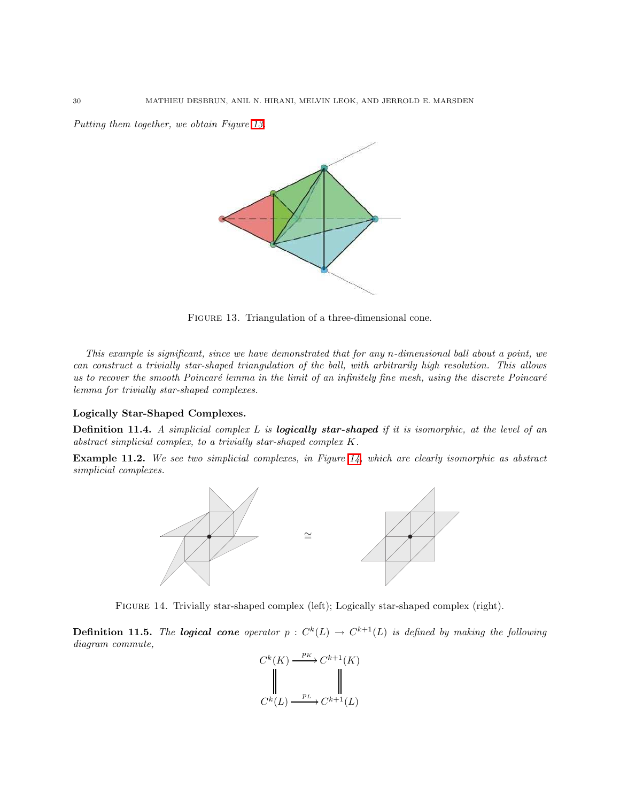Putting them together, we obtain Figure [13.](#page-29-0)



<span id="page-29-0"></span>FIGURE 13. Triangulation of a three-dimensional cone.

This example is significant, since we have demonstrated that for any n-dimensional ball about a point, we can construct a trivially star-shaped triangulation of the ball, with arbitrarily high resolution. This allows us to recover the smooth Poincaré lemma in the limit of an infinitely fine mesh, using the discrete Poincaré lemma for trivially star-shaped complexes.

### Logically Star-Shaped Complexes.

**Definition 11.4.** A simplicial complex  $L$  is **logically star-shaped** if it is isomorphic, at the level of an abstract simplicial complex, to a trivially star-shaped complex K.

Example 11.2. We see two simplicial complexes, in Figure [14,](#page-29-1) which are clearly isomorphic as abstract simplicial complexes.



<span id="page-29-1"></span>Figure 14. Trivially star-shaped complex (left); Logically star-shaped complex (right).

**Definition 11.5.** The **logical cone** operator  $p : C^k(L) \to C^{k+1}(L)$  is defined by making the following diagram commute,

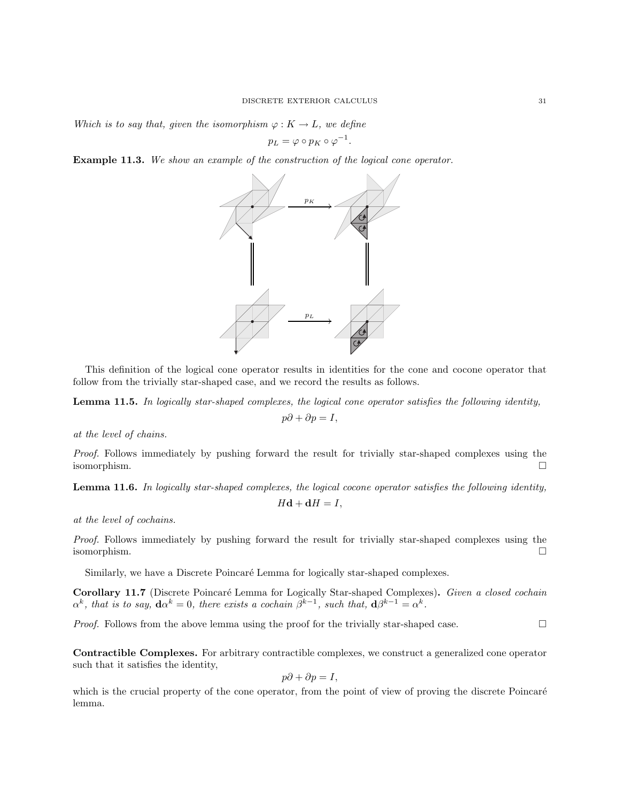Which is to say that, given the isomorphism  $\varphi: K \to L$ , we define

$$
p_L = \varphi \circ p_K \circ \varphi^{-1}.
$$

Example 11.3. We show an example of the construction of the logical cone operator.



This definition of the logical cone operator results in identities for the cone and cocone operator that follow from the trivially star-shaped case, and we record the results as follows.

Lemma 11.5. In logically star-shaped complexes, the logical cone operator satisfies the following identity,

 $p\partial + \partial p = I$ ,

at the level of chains.

Proof. Follows immediately by pushing forward the result for trivially star-shaped complexes using the isomorphism.

Lemma 11.6. In logically star-shaped complexes, the logical cocone operator satisfies the following identity,  $H\mathbf{d} + \mathbf{d}H = I$ ,

at the level of cochains.

Proof. Follows immediately by pushing forward the result for trivially star-shaped complexes using the isomorphism.

Similarly, we have a Discrete Poincaré Lemma for logically star-shaped complexes.

Corollary 11.7 (Discrete Poincaré Lemma for Logically Star-shaped Complexes). Given a closed cochain  $\alpha^k$ , that is to say,  $d\alpha^k = 0$ , there exists a cochain  $\beta^{k-1}$ , such that,  $d\beta^{k-1} = \alpha^k$ .

*Proof.* Follows from the above lemma using the proof for the trivially star-shaped case.  $\square$ 

Contractible Complexes. For arbitrary contractible complexes, we construct a generalized cone operator such that it satisfies the identity,

$$
p\partial + \partial p = I,
$$

which is the crucial property of the cone operator, from the point of view of proving the discrete Poincaré lemma.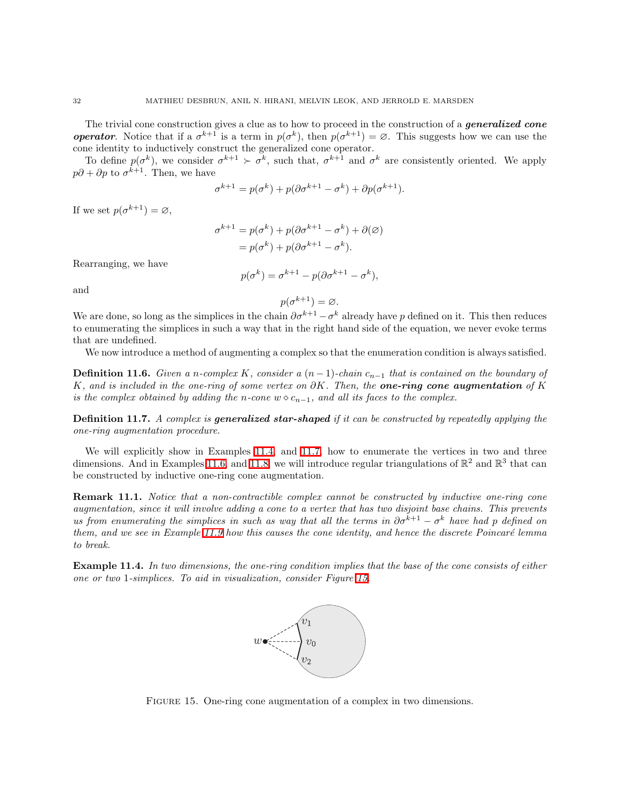The trivial cone construction gives a clue as to how to proceed in the construction of a *generalized cone* **operator**. Notice that if a  $\sigma^{k+1}$  is a term in  $p(\sigma^k)$ , then  $p(\sigma^{k+1}) = \emptyset$ . This suggests how we can use the cone identity to inductively construct the generalized cone operator.

To define  $p(\sigma^k)$ , we consider  $\sigma^{k+1} > \sigma^k$ , such that,  $\sigma^{k+1}$  and  $\sigma^k$  are consistently oriented. We apply  $p\partial + \partial p$  to  $\sigma^{k+1}$ . Then, we have

$$
\sigma^{k+1} = p(\sigma^k) + p(\partial \sigma^{k+1} - \sigma^k) + \partial p(\sigma^{k+1}).
$$

If we set  $p(\sigma^{k+1}) = \varnothing$ ,

$$
\sigma^{k+1} = p(\sigma^k) + p(\partial \sigma^{k+1} - \sigma^k) + \partial(\varnothing)
$$

$$
= p(\sigma^k) + p(\partial \sigma^{k+1} - \sigma^k).
$$

Rearranging, we have

$$
p(\sigma^k) = \sigma^{k+1} - p(\partial \sigma^{k+1} - \sigma^k),
$$

and

$$
p(\sigma^{k+1}) = \varnothing.
$$

We are done, so long as the simplices in the chain  $\partial \sigma^{k+1} - \sigma^k$  already have p defined on it. This then reduces to enumerating the simplices in such a way that in the right hand side of the equation, we never evoke terms that are undefined.

We now introduce a method of augmenting a complex so that the enumeration condition is always satisfied.

**Definition 11.6.** Given a n-complex K, consider a  $(n-1)$ -chain  $c_{n-1}$  that is contained on the boundary of K, and is included in the one-ring of some vertex on  $\partial K$ . Then, the one-ring cone augmentation of K is the complex obtained by adding the n-cone  $w \diamond c_{n-1}$ , and all its faces to the complex.

**Definition 11.7.** A complex is **generalized star-shaped** if it can be constructed by repeatedly applying the one-ring augmentation procedure.

We will explicitly show in Examples [11.4,](#page-31-0) and [11.7,](#page-33-0) how to enumerate the vertices in two and three dimensions. And in Examples [11.6,](#page-33-1) and [11.8,](#page-34-0) we will introduce regular triangulations of  $\mathbb{R}^2$  and  $\mathbb{R}^3$  that can be constructed by inductive one-ring cone augmentation.

**Remark 11.1.** Notice that a non-contractible complex cannot be constructed by inductive one-ring cone augmentation, since it will involve adding a cone to a vertex that has two disjoint base chains. This prevents us from enumerating the simplices in such as way that all the terms in  $\partial \sigma^{k+1} - \sigma^k$  have had p defined on them, and we see in Example [11.9](#page-36-0) how this causes the cone identity, and hence the discrete Poincaré lemma to break.

<span id="page-31-0"></span>Example 11.4. In two dimensions, the one-ring condition implies that the base of the cone consists of either one or two 1-simplices. To aid in visualization, consider Figure [15.](#page-31-1)



<span id="page-31-1"></span>FIGURE 15. One-ring cone augmentation of a complex in two dimensions.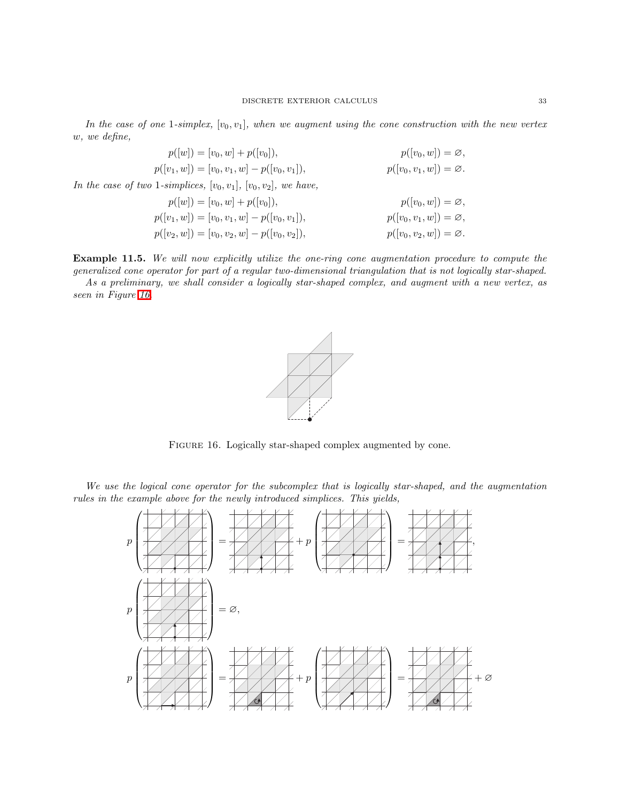In the case of one 1-simplex,  $[v_0, v_1]$ , when we augment using the cone construction with the new vertex w, we define,

$$
p([w]) = [v_0, w] + p([v_0]),
$$
  
\n
$$
p([v_1, w]) = [v_0, v_1, w] - p([v_0, v_1]),
$$
  
\n
$$
p([v_0, w]) = \emptyset,
$$
  
\n
$$
p([v_0, v_1, w]) = \emptyset.
$$
  
\nIn the case of two 1-simplices,  $[v_0, v_1]$ ,  $[v_0, v_2]$ , we have,  
\n
$$
p([w]) = [v_0, w] + p([v_0],)
$$
  
\n
$$
p([v_0, w]) = \emptyset,
$$
  
\n
$$
p([v_0, w]) = \emptyset,
$$
  
\n
$$
p([v_0, v_1, w]) = \emptyset,
$$
  
\n
$$
p([v_0, v_1, w]) = \emptyset,
$$
  
\n
$$
p([v_0, v_2, w]) = \emptyset.
$$

Example 11.5. We will now explicitly utilize the one-ring cone augmentation procedure to compute the generalized cone operator for part of a regular two-dimensional triangulation that is not logically star-shaped. As a preliminary, we shall consider a logically star-shaped complex, and augment with a new vertex, as

seen in Figure [16.](#page-32-0)



<span id="page-32-0"></span>FIGURE 16. Logically star-shaped complex augmented by cone.

We use the logical cone operator for the subcomplex that is logically star-shaped, and the augmentation rules in the example above for the newly introduced simplices. This yields,

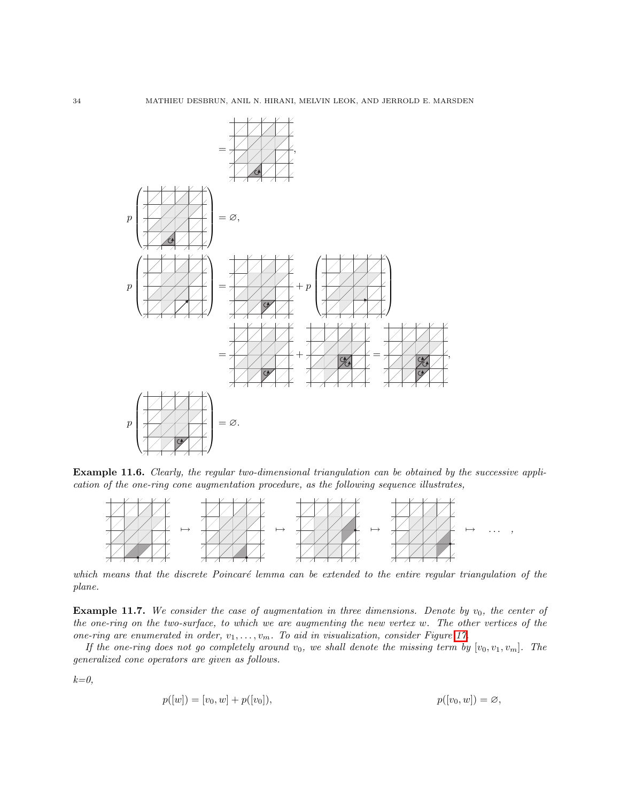

<span id="page-33-1"></span>Example 11.6. Clearly, the regular two-dimensional triangulation can be obtained by the successive application of the one-ring cone augmentation procedure, as the following sequence illustrates,



which means that the discrete Poincaré lemma can be extended to the entire regular triangulation of the plane.

<span id="page-33-0"></span>**Example 11.7.** We consider the case of augmentation in three dimensions. Denote by  $v_0$ , the center of the one-ring on the two-surface, to which we are augmenting the new vertex w. The other vertices of the one-ring are enumerated in order,  $v_1, \ldots, v_m$ . To aid in visualization, consider Figure [17.](#page-34-1)

If the one-ring does not go completely around  $v_0$ , we shall denote the missing term by  $[v_0, v_1, v_m]$ . The generalized cone operators are given as follows.

 $k=0,$ 

$$
p([w]) = [v_0, w] + p([v_0]), \qquad p([v_0, w]) = \varnothing,
$$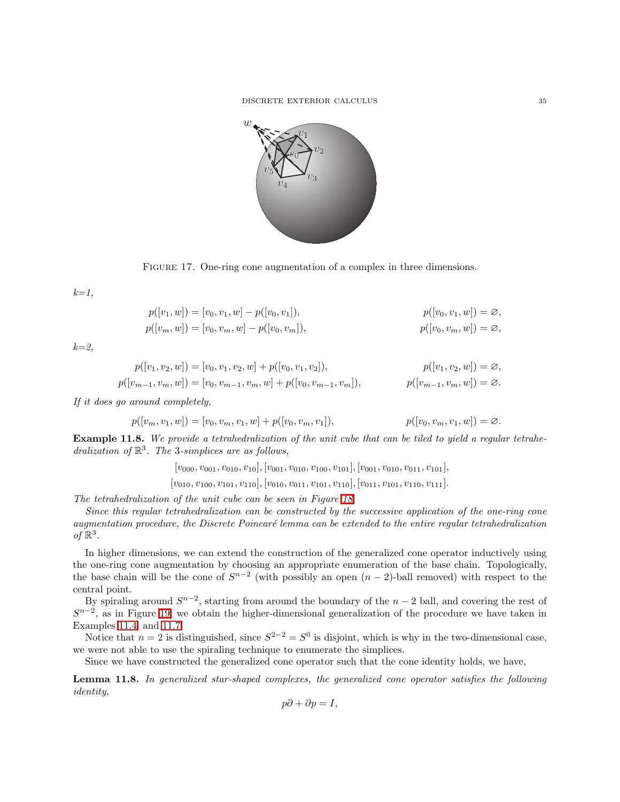DISCRETE EXTERIOR CALCULUS 35



<span id="page-34-1"></span>

 $k=1$ ,

$$
p([v_1, w]) = [v_0, v_1, w] - p([v_0, v_1]),
$$
  
\n
$$
p([v_m, w]) = [v_0, v_m, w] - p([v_0, v_m]),
$$
  
\n
$$
p([v_0, v_m, w]) = \varnothing,
$$
  
\n
$$
p([v_0, v_m, w]) = \varnothing,
$$

 $k=2$ 

$$
p([v_1, v_2, w]) = [v_0, v_1, v_2, w] + p([v_0, v_1, v_2]),
$$
  
\n
$$
p([v_{m-1}, v_m, w]) = [v_0, v_{m-1}, v_m, w] + p([v_0, v_{m-1}, v_m]),
$$
  
\n
$$
p([v_{m-1}, v_m, w]) = \emptyset.
$$

If it does go around completely,

$$
p([v_m, v_1, w]) = [v_0, v_m, v_1, w] + p([v_0, v_m, v_1]),
$$
  

$$
p([v_0, v_m, v_1, w]) = \emptyset.
$$

<span id="page-34-0"></span>Example 11.8. We provide a tetrahedralization of the unit cube that can be tiled to yield a regular tetrahedralization of  $\mathbb{R}^3$ . The 3-simplices are as follows,

 $[v_{000}, v_{001}, v_{010}, v_{10}], [v_{001}, v_{010}, v_{100}, v_{101}], [v_{001}, v_{010}, v_{011}, v_{101}],$ 

 $[v_{010}, v_{100}, v_{101}, v_{110}], [v_{010}, v_{011}, v_{101}, v_{110}], [v_{011}, v_{101}, v_{110}, v_{111}].$ 

The tetrahedralization of the unit cube can be seen in Figure [18.](#page-35-0)

Since this regular tetrahedralization can be constructed by the successive application of the one-ring cone augmentation procedure, the Discrete Poincaré lemma can be extended to the entire regular tetrahedralization of  $\mathbb{R}^3$ .

In higher dimensions, we can extend the construction of the generalized cone operator inductively using the one-ring cone augmentation by choosing an appropriate enumeration of the base chain. Topologically, the base chain will be the cone of  $S^{n-2}$  (with possibly an open  $(n-2)$ -ball removed) with respect to the central point.

By spiraling around  $S^{n-2}$ , starting from around the boundary of the  $n-2$  ball, and covering the rest of  $S^{n-2}$ , as in Figure [19,](#page-35-1) we obtain the higher-dimensional generalization of the procedure we have taken in Examples [11.4,](#page-31-0) and [11.7.](#page-33-0)

Notice that  $n = 2$  is distinguished, since  $S^{2-2} = S^0$  is disjoint, which is why in the two-dimensional case, we were not able to use the spiraling technique to enumerate the simplices.

Since we have constructed the generalized cone operator such that the cone identity holds, we have,

Lemma 11.8. In generalized star-shaped complexes, the generalized cone operator satisfies the following identity,

$$
p\partial + \partial p = I,
$$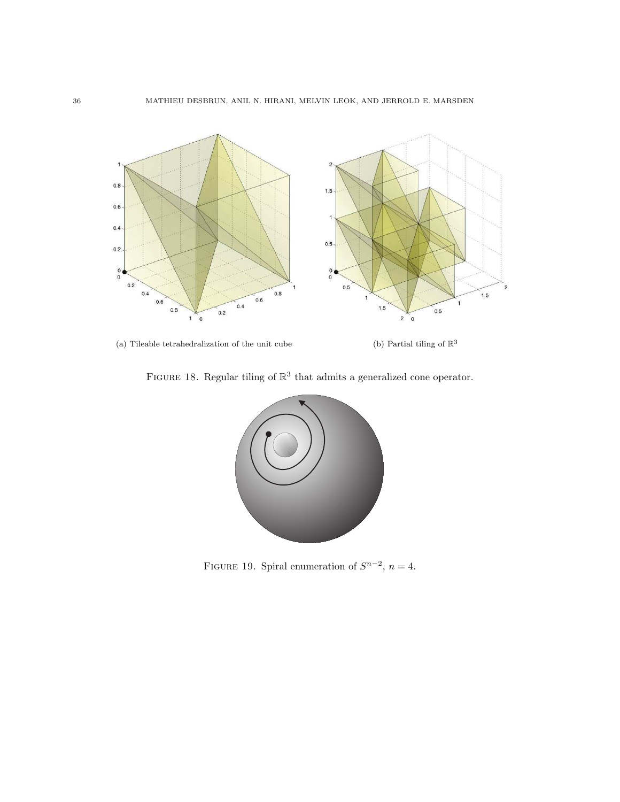

(a) Tileable tetrahedralization of the unit cube  $\hfill$  (b) Partial tiling of  $\mathbb{R}^3$ 

<span id="page-35-0"></span>FIGURE 18. Regular tiling of  $\mathbb{R}^3$  that admits a generalized cone operator.



<span id="page-35-1"></span>FIGURE 19. Spiral enumeration of  $S^{n-2}$ ,  $n=4$ .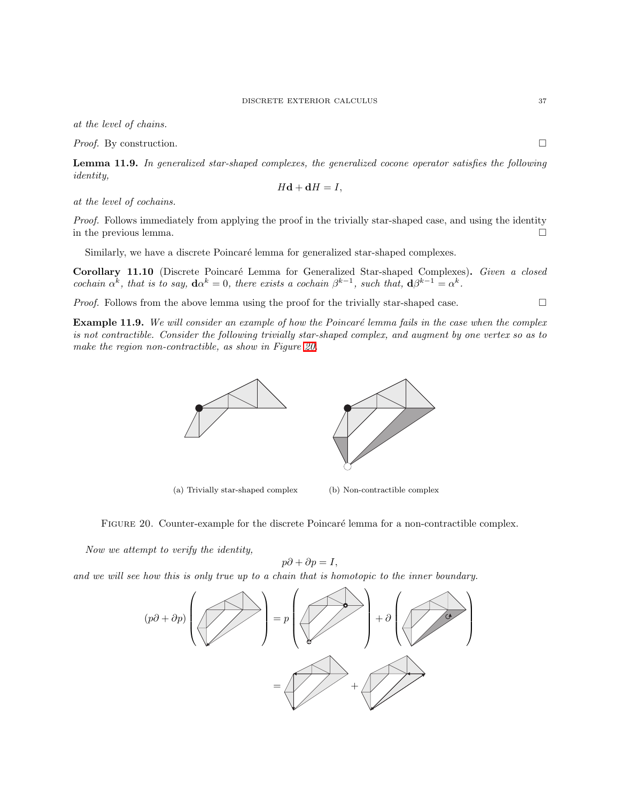at the level of chains.

*Proof.* By construction.  $\square$ 

Lemma 11.9. In generalized star-shaped complexes, the generalized cocone operator satisfies the following identity,

$$
H\mathbf{d} + \mathbf{d}H = I,
$$

at the level of cochains.

Proof. Follows immediately from applying the proof in the trivially star-shaped case, and using the identity in the previous lemma.  $\Box$ 

Similarly, we have a discrete Poincaré lemma for generalized star-shaped complexes.

Corollary 11.10 (Discrete Poincaré Lemma for Generalized Star-shaped Complexes). Given a closed cochain  $\alpha^k$ , that is to say,  $\mathbf{d}\alpha^k = 0$ , there exists a cochain  $\beta^{k-1}$ , such that,  $\mathbf{d}\beta^{k-1} = \alpha^k$ .

<span id="page-36-0"></span>*Proof.* Follows from the above lemma using the proof for the trivially star-shaped case.  $\square$ 

**Example 11.9.** We will consider an example of how the Poincaré lemma fails in the case when the complex is not contractible. Consider the following trivially star-shaped complex, and augment by one vertex so as to make the region non-contractible, as show in Figure [20.](#page-36-1)



(a) Trivially star-shaped complex (b) Non-contractible complex

<span id="page-36-1"></span>FIGURE 20. Counter-example for the discrete Poincaré lemma for a non-contractible complex.

Now we attempt to verify the identity,

$$
p\partial + \partial p = I,
$$

and we will see how this is only true up to a chain that is homotopic to the inner boundary.

$$
(p\partial + \partial p)\left(\frac{1}{p\partial + \partial p}\right) = p\left(\frac{1}{p\partial + \partial p}\right) + \partial\left(\frac{1}{p\partial + \partial p}\right)
$$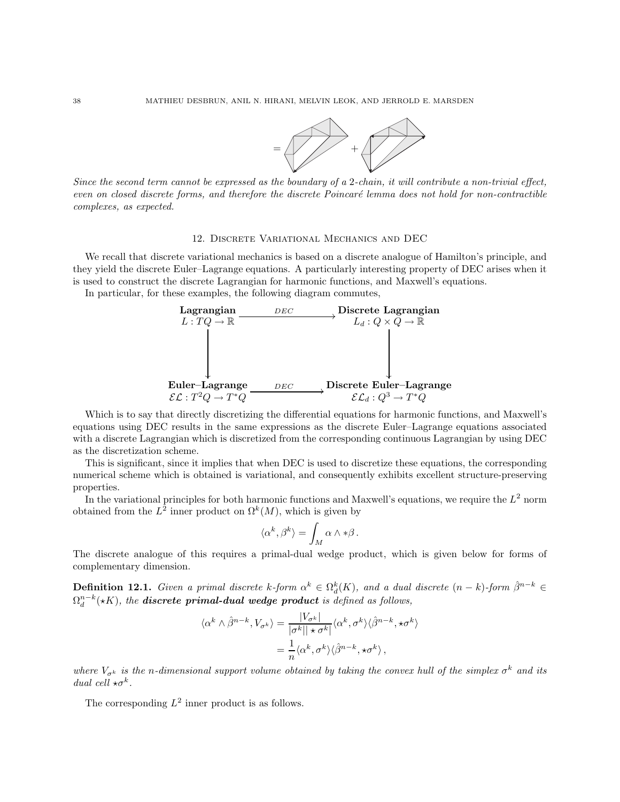

Since the second term cannot be expressed as the boundary of a 2-chain, it will contribute a non-trivial effect, even on closed discrete forms, and therefore the discrete Poincaré lemma does not hold for non-contractible complexes, as expected.

#### 12. Discrete Variational Mechanics and DEC

<span id="page-37-0"></span>We recall that discrete variational mechanics is based on a discrete analogue of Hamilton's principle, and they yield the discrete Euler–Lagrange equations. A particularly interesting property of DEC arises when it is used to construct the discrete Lagrangian for harmonic functions, and Maxwell's equations.

In particular, for these examples, the following diagram commutes,



Which is to say that directly discretizing the differential equations for harmonic functions, and Maxwell's equations using DEC results in the same expressions as the discrete Euler–Lagrange equations associated with a discrete Lagrangian which is discretized from the corresponding continuous Lagrangian by using DEC as the discretization scheme.

This is significant, since it implies that when DEC is used to discretize these equations, the corresponding numerical scheme which is obtained is variational, and consequently exhibits excellent structure-preserving properties.

In the variational principles for both harmonic functions and Maxwell's equations, we require the  $L^2$  norm obtained from the  $L^2$  inner product on  $\Omega^k(M)$ , which is given by

$$
\langle \alpha^k, \beta^k \rangle = \int_M \alpha \wedge * \beta \, .
$$

The discrete analogue of this requires a primal-dual wedge product, which is given below for forms of complementary dimension.

**Definition 12.1.** Given a primal discrete k-form  $\alpha^k \in \Omega_d^k(K)$ , and a dual discrete  $(n-k)$ -form  $\hat{\beta}^{n-k} \in$  $\Omega^{n-k}_d (\star K),$  the **discrete primal-dual wedge product** is defined as follows,

$$
\langle \alpha^k \wedge \hat{\beta}^{n-k}, V_{\sigma^k} \rangle = \frac{|V_{\sigma^k}|}{|\sigma^k|| \star \sigma^k|} \langle \alpha^k, \sigma^k \rangle \langle \hat{\beta}^{n-k}, \star \sigma^k \rangle
$$

$$
= \frac{1}{n} \langle \alpha^k, \sigma^k \rangle \langle \hat{\beta}^{n-k}, \star \sigma^k \rangle,
$$

where  $V_{\sigma^k}$  is the n-dimensional support volume obtained by taking the convex hull of the simplex  $\sigma^k$  and its dual cell  $\star \sigma^k$ .

The corresponding  $L^2$  inner product is as follows.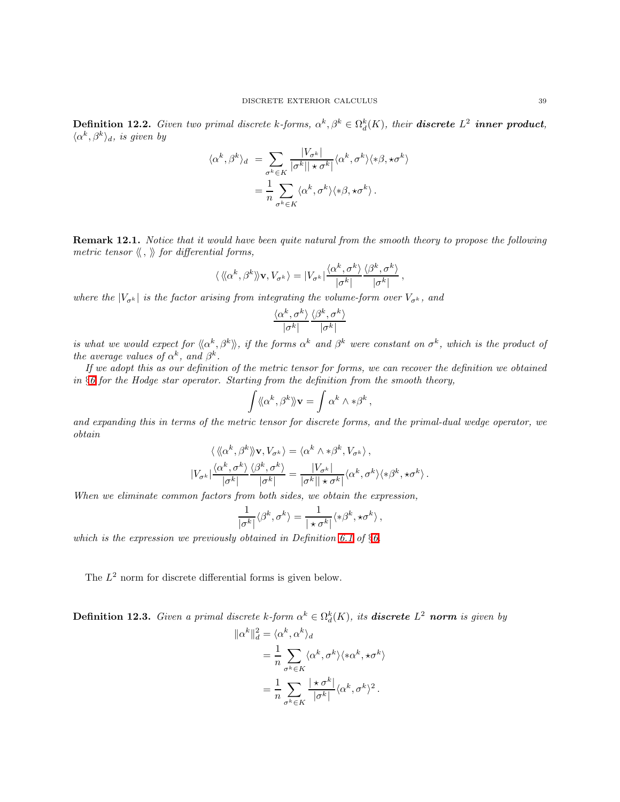**Definition 12.2.** Given two primal discrete k-forms,  $\alpha^k, \beta^k \in \Omega_d^k(K)$ , their **discrete**  $L^2$  **inner product**,  $\langle \alpha^k, \beta^k \rangle_d$ , is given by

$$
\langle \alpha^k, \beta^k \rangle_d = \sum_{\sigma^k \in K} \frac{|V_{\sigma^k}|}{|\sigma^k| |\star \sigma^k|} \langle \alpha^k, \sigma^k \rangle \langle * \beta, * \sigma^k \rangle
$$

$$
= \frac{1}{n} \sum_{\sigma^k \in K} \langle \alpha^k, \sigma^k \rangle \langle * \beta, * \sigma^k \rangle.
$$

<span id="page-38-0"></span>Remark 12.1. Notice that it would have been quite natural from the smooth theory to propose the following metric tensor  $\langle \langle , \rangle \rangle$  for differential forms,

$$
\langle \langle \langle \alpha^k, \beta^k \rangle \rangle \mathbf{v}, V_{\sigma^k} \rangle = |V_{\sigma^k}| \frac{\langle \alpha^k, \sigma^k \rangle}{|\sigma^k|} \frac{\langle \beta^k, \sigma^k \rangle}{|\sigma^k|},
$$

where the  $|V_{\sigma^k}|$  is the factor arising from integrating the volume-form over  $V_{\sigma^k}$ , and

$$
\frac{\langle \alpha^{k}, \sigma^{k}\rangle}{|\sigma^{k}|}\frac{\langle \beta^{k}, \sigma^{k}\rangle}{|\sigma^{k}|}
$$

is what we would expect for  $\langle\langle \alpha^k,\beta^k\rangle\rangle$ , if the forms  $\alpha^k$  and  $\beta^k$  were constant on  $\sigma^k$ , which is the product of the average values of  $\alpha^k$ , and  $\beta^k$ .

If we adopt this as our definition of the metric tensor for forms, we can recover the definition we obtained in  $§6$  $§6$  for the Hodge star operator. Starting from the definition from the smooth theory,

$$
\int \langle \! \langle \alpha^k, \beta^k \rangle \! \rangle \mathbf{v} = \int \alpha^k \wedge * \beta^k ,
$$

and expanding this in terms of the metric tensor for discrete forms, and the primal-dual wedge operator, we obtain

$$
\langle \langle \langle \alpha^k, \beta^k \rangle \rangle \mathbf{v}, V_{\sigma^k} \rangle = \langle \alpha^k \wedge * \beta^k, V_{\sigma^k} \rangle, |V_{\sigma^k}| \frac{\langle \alpha^k, \sigma^k \rangle}{|\sigma^k|} \frac{\langle \beta^k, \sigma^k \rangle}{|\sigma^k|} = \frac{|V_{\sigma^k}|}{|\sigma^k| |\star \sigma^k|} \langle \alpha^k, \sigma^k \rangle \langle * \beta^k, * \sigma^k \rangle.
$$

When we eliminate common factors from both sides, we obtain the expression,

$$
\frac{1}{|\sigma^k|} \langle \beta^k, \sigma^k \rangle = \frac{1}{|\star \sigma^k|} \langle * \beta^k, \star \sigma^k \rangle \, ,
$$

which is the expression we previously obtained in Definition [6.1](#page-14-1) of  $\S6$ .

The  $L^2$  norm for discrete differential forms is given below.

<span id="page-38-1"></span>**Definition 12.3.** Given a primal discrete k-form  $\alpha^k \in \Omega_d^k(K)$ , its **discrete**  $L^2$  **norm** is given by

$$
\|\alpha^k\|_d^2 = \langle \alpha^k, \alpha^k \rangle_d
$$
  
=  $\frac{1}{n} \sum_{\sigma^k \in K} \langle \alpha^k, \sigma^k \rangle \langle * \alpha^k, * \sigma^k \rangle$   
=  $\frac{1}{n} \sum_{\sigma^k \in K} \frac{|\star \sigma^k|}{|\sigma^k|} \langle \alpha^k, \sigma^k \rangle^2$ .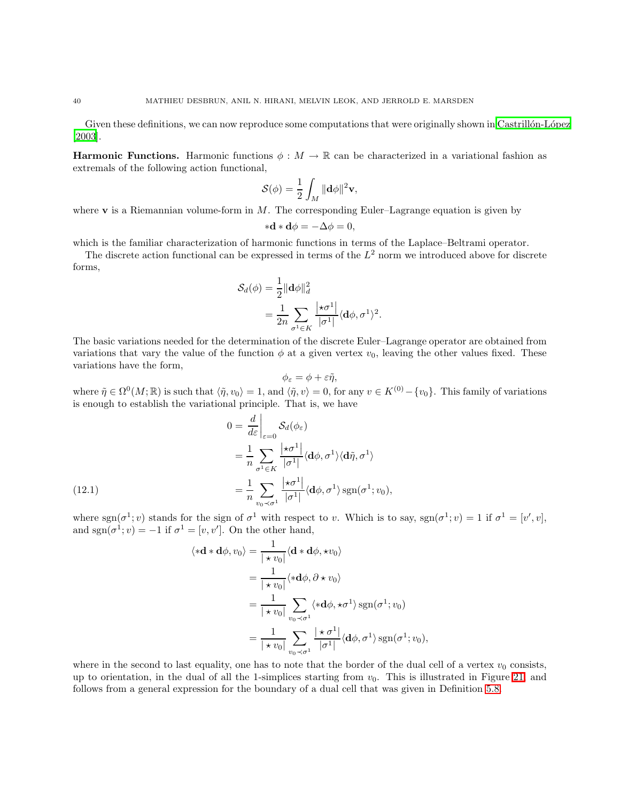Given these definitions, we can now reproduce some computations that were originally shown in Castrillón-López [\[2003\]](#page-50-9).

**Harmonic Functions.** Harmonic functions  $\phi : M \to \mathbb{R}$  can be characterized in a variational fashion as extremals of the following action functional,

$$
\mathcal{S}(\phi) = \frac{1}{2} \int_M \|\mathbf{d}\phi\|^2 \mathbf{v},
$$

where  $\bf{v}$  is a Riemannian volume-form in M. The corresponding Euler–Lagrange equation is given by

$$
\ast \mathbf{d} \ast \mathbf{d} \phi = -\Delta \phi = 0,
$$

which is the familiar characterization of harmonic functions in terms of the Laplace–Beltrami operator.

The discrete action functional can be expressed in terms of the  $L^2$  norm we introduced above for discrete forms,

$$
\mathcal{S}_d(\phi) = \frac{1}{2} \|\mathbf{d}\phi\|_d^2
$$
  
= 
$$
\frac{1}{2n} \sum_{\sigma^1 \in K} \frac{|\star \sigma^1|}{|\sigma^1|} \langle \mathbf{d}\phi, \sigma^1 \rangle^2.
$$

The basic variations needed for the determination of the discrete Euler–Lagrange operator are obtained from variations that vary the value of the function  $\phi$  at a given vertex  $v_0$ , leaving the other values fixed. These variations have the form,

$$
\phi_{\varepsilon} = \phi + \varepsilon \tilde{\eta},
$$

where  $\tilde{\eta} \in \Omega^0(M;\mathbb{R})$  is such that  $\langle \tilde{\eta}, v_0 \rangle = 1$ , and  $\langle \tilde{\eta}, v \rangle = 0$ , for any  $v \in K^{(0)} - \{v_0\}$ . This family of variations is enough to establish the variational principle. That is, we have

(12.1)  
\n
$$
0 = \frac{d}{d\varepsilon} \Big|_{\varepsilon=0} S_d(\phi_{\varepsilon})
$$
\n
$$
= \frac{1}{n} \sum_{\sigma^1 \in K} \frac{|\star \sigma^1|}{|\sigma^1|} \langle \mathbf{d}\phi, \sigma^1 \rangle \langle \mathbf{d}\tilde{\eta}, \sigma^1 \rangle
$$
\n
$$
= \frac{1}{n} \sum_{v_0 \prec \sigma^1} \frac{|\star \sigma^1|}{|\sigma^1|} \langle \mathbf{d}\phi, \sigma^1 \rangle \operatorname{sgn}(\sigma^1; v_0),
$$

<span id="page-39-0"></span>where  $sgn(\sigma^1; v)$  stands for the sign of  $\sigma^1$  with respect to v. Which is to say,  $sgn(\sigma^1; v) = 1$  if  $\sigma^1 = [v', v]$ , and sgn $(\sigma^1; v) = -1$  if  $\sigma^1 = [v, v']$ . On the other hand,

$$
\langle * \mathbf{d} * \mathbf{d} \phi, v_0 \rangle = \frac{1}{| * v_0|} \langle \mathbf{d} * \mathbf{d} \phi, *v_0 \rangle
$$
  
= 
$$
\frac{1}{| * v_0|} \langle * \mathbf{d} \phi, \partial * v_0 \rangle
$$
  
= 
$$
\frac{1}{| * v_0|} \sum_{v_0 \prec \sigma^1} \langle * \mathbf{d} \phi, * \sigma^1 \rangle \operatorname{sgn}(\sigma^1; v_0)
$$
  
= 
$$
\frac{1}{| * v_0|} \sum_{v_0 \prec \sigma^1} \frac{| * \sigma^1|}{|\sigma^1|} \langle \mathbf{d} \phi, \sigma^1 \rangle \operatorname{sgn}(\sigma^1; v_0),
$$

where in the second to last equality, one has to note that the border of the dual cell of a vertex  $v_0$  consists, up to orientation, in the dual of all the 1-simplices starting from  $v_0$ . This is illustrated in Figure [21,](#page-40-0) and follows from a general expression for the boundary of a dual cell that was given in Definition [5.8.](#page-13-2)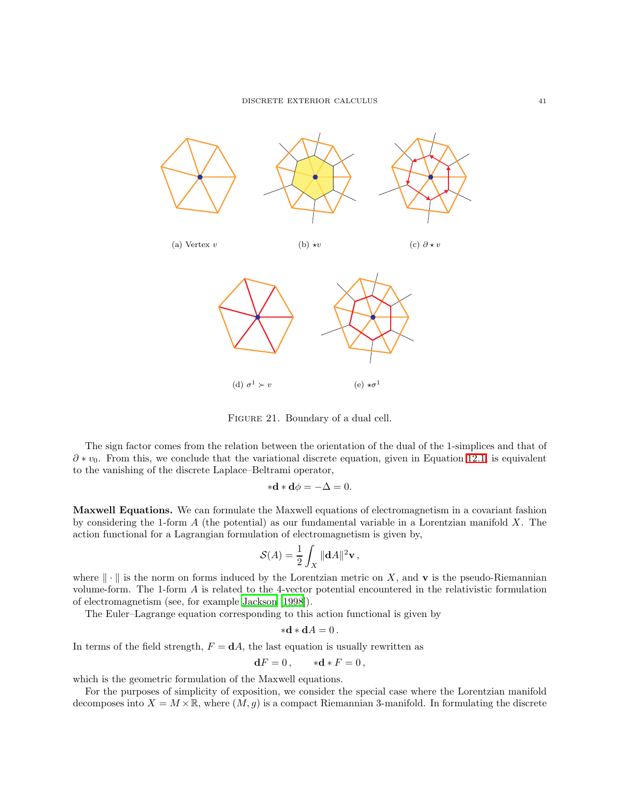

<span id="page-40-0"></span>Figure 21. Boundary of a dual cell.

The sign factor comes from the relation between the orientation of the dual of the 1-simplices and that of  $\partial * v_0$ . From this, we conclude that the variational discrete equation, given in Equation [12.1,](#page-39-0) is equivalent to the vanishing of the discrete Laplace–Beltrami operator,

$$
\ast \mathbf{d} \ast \mathbf{d} \phi = -\Delta = 0.
$$

Maxwell Equations. We can formulate the Maxwell equations of electromagnetism in a covariant fashion by considering the 1-form  $A$  (the potential) as our fundamental variable in a Lorentzian manifold  $X$ . The action functional for a Lagrangian formulation of electromagnetism is given by,

$$
\mathcal{S}(A) = \frac{1}{2} \int_X \|\mathbf{d}A\|^2 \mathbf{v},
$$

where  $\|\cdot\|$  is the norm on forms induced by the Lorentzian metric on X, and **v** is the pseudo-Riemannian volume-form. The 1-form A is related to the 4-vector potential encountered in the relativistic formulation of electromagnetism (see, for example [Jackson \[1998\]](#page-51-22)).

The Euler–Lagrange equation corresponding to this action functional is given by

$$
\ast \mathbf{d} \ast \mathbf{d} A = 0.
$$

In terms of the field strength,  $F = dA$ , the last equation is usually rewritten as

$$
\mathbf{d}F = 0, \qquad * \mathbf{d} * F = 0,
$$

which is the geometric formulation of the Maxwell equations.

For the purposes of simplicity of exposition, we consider the special case where the Lorentzian manifold decomposes into  $X = M \times \mathbb{R}$ , where  $(M, g)$  is a compact Riemannian 3-manifold. In formulating the discrete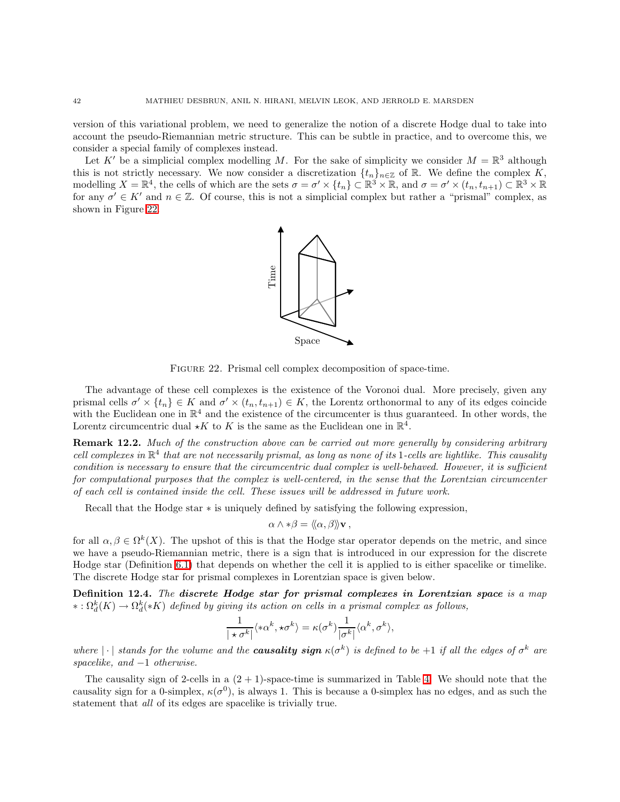version of this variational problem, we need to generalize the notion of a discrete Hodge dual to take into account the pseudo-Riemannian metric structure. This can be subtle in practice, and to overcome this, we consider a special family of complexes instead.

Let K' be a simplicial complex modelling M. For the sake of simplicity we consider  $M = \mathbb{R}^3$  although this is not strictly necessary. We now consider a discretization  $\{t_n\}_{n\in\mathbb{Z}}$  of R. We define the complex K, modelling  $X = \mathbb{R}^4$ , the cells of which are the sets  $\sigma = \sigma' \times \{t_n\} \subset \mathbb{R}^3 \times \mathbb{R}$ , and  $\sigma = \sigma' \times (t_n, t_{n+1}) \subset \mathbb{R}^3 \times \mathbb{R}$ for any  $\sigma' \in K'$  and  $n \in \mathbb{Z}$ . Of course, this is not a simplicial complex but rather a "prismal" complex, as shown in Figure [22.](#page-41-0)



<span id="page-41-0"></span>Figure 22. Prismal cell complex decomposition of space-time.

The advantage of these cell complexes is the existence of the Voronoi dual. More precisely, given any prismal cells  $\sigma' \times \{t_n\} \in K$  and  $\sigma' \times (t_n, t_{n+1}) \in K$ , the Lorentz orthonormal to any of its edges coincide with the Euclidean one in  $\mathbb{R}^4$  and the existence of the circumcenter is thus guaranteed. In other words, the Lorentz circumcentric dual  $\star K$  to K is the same as the Euclidean one in  $\mathbb{R}^4$ .

**Remark 12.2.** Much of the construction above can be carried out more generally by considering arbitrary cell complexes in  $\mathbb{R}^4$  that are not necessarily prismal, as long as none of its 1-cells are lightlike. This causality condition is necessary to ensure that the circumcentric dual complex is well-behaved. However, it is sufficient for computational purposes that the complex is well-centered, in the sense that the Lorentzian circumcenter of each cell is contained inside the cell. These issues will be addressed in future work.

Recall that the Hodge star  $*$  is uniquely defined by satisfying the following expression,

$$
\alpha \wedge * \beta = \langle \! \langle \alpha, \beta \rangle \! \rangle \mathbf{v},
$$

for all  $\alpha, \beta \in \Omega^k(X)$ . The upshot of this is that the Hodge star operator depends on the metric, and since we have a pseudo-Riemannian metric, there is a sign that is introduced in our expression for the discrete Hodge star (Definition [6.1\)](#page-14-1) that depends on whether the cell it is applied to is either spacelike or timelike. The discrete Hodge star for prismal complexes in Lorentzian space is given below.

Definition 12.4. The discrete Hodge star for prismal complexes in Lorentzian space is a map  $\kappa: \Omega^k_d(K) \to \Omega^k_d(*K)$  defined by giving its action on cells in a prismal complex as follows,

$$
\frac{1}{|\star\sigma^k|}\langle*\alpha^k,\star\sigma^k\rangle=\kappa(\sigma^k)\frac{1}{|\sigma^k|}\langle\alpha^k,\sigma^k\rangle,
$$

where  $|\cdot|$  stands for the volume and the **causality sign**  $\kappa(\sigma^k)$  is defined to be  $+1$  if all the edges of  $\sigma^k$  are spacelike, and  $-1$  otherwise.

The causality sign of 2-cells in a  $(2 + 1)$ -space-time is summarized in Table [4.](#page-42-0) We should note that the causality sign for a 0-simplex,  $\kappa(\sigma^0)$ , is always 1. This is because a 0-simplex has no edges, and as such the statement that all of its edges are spacelike is trivially true.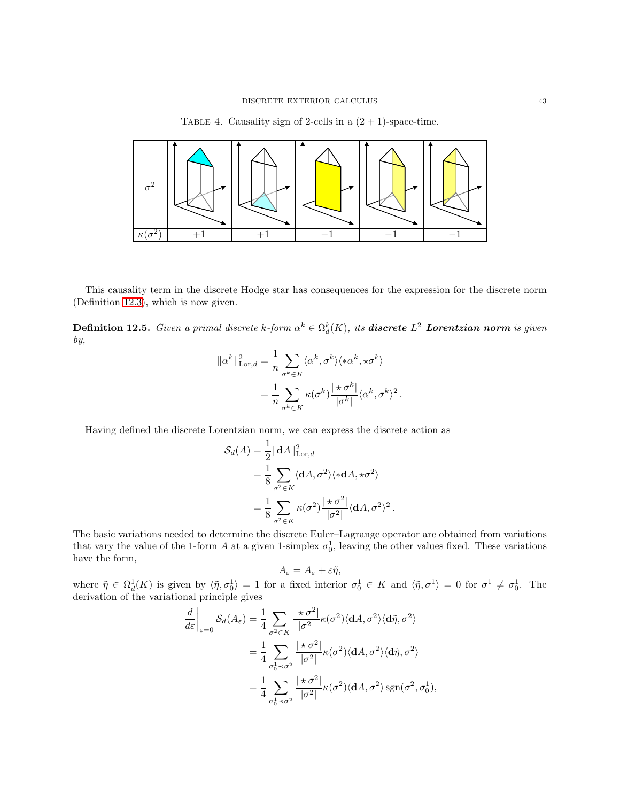<span id="page-42-0"></span>



This causality term in the discrete Hodge star has consequences for the expression for the discrete norm (Definition [12.3\)](#page-38-1), which is now given.

**Definition 12.5.** Given a primal discrete k-form  $\alpha^k \in \Omega_d^k(K)$ , its **discrete**  $L^2$  **Lorentzian norm** is given by,

$$
\begin{split} \|\alpha^k\|_{\text{Lor},d}^2 &= \frac{1}{n} \sum_{\sigma^k \in K} \langle \alpha^k, \sigma^k \rangle \langle * \alpha^k, \star \sigma^k \rangle \\ &= \frac{1}{n} \sum_{\sigma^k \in K} \kappa(\sigma^k) \frac{|\star \sigma^k|}{|\sigma^k|} \langle \alpha^k, \sigma^k \rangle^2 \,. \end{split}
$$

Having defined the discrete Lorentzian norm, we can express the discrete action as

$$
\mathcal{S}_d(A) = \frac{1}{2} \|\mathbf{d}A\|_{\text{Lor},d}^2
$$
  
=  $\frac{1}{8} \sum_{\sigma^2 \in K} \langle \mathbf{d}A, \sigma^2 \rangle \langle * \mathbf{d}A, * \sigma^2 \rangle$   
=  $\frac{1}{8} \sum_{\sigma^2 \in K} \kappa(\sigma^2) \frac{|\star \sigma^2|}{|\sigma^2|} \langle \mathbf{d}A, \sigma^2 \rangle^2$ .

The basic variations needed to determine the discrete Euler–Lagrange operator are obtained from variations that vary the value of the 1-form A at a given 1-simplex  $\sigma_0^1$ , leaving the other values fixed. These variations have the form,

$$
A_{\varepsilon}=A_{\varepsilon}+\varepsilon\tilde{\eta},
$$

where  $\tilde{\eta} \in \Omega_d^1(K)$  is given by  $\langle \tilde{\eta}, \sigma_0^1 \rangle = 1$  for a fixed interior  $\sigma_0^1 \in K$  and  $\langle \tilde{\eta}, \sigma^1 \rangle = 0$  for  $\sigma^1 \neq \sigma_0^1$ . The derivation of the variational principle gives

$$
\frac{d}{d\varepsilon}\Big|_{\varepsilon=0} S_d(A_{\varepsilon}) = \frac{1}{4} \sum_{\sigma^2 \in K} \frac{|\star \sigma^2|}{|\sigma^2|} \kappa(\sigma^2) \langle \mathbf{d}A, \sigma^2 \rangle \langle \mathbf{d}\tilde{\eta}, \sigma^2 \rangle
$$

$$
= \frac{1}{4} \sum_{\sigma_0^1 \prec \sigma^2} \frac{|\star \sigma^2|}{|\sigma^2|} \kappa(\sigma^2) \langle \mathbf{d}A, \sigma^2 \rangle \langle \mathbf{d}\tilde{\eta}, \sigma^2 \rangle
$$

$$
= \frac{1}{4} \sum_{\sigma_0^1 \prec \sigma^2} \frac{|\star \sigma^2|}{|\sigma^2|} \kappa(\sigma^2) \langle \mathbf{d}A, \sigma^2 \rangle \operatorname{sgn}(\sigma^2, \sigma_0^1),
$$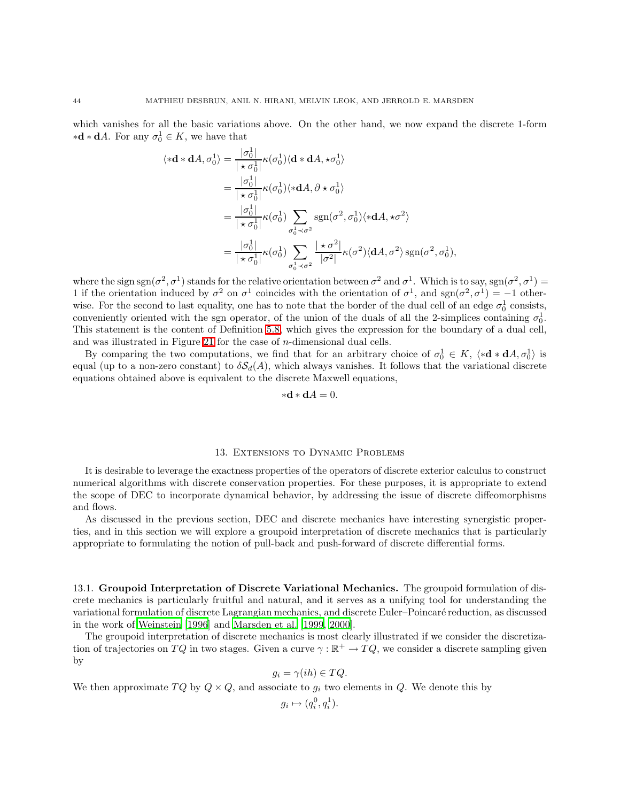which vanishes for all the basic variations above. On the other hand, we now expand the discrete 1-form  $\ast \mathbf{d} \ast \mathbf{d} A$ . For any  $\sigma_0^1 \in K$ , we have that

$$
\langle * \mathbf{d} * \mathbf{d}A, \sigma_0^1 \rangle = \frac{|\sigma_0^1|}{|\star \sigma_0^1|} \kappa(\sigma_0^1) \langle \mathbf{d} * \mathbf{d}A, * \sigma_0^1 \rangle
$$
  
\n
$$
= \frac{|\sigma_0^1|}{|\star \sigma_0^1|} \kappa(\sigma_0^1) \langle * \mathbf{d}A, \partial * \sigma_0^1 \rangle
$$
  
\n
$$
= \frac{|\sigma_0^1|}{|\star \sigma_0^1|} \kappa(\sigma_0^1) \sum_{\sigma_0^1 \prec \sigma^2} \text{sgn}(\sigma^2, \sigma_0^1) \langle * \mathbf{d}A, * \sigma^2 \rangle
$$
  
\n
$$
= \frac{|\sigma_0^1|}{|\star \sigma_0^1|} \kappa(\sigma_0^1) \sum_{\sigma_0^1 \prec \sigma^2} \frac{|\star \sigma^2|}{|\sigma^2|} \kappa(\sigma^2) \langle \mathbf{d}A, \sigma^2 \rangle \text{sgn}(\sigma^2, \sigma_0^1),
$$

where the sign sgn( $\sigma^2$ ,  $\sigma^1$ ) stands for the relative orientation between  $\sigma^2$  and  $\sigma^1$ . Which is to say, sgn( $\sigma^2$ ,  $\sigma^1$ ) = 1 if the orientation induced by  $\sigma^2$  on  $\sigma^1$  coincides with the orientation of  $\sigma^1$ , and  $sgn(\sigma^2, \sigma^1) = -1$  otherwise. For the second to last equality, one has to note that the border of the dual cell of an edge  $\sigma_0^1$  consists, conveniently oriented with the sgn operator, of the union of the duals of all the 2-simplices containing  $\sigma_0^1$ . This statement is the content of Definition [5.8,](#page-13-2) which gives the expression for the boundary of a dual cell, and was illustrated in Figure [21](#page-40-0) for the case of n-dimensional dual cells.

By comparing the two computations, we find that for an arbitrary choice of  $\sigma_0^1 \in K$ ,  $\langle *d * dA, \sigma_0^1 \rangle$  is equal (up to a non-zero constant) to  $\delta S_d(A)$ , which always vanishes. It follows that the variational discrete equations obtained above is equivalent to the discrete Maxwell equations,

$$
\ast \mathbf{d} \ast \mathbf{d} A = 0.
$$

### 13. Extensions to Dynamic Problems

<span id="page-43-0"></span>It is desirable to leverage the exactness properties of the operators of discrete exterior calculus to construct numerical algorithms with discrete conservation properties. For these purposes, it is appropriate to extend the scope of DEC to incorporate dynamical behavior, by addressing the issue of discrete diffeomorphisms and flows.

As discussed in the previous section, DEC and discrete mechanics have interesting synergistic properties, and in this section we will explore a groupoid interpretation of discrete mechanics that is particularly appropriate to formulating the notion of pull-back and push-forward of discrete differential forms.

<span id="page-43-1"></span>13.1. Groupoid Interpretation of Discrete Variational Mechanics. The groupoid formulation of discrete mechanics is particularly fruitful and natural, and it serves as a unifying tool for understanding the variational formulation of discrete Lagrangian mechanics, and discrete Euler–Poincar´e reduction, as discussed in the work of [Weinstein \[1996](#page-52-5)] and [Marsden et al. \[1999,](#page-51-23) [2000\]](#page-51-24).

The groupoid interpretation of discrete mechanics is most clearly illustrated if we consider the discretization of trajectories on TQ in two stages. Given a curve  $\gamma : \mathbb{R}^+ \to TQ$ , we consider a discrete sampling given by

$$
g_i = \gamma(ih) \in TQ.
$$

We then approximate  $TQ$  by  $Q \times Q$ , and associate to  $g_i$  two elements in  $Q$ . We denote this by

$$
g_i \mapsto (q_i^0, q_i^1).
$$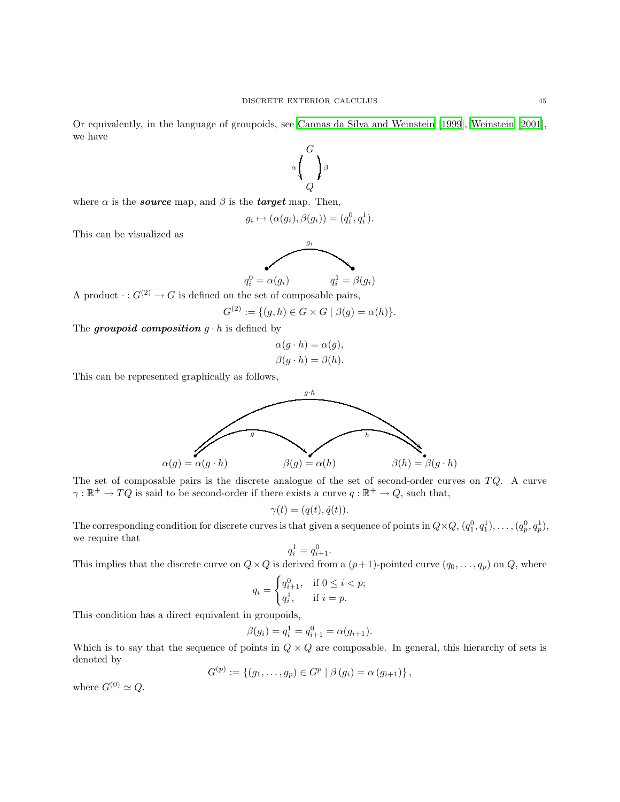Or equivalently, in the language of groupoids, see Cannas da [Silva and Weinstein \[1999](#page-50-10)], [Weinstein \[2001\]](#page-52-6), we have



where  $\alpha$  is the **source** map, and  $\beta$  is the **target** map. Then,

$$
g_i \mapsto (\alpha(g_i), \beta(g_i)) = (q_i^0, q_i^1).
$$

This can be visualized as



A product  $\cdot : G^{(2)} \to G$  is defined on the set of composable pairs,

$$
G^{(2)} := \{ (g, h) \in G \times G \mid \beta(g) = \alpha(h) \}.
$$

The *groupoid* composition  $g \cdot h$  is defined by

$$
\alpha(g \cdot h) = \alpha(g), \beta(g \cdot h) = \beta(h).
$$

This can be represented graphically as follows,



The set of composable pairs is the discrete analogue of the set of second-order curves on  $TQ$ . A curve  $\gamma : \mathbb{R}^+ \to TQ$  is said to be second-order if there exists a curve  $q : \mathbb{R}^+ \to Q$ , such that,

$$
\gamma(t) = (q(t), \dot{q}(t)).
$$

The corresponding condition for discrete curves is that given a sequence of points in  $Q \times Q$ ,  $(q_1^0, q_1^1), \ldots, (q_p^0, q_p^1)$ , we require that

$$
q_i^1 = q_{i+1}^0.
$$

This implies that the discrete curve on  $Q \times Q$  is derived from a  $(p+1)$ -pointed curve  $(q_0, \ldots, q_p)$  on  $Q$ , where

$$
q_i = \begin{cases} q_{i+1}^0, & \text{if } 0 \le i < p; \\ q_i^1, & \text{if } i = p. \end{cases}
$$

This condition has a direct equivalent in groupoids,

$$
\beta(g_i) = q_i^1 = q_{i+1}^0 = \alpha(g_{i+1}).
$$

Which is to say that the sequence of points in  $Q \times Q$  are composable. In general, this hierarchy of sets is denoted by

$$
G^{(p)} := \{ (g_1, \ldots, g_p) \in G^p \mid \beta (g_i) = \alpha (g_{i+1}) \},
$$

where  $G^{(0)} \simeq Q$ .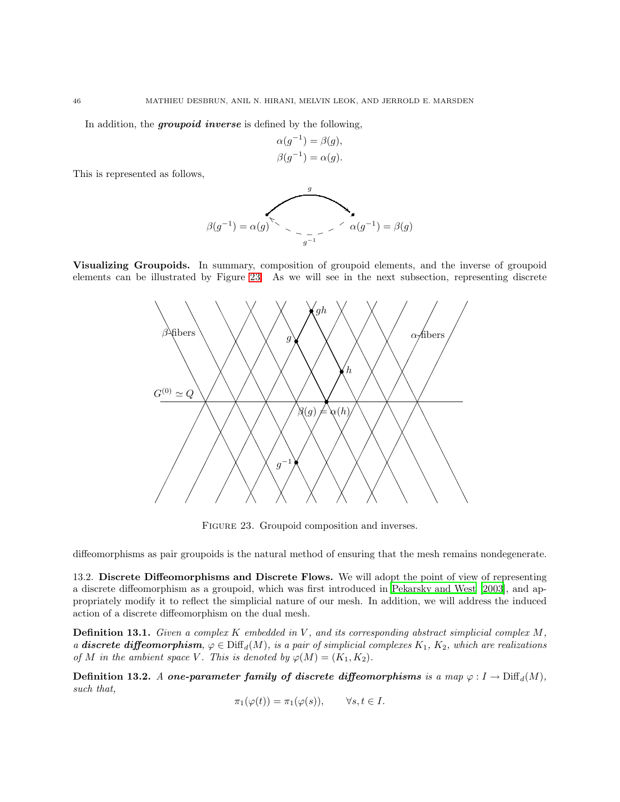In addition, the *groupoid inverse* is defined by the following,

$$
\alpha(g^{-1}) = \beta(g),
$$
  

$$
\beta(g^{-1}) = \alpha(g).
$$

This is represented as follows,

$$
\beta(g^{-1}) = \alpha(g)^{\sum_{\alpha} \alpha(g^{-1})} \leq \alpha(g^{-1}) = \beta(g)
$$

Visualizing Groupoids. In summary, composition of groupoid elements, and the inverse of groupoid elements can be illustrated by Figure [23.](#page-45-1) As we will see in the next subsection, representing discrete



<span id="page-45-1"></span>Figure 23. Groupoid composition and inverses.

diffeomorphisms as pair groupoids is the natural method of ensuring that the mesh remains nondegenerate.

<span id="page-45-0"></span>13.2. Discrete Diffeomorphisms and Discrete Flows. We will adopt the point of view of representing a discrete diffeomorphism as a groupoid, which was first introduced in [Pekarsky and West \[2003\]](#page-51-25), and appropriately modify it to reflect the simplicial nature of our mesh. In addition, we will address the induced action of a discrete diffeomorphism on the dual mesh.

**Definition 13.1.** Given a complex  $K$  embedded in  $V$ , and its corresponding abstract simplicial complex  $M$ , a **discrete diffeomorphism**,  $\varphi \in \text{Diff}_d(M)$ , is a pair of simplicial complexes  $K_1$ ,  $K_2$ , which are realizations of M in the ambient space V. This is denoted by  $\varphi(M) = (K_1, K_2)$ .

Definition 13.2. A one-parameter family of discrete diffeomorphisms is a map  $\varphi: I \to \mathrm{Diff}_d(M)$ , such that,

$$
\pi_1(\varphi(t)) = \pi_1(\varphi(s)), \qquad \forall s, t \in I.
$$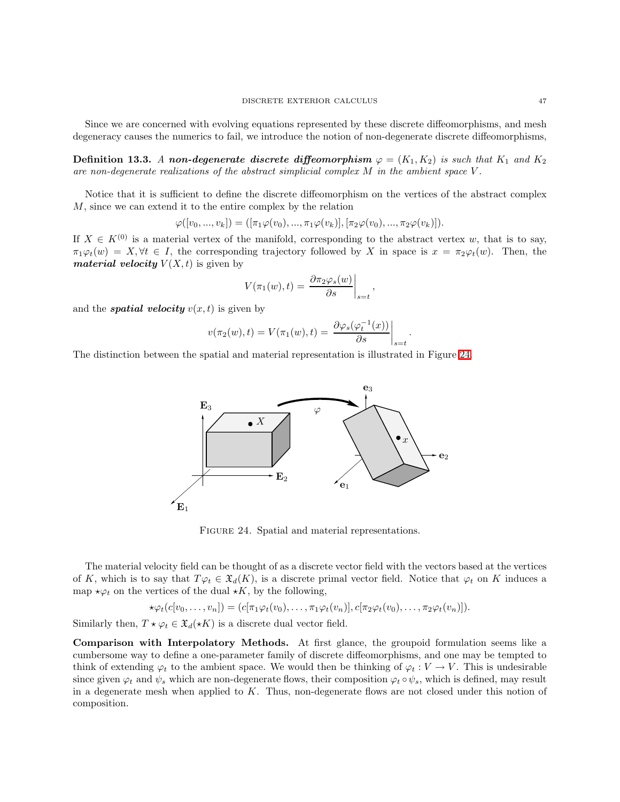Since we are concerned with evolving equations represented by these discrete diffeomorphisms, and mesh degeneracy causes the numerics to fail, we introduce the notion of non-degenerate discrete diffeomorphisms,

Definition 13.3. A non-degenerate discrete diffeomorphism  $\varphi = (K_1, K_2)$  is such that  $K_1$  and  $K_2$ are non-degenerate realizations of the abstract simplicial complex  $M$  in the ambient space  $V$ .

Notice that it is sufficient to define the discrete diffeomorphism on the vertices of the abstract complex M, since we can extend it to the entire complex by the relation

$$
\varphi([v_0, ..., v_k]) = ([\pi_1 \varphi(v_0), ..., \pi_1 \varphi(v_k)], [\pi_2 \varphi(v_0), ..., \pi_2 \varphi(v_k)]).
$$

If  $X \in K^{(0)}$  is a material vertex of the manifold, corresponding to the abstract vertex w, that is to say,  $\pi_1\varphi_t(w) = X, \forall t \in I$ , the corresponding trajectory followed by X in space is  $x = \pi_2\varphi_t(w)$ . Then, the *material velocity*  $V(X, t)$  is given by

$$
V(\pi_1(w), t) = \left. \frac{\partial \pi_2 \varphi_s(w)}{\partial s} \right|_{s=t},
$$

and the **spatial velocity**  $v(x, t)$  is given by

$$
v(\pi_2(w),t) = V(\pi_1(w),t) = \left. \frac{\partial \varphi_s(\varphi_t^{-1}(x))}{\partial s} \right|_{s=t}
$$

.

The distinction between the spatial and material representation is illustrated in Figure [24.](#page-46-0)



<span id="page-46-0"></span>FIGURE 24. Spatial and material representations.

The material velocity field can be thought of as a discrete vector field with the vectors based at the vertices of K, which is to say that  $T\varphi_t \in \mathfrak{X}_d(K)$ , is a discrete primal vector field. Notice that  $\varphi_t$  on K induces a map  $\star \varphi_t$  on the vertices of the dual  $\star K$ , by the following,

$$
\star \varphi_t(c[v_0,\ldots,v_n]) = (c[\pi_1\varphi_t(v_0),\ldots,\pi_1\varphi_t(v_n)],c[\pi_2\varphi_t(v_0),\ldots,\pi_2\varphi_t(v_n)]).
$$

Similarly then,  $T \star \varphi_t \in \mathfrak{X}_d(\star K)$  is a discrete dual vector field.

Comparison with Interpolatory Methods. At first glance, the groupoid formulation seems like a cumbersome way to define a one-parameter family of discrete diffeomorphisms, and one may be tempted to think of extending  $\varphi_t$  to the ambient space. We would then be thinking of  $\varphi_t : V \to V$ . This is undesirable since given  $\varphi_t$  and  $\psi_s$  which are non-degenerate flows, their composition  $\varphi_t \circ \psi_s$ , which is defined, may result in a degenerate mesh when applied to K. Thus, non-degenerate flows are not closed under this notion of composition.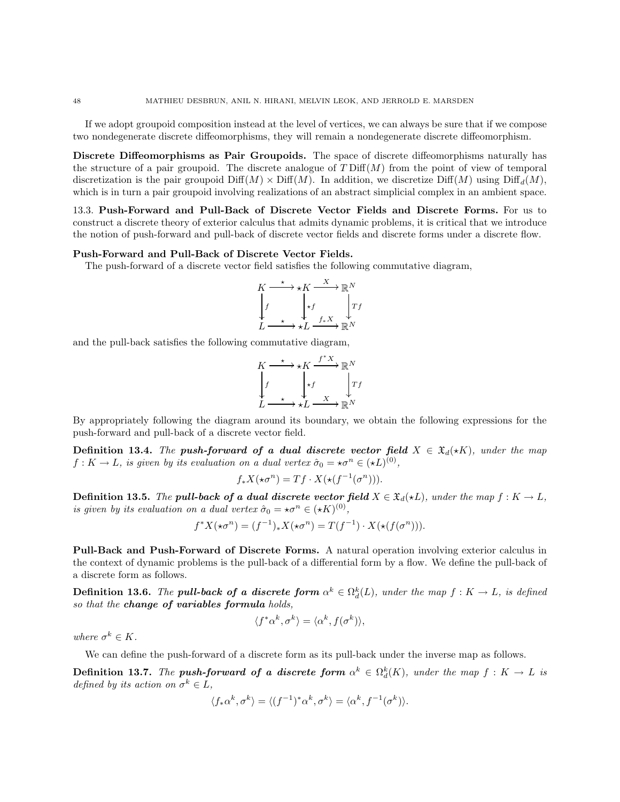If we adopt groupoid composition instead at the level of vertices, we can always be sure that if we compose two nondegenerate discrete diffeomorphisms, they will remain a nondegenerate discrete diffeomorphism.

Discrete Diffeomorphisms as Pair Groupoids. The space of discrete diffeomorphisms naturally has the structure of a pair groupoid. The discrete analogue of  $T \text{ Diff}(M)$  from the point of view of temporal discretization is the pair groupoid  $\text{Diff}(M) \times \text{Diff}(M)$ . In addition, we discretize  $\text{Diff}(M)$  using  $\text{Diff}_{d}(M)$ , which is in turn a pair groupoid involving realizations of an abstract simplicial complex in an ambient space.

<span id="page-47-0"></span>13.3. Push-Forward and Pull-Back of Discrete Vector Fields and Discrete Forms. For us to construct a discrete theory of exterior calculus that admits dynamic problems, it is critical that we introduce the notion of push-forward and pull-back of discrete vector fields and discrete forms under a discrete flow.

### Push-Forward and Pull-Back of Discrete Vector Fields.

The push-forward of a discrete vector field satisfies the following commutative diagram,

$$
K \xrightarrow{\star} \star K \xrightarrow{X} \mathbb{R}^N
$$
\n
$$
f \qquad \downarrow f \qquad \downarrow T
$$
\n
$$
L \xrightarrow{\star} \star L \xrightarrow{f_* X} \mathbb{R}^N
$$

and the pull-back satisfies the following commutative diagram,

$$
K \xrightarrow{\star} \star K \xrightarrow{f^*X} \mathbb{R}^N
$$
  

$$
\downarrow f \qquad \qquad \downarrow f \qquad \qquad \downarrow Tf
$$
  

$$
L \xrightarrow{\star} \star L \xrightarrow{X} \mathbb{R}^N
$$

By appropriately following the diagram around its boundary, we obtain the following expressions for the push-forward and pull-back of a discrete vector field.

Definition 13.4. The push-forward of a dual discrete vector field  $X \in \mathfrak{X}_d(*K)$ , under the map  $f: K \to L$ , is given by its evaluation on a dual vertex  $\hat{\sigma}_0 = \star \sigma^n \in (\star L)^{(0)}$ ,

$$
f_*X(\star \sigma^n) = Tf \cdot X(\star(f^{-1}(\sigma^n))).
$$

**Definition 13.5.** The **pull-back of a dual discrete vector field**  $X \in \mathfrak{X}_d(\star L)$ , under the map  $f : K \to L$ , is given by its evaluation on a dual vertex  $\hat{\sigma}_0 = \star \sigma^n \in (\star K)^{(0)}$ ,

$$
f^*X(\star \sigma^n) = (f^{-1})_*X(\star \sigma^n) = T(f^{-1}) \cdot X(\star (f(\sigma^n))).
$$

Pull-Back and Push-Forward of Discrete Forms. A natural operation involving exterior calculus in the context of dynamic problems is the pull-back of a differential form by a flow. We define the pull-back of a discrete form as follows.

**Definition 13.6.** The **pull-back of a discrete form**  $\alpha^k \in \Omega_d^k(L)$ , under the map  $f: K \to L$ , is defined so that the change of variables formula holds,

$$
\langle f^*\alpha^k, \sigma^k \rangle = \langle \alpha^k, f(\sigma^k) \rangle,
$$

where  $\sigma^k \in K$ .

We can define the push-forward of a discrete form as its pull-back under the inverse map as follows.

**Definition 13.7.** The **push-forward of a discrete form**  $\alpha^k \in \Omega_d^k(K)$ , under the map  $f: K \to L$  is defined by its action on  $\sigma^k \in L$ ,

$$
\langle f_* \alpha^k, \sigma^k \rangle = \langle (f^{-1})^* \alpha^k, \sigma^k \rangle = \langle \alpha^k, f^{-1}(\sigma^k) \rangle.
$$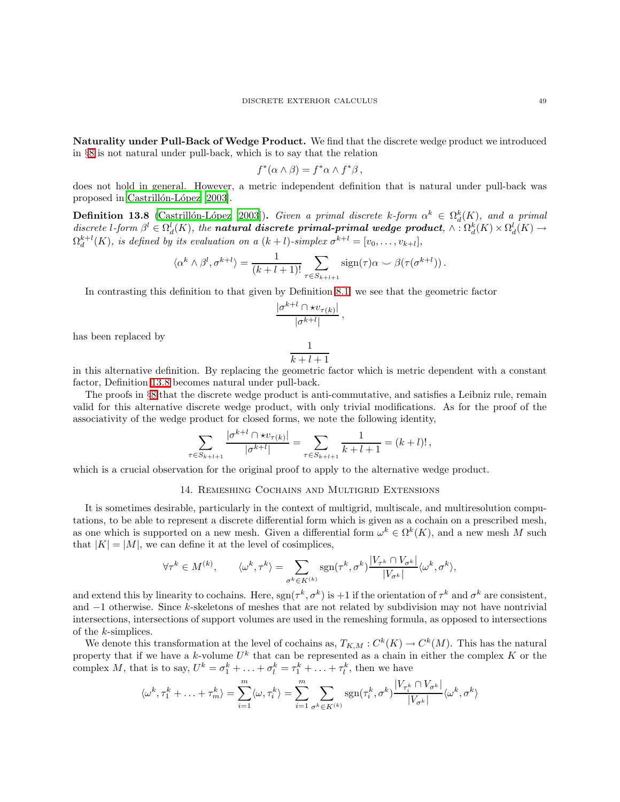Naturality under Pull-Back of Wedge Product. We find that the discrete wedge product we introduced in §[8](#page-16-0) is not natural under pull-back, which is to say that the relation

$$
f^*(\alpha \wedge \beta) = f^*\alpha \wedge f^*\beta \,,
$$

<span id="page-48-1"></span>does not hold in general. However, a metric independent definition that is natural under pull-back was proposed in Castrillón-López [2003].

**Definition 13.8** (Castrillón-López [2003]). Given a primal discrete k-form  $\alpha^k \in \Omega_d^k(K)$ , and a primal discrete l-form  $\beta^l \in \Omega_d^l(K)$ , the **natural discrete primal-primal wedge product**,  $\wedge : \Omega_d^k(K) \times \Omega_d^l(K) \to$  $\Omega_d^{k+l}(K)$ , is defined by its evaluation on a  $(k+l)$ -simplex  $\sigma^{k+l} = [v_0, \ldots, v_{k+l}],$ 

$$
\langle \alpha^k \wedge \beta^l, \sigma^{k+l} \rangle = \frac{1}{(k+l+1)!} \sum_{\tau \in S_{k+l+1}} \operatorname{sign}(\tau) \alpha \smile \beta(\tau(\sigma^{k+l})) \, .
$$

In contrasting this definition to that given by Definition [8.1,](#page-16-2) we see that the geometric factor

$$
\frac{|\sigma^{k+l} \cap \star v_{\tau(k)}|}{|\sigma^{k+l}|},
$$

has been replaced by

$$
\frac{1}{k+l+1}
$$

in this alternative definition. By replacing the geometric factor which is metric dependent with a constant factor, Definition [13.8](#page-48-1) becomes natural under pull-back.

The proofs in §[8](#page-16-0) that the discrete wedge product is anti-commutative, and satisfies a Leibniz rule, remain valid for this alternative discrete wedge product, with only trivial modifications. As for the proof of the associativity of the wedge product for closed forms, we note the following identity,

$$
\sum_{\tau \in S_{k+l+1}} \frac{|\sigma^{k+l} \cap \star v_{\tau(k)}|}{|\sigma^{k+l}|} = \sum_{\tau \in S_{k+l+1}} \frac{1}{k+l+1} = (k+l)! \,,
$$

<span id="page-48-0"></span>which is a crucial observation for the original proof to apply to the alternative wedge product.

# 14. Remeshing Cochains and Multigrid Extensions

It is sometimes desirable, particularly in the context of multigrid, multiscale, and multiresolution computations, to be able to represent a discrete differential form which is given as a cochain on a prescribed mesh, as one which is supported on a new mesh. Given a differential form  $\omega^k \in \Omega^k(K)$ , and a new mesh M such that  $|K| = |M|$ , we can define it at the level of cosimplices,

$$
\forall \tau^k \in M^{(k)}, \qquad \langle \omega^k, \tau^k \rangle = \sum_{\sigma^k \in K^{(k)}} \text{sgn}(\tau^k, \sigma^k) \frac{|V_{\tau^k} \cap V_{\sigma^k}|}{|V_{\sigma^k}|} \langle \omega^k, \sigma^k \rangle,
$$

and extend this by linearity to cochains. Here,  $sgn(\tau^k, \sigma^k)$  is +1 if the orientation of  $\tau^k$  and  $\sigma^k$  are consistent, and −1 otherwise. Since k-skeletons of meshes that are not related by subdivision may not have nontrivial intersections, intersections of support volumes are used in the remeshing formula, as opposed to intersections of the k-simplices.

We denote this transformation at the level of cochains as,  $T_{K,M}: C^k(K) \to C^k(M)$ . This has the natural property that if we have a k-volume  $U^k$  that can be represented as a chain in either the complex K or the complex M, that is to say,  $U^k = \sigma_1^k + \ldots + \sigma_l^k = \tau_1^k + \ldots + \tau_l^k$ , then we have

$$
\langle \omega^k, \tau_1^k + \ldots + \tau_m^k \rangle = \sum_{i=1}^m \langle \omega, \tau_i^k \rangle = \sum_{i=1}^m \sum_{\sigma^k \in K^{(k)}} \text{sgn}(\tau_i^k, \sigma^k) \frac{|V_{\tau_i^k} \cap V_{\sigma^k}|}{|V_{\sigma^k}|} \langle \omega^k, \sigma^k \rangle
$$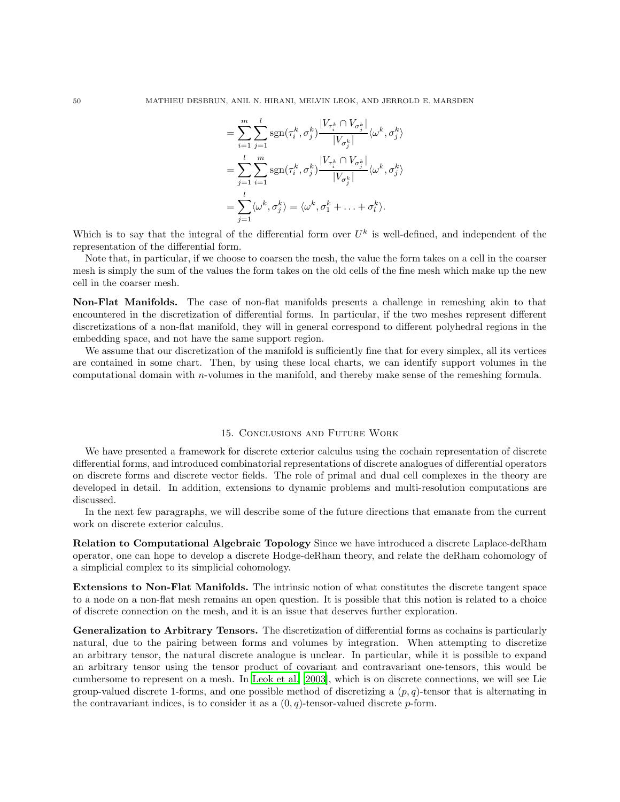$$
= \sum_{i=1}^{m} \sum_{j=1}^{l} \text{sgn}(\tau_i^k, \sigma_j^k) \frac{|V_{\tau_i^k} \cap V_{\sigma_j^k}|}{|V_{\sigma_j^k}|} \langle \omega^k, \sigma_j^k \rangle
$$
  

$$
= \sum_{j=1}^{l} \sum_{i=1}^{m} \text{sgn}(\tau_i^k, \sigma_j^k) \frac{|V_{\tau_i^k} \cap V_{\sigma_j^k}|}{|V_{\sigma_j^k}|} \langle \omega^k, \sigma_j^k \rangle
$$
  

$$
= \sum_{j=1}^{l} \langle \omega^k, \sigma_j^k \rangle = \langle \omega^k, \sigma_1^k + \ldots + \sigma_l^k \rangle.
$$

Which is to say that the integral of the differential form over  $U^k$  is well-defined, and independent of the representation of the differential form.

Note that, in particular, if we choose to coarsen the mesh, the value the form takes on a cell in the coarser mesh is simply the sum of the values the form takes on the old cells of the fine mesh which make up the new cell in the coarser mesh.

Non-Flat Manifolds. The case of non-flat manifolds presents a challenge in remeshing akin to that encountered in the discretization of differential forms. In particular, if the two meshes represent different discretizations of a non-flat manifold, they will in general correspond to different polyhedral regions in the embedding space, and not have the same support region.

We assume that our discretization of the manifold is sufficiently fine that for every simplex, all its vertices are contained in some chart. Then, by using these local charts, we can identify support volumes in the computational domain with n-volumes in the manifold, and thereby make sense of the remeshing formula.

### 15. Conclusions and Future Work

<span id="page-49-0"></span>We have presented a framework for discrete exterior calculus using the cochain representation of discrete differential forms, and introduced combinatorial representations of discrete analogues of differential operators on discrete forms and discrete vector fields. The role of primal and dual cell complexes in the theory are developed in detail. In addition, extensions to dynamic problems and multi-resolution computations are discussed.

In the next few paragraphs, we will describe some of the future directions that emanate from the current work on discrete exterior calculus.

Relation to Computational Algebraic Topology Since we have introduced a discrete Laplace-deRham operator, one can hope to develop a discrete Hodge-deRham theory, and relate the deRham cohomology of a simplicial complex to its simplicial cohomology.

Extensions to Non-Flat Manifolds. The intrinsic notion of what constitutes the discrete tangent space to a node on a non-flat mesh remains an open question. It is possible that this notion is related to a choice of discrete connection on the mesh, and it is an issue that deserves further exploration.

Generalization to Arbitrary Tensors. The discretization of differential forms as cochains is particularly natural, due to the pairing between forms and volumes by integration. When attempting to discretize an arbitrary tensor, the natural discrete analogue is unclear. In particular, while it is possible to expand an arbitrary tensor using the tensor product of covariant and contravariant one-tensors, this would be cumbersome to represent on a mesh. In [Leok et al. \[2003\]](#page-51-18), which is on discrete connections, we will see Lie group-valued discrete 1-forms, and one possible method of discretizing a  $(p, q)$ -tensor that is alternating in the contravariant indices, is to consider it as a  $(0, q)$ -tensor-valued discrete p-form.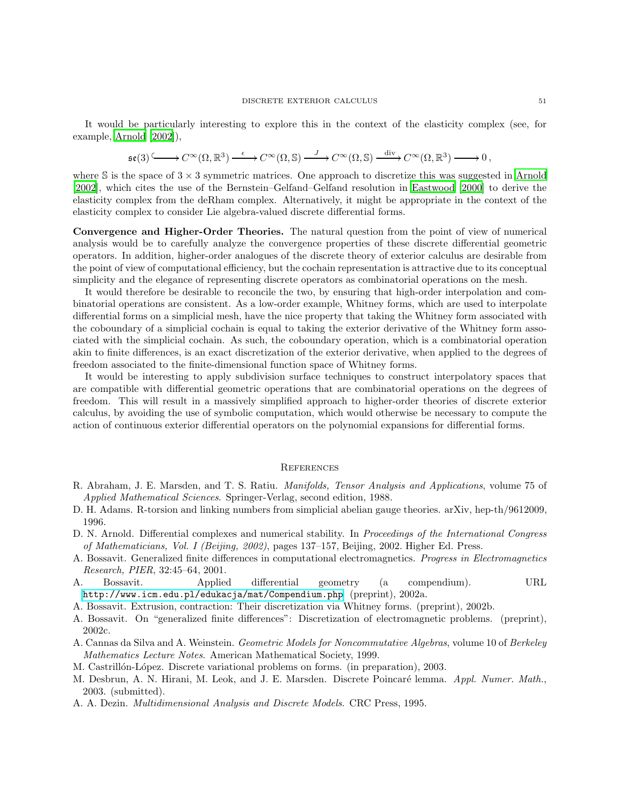It would be particularly interesting to explore this in the context of the elasticity complex (see, for example, [Arnold \[2002](#page-50-11)]),

$$
\mathfrak{se}(3) \xrightarrow{\quad} C^{\infty}(\Omega, \mathbb{R}^3) \xrightarrow{\epsilon} C^{\infty}(\Omega, \mathbb{S}) \xrightarrow{J} C^{\infty}(\Omega, \mathbb{S}) \xrightarrow{\text{div}} C^{\infty}(\Omega, \mathbb{R}^3) \longrightarrow 0,
$$

where S is the space of  $3 \times 3$  symmetric matrices. One approach to discretize this was suggested in [Arnold](#page-50-11) [\[2002\]](#page-50-11), which cites the use of the Bernstein–Gelfand–Gelfand resolution in [Eastwood \[2000](#page-51-26)] to derive the elasticity complex from the deRham complex. Alternatively, it might be appropriate in the context of the elasticity complex to consider Lie algebra-valued discrete differential forms.

Convergence and Higher-Order Theories. The natural question from the point of view of numerical analysis would be to carefully analyze the convergence properties of these discrete differential geometric operators. In addition, higher-order analogues of the discrete theory of exterior calculus are desirable from the point of view of computational efficiency, but the cochain representation is attractive due to its conceptual simplicity and the elegance of representing discrete operators as combinatorial operations on the mesh.

It would therefore be desirable to reconcile the two, by ensuring that high-order interpolation and combinatorial operations are consistent. As a low-order example, Whitney forms, which are used to interpolate differential forms on a simplicial mesh, have the nice property that taking the Whitney form associated with the coboundary of a simplicial cochain is equal to taking the exterior derivative of the Whitney form associated with the simplicial cochain. As such, the coboundary operation, which is a combinatorial operation akin to finite differences, is an exact discretization of the exterior derivative, when applied to the degrees of freedom associated to the finite-dimensional function space of Whitney forms.

It would be interesting to apply subdivision surface techniques to construct interpolatory spaces that are compatible with differential geometric operations that are combinatorial operations on the degrees of freedom. This will result in a massively simplified approach to higher-order theories of discrete exterior calculus, by avoiding the use of symbolic computation, which would otherwise be necessary to compute the action of continuous exterior differential operators on the polynomial expansions for differential forms.

### **REFERENCES**

- <span id="page-50-1"></span><span id="page-50-0"></span>R. Abraham, J. E. Marsden, and T. S. Ratiu. Manifolds, Tensor Analysis and Applications, volume 75 of Applied Mathematical Sciences. Springer-Verlag, second edition, 1988.
- <span id="page-50-2"></span>D. H. Adams. R-torsion and linking numbers from simplicial abelian gauge theories. arXiv, hep-th/9612009, 1996.
- <span id="page-50-11"></span>D. N. Arnold. Differential complexes and numerical stability. In Proceedings of the International Congress of Mathematicians, Vol. I (Beijing, 2002), pages 137–157, Beijing, 2002. Higher Ed. Press.
- <span id="page-50-4"></span>A. Bossavit. Generalized finite differences in computational electromagnetics. Progress in Electromagnetics Research, PIER, 32:45–64, 2001.
- <span id="page-50-5"></span>A. Bossavit. Applied differential geometry (a compendium). URL <http://www.icm.edu.pl/edukacja/mat/Compendium.php>. (preprint), 2002a.
- <span id="page-50-6"></span>A. Bossavit. Extrusion, contraction: Their discretization via Whitney forms. (preprint), 2002b.
- <span id="page-50-3"></span>A. Bossavit. On "generalized finite differences": Discretization of electromagnetic problems. (preprint), 2002c.
- <span id="page-50-10"></span>A. Cannas da Silva and A. Weinstein. Geometric Models for Noncommutative Algebras, volume 10 of Berkeley Mathematics Lecture Notes. American Mathematical Society, 1999.
- <span id="page-50-9"></span>M. Castrillón-López. Discrete variational problems on forms. (in preparation), 2003.
- <span id="page-50-8"></span>M. Desbrun, A. N. Hirani, M. Leok, and J. E. Marsden. Discrete Poincaré lemma. Appl. Numer. Math., 2003. (submitted).
- <span id="page-50-7"></span>A. A. Dezin. Multidimensional Analysis and Discrete Models. CRC Press, 1995.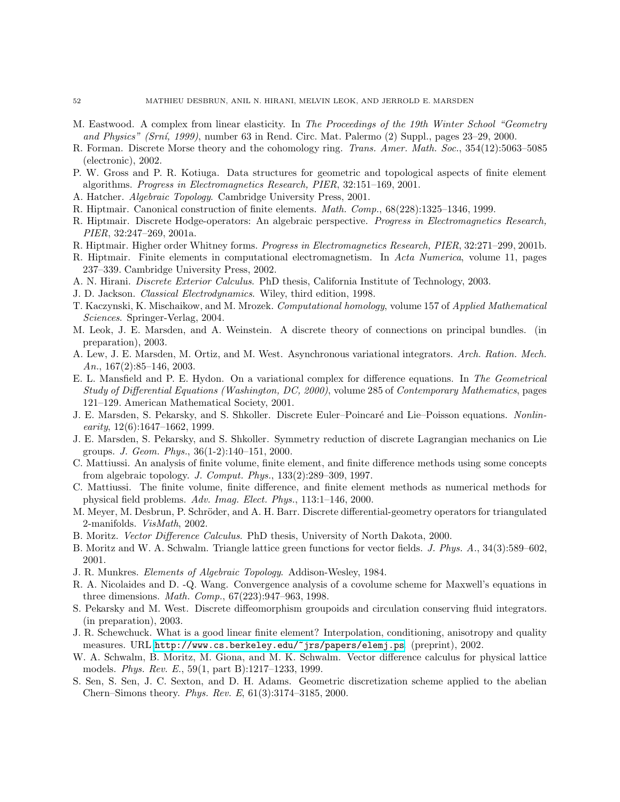- <span id="page-51-26"></span>M. Eastwood. A complex from linear elasticity. In The Proceedings of the 19th Winter School "Geometry and Physics" (Srn´ı, 1999), number 63 in Rend. Circ. Mat. Palermo (2) Suppl., pages 23–29, 2000.
- <span id="page-51-3"></span>R. Forman. Discrete Morse theory and the cohomology ring. Trans. Amer. Math. Soc., 354(12):5063–5085 (electronic), 2002.
- <span id="page-51-5"></span>P. W. Gross and P. R. Kotiuga. Data structures for geometric and topological aspects of finite element algorithms. Progress in Electromagnetics Research, PIER, 32:151–169, 2001.
- <span id="page-51-21"></span>A. Hatcher. Algebraic Topology. Cambridge University Press, 2001.
- <span id="page-51-6"></span>R. Hiptmair. Canonical construction of finite elements. Math. Comp., 68(228):1325–1346, 1999.
- <span id="page-51-7"></span>R. Hiptmair. Discrete Hodge-operators: An algebraic perspective. Progress in Electromagnetics Research, PIER, 32:247–269, 2001a.
- <span id="page-51-8"></span>R. Hiptmair. Higher order Whitney forms. Progress in Electromagnetics Research, PIER, 32:271–299, 2001b.
- <span id="page-51-9"></span>R. Hiptmair. Finite elements in computational electromagnetism. In Acta Numerica, volume 11, pages 237–339. Cambridge University Press, 2002.
- <span id="page-51-20"></span>A. N. Hirani. Discrete Exterior Calculus. PhD thesis, California Institute of Technology, 2003.
- <span id="page-51-22"></span><span id="page-51-2"></span>J. D. Jackson. Classical Electrodynamics. Wiley, third edition, 1998.
- T. Kaczynski, K. Mischaikow, and M. Mrozek. Computational homology, volume 157 of Applied Mathematical Sciences. Springer-Verlag, 2004.
- <span id="page-51-18"></span>M. Leok, J. E. Marsden, and A. Weinstein. A discrete theory of connections on principal bundles. (in preparation), 2003.
- <span id="page-51-1"></span>A. Lew, J. E. Marsden, M. Ortiz, and M. West. Asynchronous variational integrators. Arch. Ration. Mech. An., 167(2):85–146, 2003.
- <span id="page-51-15"></span>E. L. Mansfield and P. E. Hydon. On a variational complex for difference equations. In The Geometrical Study of Differential Equations (Washington, DC, 2000), volume 285 of Contemporary Mathematics, pages 121–129. American Mathematical Society, 2001.
- <span id="page-51-23"></span>J. E. Marsden, S. Pekarsky, and S. Shkoller. Discrete Euler–Poincaré and Lie–Poisson equations. Nonlin- $\text{early}, 12(6):1647-1662, 1999.$
- <span id="page-51-24"></span>J. E. Marsden, S. Pekarsky, and S. Shkoller. Symmetry reduction of discrete Lagrangian mechanics on Lie groups. J. Geom. Phys., 36(1-2):140–151, 2000.
- <span id="page-51-10"></span>C. Mattiussi. An analysis of finite volume, finite element, and finite difference methods using some concepts from algebraic topology. J. Comput. Phys., 133(2):289–309, 1997.
- <span id="page-51-0"></span>C. Mattiussi. The finite volume, finite difference, and finite element methods as numerical methods for physical field problems. Adv. Imag. Elect. Phys., 113:1–146, 2000.
- <span id="page-51-19"></span>M. Meyer, M. Desbrun, P. Schröder, and A. H. Barr. Discrete differential-geometry operators for triangulated 2-manifolds. VisMath, 2002.
- <span id="page-51-12"></span>B. Moritz. Vector Difference Calculus. PhD thesis, University of North Dakota, 2000.
- <span id="page-51-13"></span>B. Moritz and W. A. Schwalm. Triangle lattice green functions for vector fields. J. Phys. A., 34(3):589–602, 2001.
- <span id="page-51-16"></span>J. R. Munkres. Elements of Algebraic Topology. Addison-Wesley, 1984.
- <span id="page-51-11"></span>R. A. Nicolaides and D. -Q. Wang. Convergence analysis of a covolume scheme for Maxwell's equations in three dimensions. Math. Comp., 67(223):947–963, 1998.
- <span id="page-51-25"></span>S. Pekarsky and M. West. Discrete diffeomorphism groupoids and circulation conserving fluid integrators. (in preparation), 2003.
- <span id="page-51-17"></span>J. R. Schewchuck. What is a good linear finite element? Interpolation, conditioning, anisotropy and quality measures. URL <http://www.cs.berkeley.edu/~jrs/papers/elemj.ps>. (preprint), 2002.
- <span id="page-51-14"></span>W. A. Schwalm, B. Moritz, M. Giona, and M. K. Schwalm. Vector difference calculus for physical lattice models. Phys. Rev. E., 59(1, part B):1217–1233, 1999.
- <span id="page-51-4"></span>S. Sen, S. Sen, J. C. Sexton, and D. H. Adams. Geometric discretization scheme applied to the abelian Chern–Simons theory. Phys. Rev. E, 61(3):3174–3185, 2000.